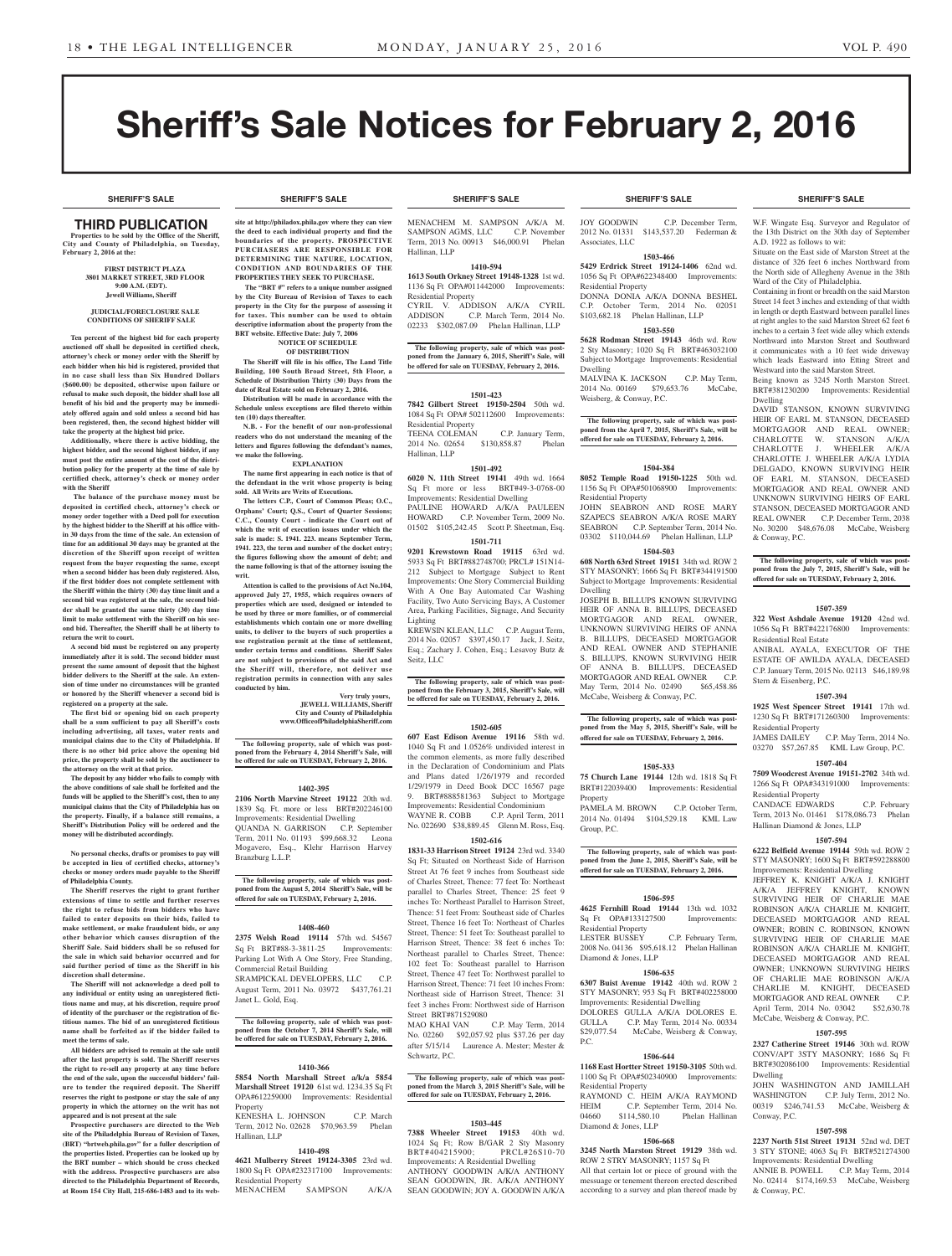# Sheriff's Sale Notices for February 2, 2016

# THIRD PUBLICATION

**Properties to be sold by the Office of the Sheriff, City and County of Philadelphia, on Tuesday, February 2, 2016 at the:** 

> **FIRST DISTRICT PLAZA 3801 MARKET STREET, 3RD FLOOR 9:00 A.M. (EDT). Jewell Williams, Sheriff**

#### **JUDICIAL/FORECLOSURE SALE CONDITIONS OF SHERIFF SALE**

**Ten percent of the highest bid for each property auctioned off shall be deposited in certified check, attorney's check or money order with the Sheriff by each bidder when his bid is registered, provided that in no case shall less than Six Hundred Dollars (\$600.00) be deposited, otherwise upon failure or refusal to make such deposit, the bidder shall lose all benefit of his bid and the property may be immediately offered again and sold unless a second bid has been registered, then, the second highest bidder will take the property at the highest bid price.**

**Additionally, where there is active bidding, the highest bidder, and the second highest bidder, if any must post the entire amount of the cost of the distribution policy for the property at the time of sale by certified check, attorney's check or money order with the Sheriff**

 **The balance of the purchase money must be deposited in certified check, attorney's check or money order together with a Deed poll for execution by the highest bidder to the Sheriff at his office within 30 days from the time of the sale. An extension of time for an additional 30 days may be granted at the discretion of the Sheriff upon receipt of written request from the buyer requesting the same, except when a second bidder has been duly registered. Also, if the first bidder does not complete settlement with the Sheriff within the thirty (30) day time limit and a second bid was registered at the sale, the second bidder shall be granted the same thirty (30) day time limit to make settlement with the Sheriff on his second bid. Thereafter, the Sheriff shall be at liberty to return the writ to court.**

**A second bid must be registered on any property immediately after it is sold. The second bidder must present the same amount of deposit that the highest bidder delivers to the Sheriff at the sale. An extension of time under no circumstances will be granted or honored by the Sheriff whenever a second bid is registered on a property at the sale.** 

**The first bid or opening bid on each property shall be a sum sufficient to pay all Sheriff's costs including advertising, all taxes, water rents and municipal claims due to the City of Philadelphia. If there is no other bid price above the opening bid price, the property shall be sold by the auctioneer to the attorney on the writ at that price.**

**The deposit by any bidder who fails to comply with the above conditions of sale shall be forfeited and the funds will be applied to the Sheriff's cost, then to any municipal claims that the City of Philadelphia has on the property. Finally, if a balance still remains, a Sheriff's Distribution Policy will be ordered and the money will be distributed accordingly.**

**No personal checks, drafts or promises to pay will be accepted in lieu of certified checks, attorney's checks or money orders made payable to the Sheriff of Philadelphia County.**

**The Sheriff reserves the right to grant further extensions of time to settle and further reserves the right to refuse bids from bidders who have failed to enter deposits on their bids, failed to make settlement, or make fraudulent bids, or any other behavior which causes disruption of the Sheriff Sale. Said bidders shall be so refused for the sale in which said behavior occurred and for said further period of time as the Sheriff in his discretion shall determine.**

**The Sheriff will not acknowledge a deed poll to any individual or entity using an unregistered fictitious name and may, at his discretion, require proof of identity of the purchaser or the registration of fictitious names. The bid of an unregistered fictitious name shall be forfeited as if the bidder failed to meet the terms of sale.**

All bidders are advised to remain at the sale unti **after the last property is sold. The Sheriff reserves the right to re-sell any property at any time before the end of the sale, upon the successful bidders' failure to tender the required deposit. The Sheriff reserves the right to postpone or stay the sale of any property in which the attorney on the writ has not appeared and is not present at the sale**

**Prospective purchasers are directed to the Web site of the Philadelphia Bureau of Revision of Taxes, (BRT) "brtweb.phila.gov" for a fuller description of the properties listed. Properties can be looked up by the BRT number – which should be cross checked with the address. Prospective purchasers are also directed to the Philadelphia Department of Records, at Room 154 City Hall, 215-686-1483 and to its web-**

**site at http://philadox.phila.gov where they can view the deed to each individual property and find the boundaries of the property. PROSPECTIVE PURCHASERS ARE RESPONSIBLE FOR DETERMINING THE NATURE, LOCATION, CONDITION AND BOUNDARIES OF THE PROPERTIES THEY SEEK TO PURCHASE.**

 **The "BRT #" refers to a unique number assigned by the City Bureau of Revision of Taxes to each property in the City for the purpose of assessing it for taxes. This number can be used to obtain descriptive information about the property from the BRT website. Effective Date: July 7, 2006 NOTICE OF SCHEDULE** 

#### **OF DISTRIBUTION**

**The Sheriff will file in his office, The Land Title Building, 100 South Broad Street, 5th Floor, a Schedule of Distribution Thirty (30) Days from the date of Real Estate sold on February 2, 2016.**

**Distribution will be made in accordance with the Schedule unless exceptions are filed thereto within** 

**ten (10) days thereafter. N.B. - For the benefit of our non-professional readers who do not understand the meaning of the letters and figures following the defendant's names, we make the following.**

**EXPLANATION**

**The name first appearing in each notice is that of the defendant in the writ whose property is being sold. All Writs are Writs of Executions.**

**The letters C.P., Court of Common Pleas; O.C., Orphans' Court; Q.S., Court of Quarter Sessions; C.C., County Court - indicate the Court out of which the writ of execution issues under which the sale is made: S. 1941. 223. means September Term, 1941. 223, the term and number of the docket entry; the figures following show the amount of debt; and the name following is that of the attorney issuing the writ.**

**Attention is called to the provisions of Act No.104, approved July 27, 1955, which requires owners of properties which are used, designed or intended to be used by three or more families, or of commercial establishments which contain one or more dwelling units, to deliver to the buyers of such properties a use registration permit at the time of settlement, under certain terms and conditions. Sheriff Sales are not subject to provisions of the said Act and the Sheriff will, therefore, not deliver use registration permits in connection with any sales conducted by him.**

**Very truly yours, JEWELL WILLIAMS, Sheriff City and County of Philadelphia www.OfficeofPhiladelphiaSheriff.com**

**The following property, sale of which was postponed from the February 4, 2014 Sheriff's Sale, will be offered for sale on TUESDAY, February 2, 2016.**

#### **1402-395**

**2106 North Marvine Street 19122** 20th wd. 1839 Sq. Ft. more or less BRT#202246100 Improvements: Residential Dwelling

QUANDA N. GARRISON C.P. September Term, 2011 No. 01193 \$99,668.32 Leona Mogavero, Esq., Klehr Harrison Harvey Branzburg L.L.P.

**The following property, sale of which was postponed from the August 5, 2014 Sheriff's Sale, will be offered for sale on TUESDAY, February 2, 2016.**

#### **1408-460**

Janet L. Gold, Esq.

**2375 Welsh Road 19114** 57th wd. 54567 Sq Ft BRT#88-3-3811-25 Improvements: Parking Lot With A One Story, Free Standing, Commercial Retail Building SRAMPICKAL DEVELOPERS, LLC C.P. August Term, 2011 No. 03972 \$437,761.21

# **The following property, sale of which was postponed from the October 7, 2014 Sheriff's Sale, will be offered for sale on TUESDAY, February 2, 2016.**

#### **1410-366**

**5854 North Marshall Street a/k/a 5854 Marshall Street 19120** 61st wd. 1234.35 Sq Ft OPA#612259000 Improvements: Residential Property

KENESHA L. JOHNSON C.P. March Term, 2012 No. 02628 \$70,963.59 Phelan Hallinan, LLP

#### **1410-498**

**4621 Mulberry Street 19124-3305** 23rd wd. 1800 Sq Ft OPA#232317100 Improvements: Residential Property<br>MENACHEM SAMPSON MENACHEM SAMPSON A/K/A

MENACHEM M. SAMPSON A/K/A M. SAMPSON AGMS, LLC C.P. November Term, 2013 No. 00913 \$46,000.91 Phelan Hallinan, LLP

#### **1410-594**

**1613 South Orkney Street 19148-1328** 1st wd. 1136 Sq Ft OPA#011442000 Improvements: Residential Property CYRIL V. ADDISON A/K/A CYRIL

ADDISON C.P. March Term, 2014 No. 02233 \$302,087.09 Phelan Hallinan, LLP

**The following property, sale of which was postponed from the January 6, 2015, Sheriff's Sale, will be offered for sale on TUESDAY, February 2, 2016.**

#### **1501-423**

**7842 Gilbert Street 19150-2504** 50th wd. 1084 Sq Ft OPA# 502112600 Improvements: Residential Property

TEENA COLEMAN C.P. January Term,<br>2014 No. 02654 \$130,858.87 Phelan 2014 No. 02654 \$130,858.87 Phelan Hallinan, LLP

#### **1501-492**

**6020 N. 11th Street 19141** 49th wd. 1664 Sq Ft more or less BRT#49-3-0768-00 Improvements: Residential Dwelling PAULINE HOWARD A/K/A PAULEEN HOWARD C.P. November Term, 2009 No. 01502 \$105,242.45 Scott P. Sheetman, Esq.

# **1501-711**

**9201 Krewstown Road 19115** 63rd wd. 5933 Sq Ft BRT#882748700; PRCL# 151N14- 212 Subject to Mortgage Subject to Rent Improvements: One Story Commercial Building With A One Bay Automated Car Washing Facility, Two Auto Servicing Bays, A Customer Area, Parking Facilities, Signage, And Security Lighting

KREWSIN KLEAN, LLC C.P. August Term, 2014 No. 02057 \$397,450.17 Jack, J. Seitz, Esq.; Zachary J. Cohen, Esq.; Lesavoy Butz & Seitz, LLC

**The following property, sale of which was post-poned from the February 3, 2015, Sheriff's Sale, will be offered for sale on TUESDAY, February 2, 2016.**

#### **1502-605**

**607 East Edison Avenue 19116** 58th wd. 1040 Sq Ft and 1.0526% undivided interest in the common elements, as more fully described in the Declaration of Condominium and Plats and Plans dated 1/26/1979 and recorded 1/29/1979 in Deed Book DCC 16567 page BRT#888581363 Subject to Mortgage Improvements: Residential Condominium WAYNE R. COBB C.P. April Term, 2011 No. 022690 \$38,889.45 Glenn M. Ross, Esq.

#### **1502-616**

**1831-33 Harrison Street 19124** 23rd wd. 3340 Sq Ft; Situated on Northeast Side of Harrison Street At 76 feet 9 inches from Southeast side of Charles Street, Thence: 77 feet To: Northeast parallel to Charles Street, Thence: 25 feet 9 inches To: Northeast Parallel to Harrison Street, Thence: 51 feet From: Southeast side of Charles Street, Thence 16 feet To: Northeast of Charles Street, Thence: 51 feet To: Southeast parallel to Harrison Street, Thence: 38 feet 6 inches To: Northeast parallel to Charles Street, Thence: 102 feet To: Southeast parallel to Harrison Street, Thence 47 feet To: Northwest parallel to Harrison Street, Thence: 71 feet 10 inches From: Northeast side of Harrison Street, Thence: 31 feet 3 inches From: Northwest side of Harrison Street BRT#871529080

MAO KHAI VAN C.P. May Term, 2014 No. 02260 \$92,057.92 plus \$37.26 per day after  $5/15/14$  Laurence  $\Delta$  Mester; Me Schwartz, P.C.

**The following property, sale of which was postponed from the March 3, 2015 Sheriff's Sale, will be offered for sale on TUESDAY, February 2, 2016.**

#### **1503-445**

**7388 Wheeler Street 19153** 40th wd. 1024 Sq Ft; Row B/GAR 2 Sty Masonry<br>BRT#404215900; PRCL#26S10-70 BRT#404215900; Improvements: A Residential Dwelling ANTHONY GOODWIN A/K/A ANTHONY SEAN GOODWIN, IR. A/K/A ANTHONY SEAN GOODWIN; JOY A. GOODWIN A/K/A

JOY GOODWIN C.P. December Term, 2012 No. 01331 \$143,537.20 Federman & Associates, LLC

#### **1503-466 5429 Erdrick Street 19124-1406** 62nd wd. 1056 Sq Ft OPA#622348400 Improvements:

Residential Property DONNA DONIA A/K/A DONNA BESHEL C.P. October Term, 2014 No. 02051 \$103,682.18 Phelan Hallinan, LLP

### **1503-550**

**5628 Rodman Street 19143** 46th wd. Row 2 Sty Masonry; 1020 Sq Ft BRT#463032100 Subject to Mortgage Improvements: Residential Dwelling MALVINA K. JACKSON C.P. May Term,

2014 No. 00169 \$79,653.76 McCabe, Weisberg, & Conway, P.C.

**The following property, sale of which was post-poned from the April 7, 2015, Sheriff's Sale, will be offered for sale on TUESDAY, February 2, 2016.**

#### **1504-384**

**8052 Temple Road 19150-1225** 50th wd. 1156 Sq Ft OPA#501068900 Improvements: Residential Property

JOHN SEABRON AND ROSE MARY SZAPECS SEABRON A/K/A ROSE MARY SEABRON C.P. September Term, 2014 No. 03302 \$110,044.69 Phelan Hallinan, LLP **1504-503**

**608 North 63rd Street 19151** 34th wd. ROW 2 STY MASONRY; 1666 Sq Ft BRT#344191500 Subject to Mortgage Improvements: Residential Dwelling

JOSEPH B. BILLUPS KNOWN SURVIVING HEIR OF ANNA B. BILLUPS, DECEASED MORTGAGOR AND REAL OWNER, UNKNOWN SURVIVING HEIRS OF ANNA B. BILLUPS, DECEASED MORTGAGOR AND REAL OWNER AND STEPHANIE S. BILLUPS, KNOWN SURVIVING HEIR OF ANNA B. BILLUPS, DECEASED MORTGAGOR AND REAL OWNER C.P.<br>May Term, 2014 No. 02490 \$65,458.86 May Term, 2014 No. 02490 McCabe, Weisberg & Conway, P.C.

**The following property, sale of which was postponed from the May 5, 2015, Sheriff's Sale, will be offered for sale on TUESDAY, February 2, 2016.**

# **1505-333**

**75 Church Lane 19144** 12th wd. 1818 Sq Ft BRT#122039400 Improvements: Residential Property

PAMELA M. BROWN C.P. October Term, 2014 No. 01494 \$104,529.18 KML Law Group, P.C.

**The following property, sale of which was postponed from the June 2, 2015, Sheriff's Sale, will be offered for sale on TUESDAY, February 2, 2016.**

#### **1506-595**

**4625 Fernhill Road 19144** 13th wd. 1032 Sq Ft OPA#133127500 Improvements: Residential Property

LESTER BUSSEY C.P. February Term, 2008 No. 04136 \$95,618.12 Phelan Hallinan Diamond & Jones, LLP

#### **1506-635**

**6307 Buist Avenue 19142** 40th wd. ROW 2 STY MASONRY; 953 Sq Ft BRT#402258000 Improvements: Residential Dwelling DOLORES GULLA A/K/A DOLORES E. GULLA C.P. May Term, 2014 No. 00334

\$29,077.54 McCabe, Weisberg & Conway, P.C. **1506-644**

#### **1168 East Hortter Street 19150-3105** 50th wd.

1100 Sq Ft OPA#502340900 Improvements: Residential Property

RAYMOND C. HEIM A/K/A RAYMOND<br>HEIM C.P. September Term, 2014 No. C.P. September Term, 2014 No.<br>114.580.10 Phelan Hallinan 04660 \$114,580.10 Diamond & Jones, LLP

#### **1506-668**

**3245 North Marston Street 19129** 38th wd. ROW 2 STRY MASONRY; 1157 Sq Ft

All that certain lot or piece of ground with the messuage or tenement thereon erected described according to a survey and plan thereof made by

# W.F. Wingate Esq. Surveyor and Regulator of **SHERIFF'S SALE SHERIFF'S SALE SHERIFF'S SALE SHERIFF'S SALE SHERIFF'S SALE**

the 13th District on the 30th day of September

Situate on the East side of Marston Street at the distance of 326 feet 6 inches Northward from the North side of Allegheny Avenue in the 38th

Containing in front or breadth on the said Marston Street 14 feet 3 inches and extending of that width in length or depth Eastward between parallel lines at right angles to the said Marston Street 62 feet 6 inches to a certain 3 feet wide alley which extends Northward into Marston Street and Southward it communicates with a 10 feet wide driveway which leads Eastward into Etting Street and Westward into the said Marston Street. Being known as 3245 North Marston Street. BRT#381230200 Improvements: Residential

DAVID STANSON, KNOWN SURVIVING HEIR OF EARL M. STANSON, DECEASED MORTGAGOR AND REAL OWNER; CHARLOTTE W. STANSON A/K/A CHARLOTTE J. WHEELER A/K/A CHARLOTTE J. WHEELER A/K/A LYDIA DELGADO, KNOWN SURVIVING HEIR OF EARL M. STANSON, DECEASED MORTGAGOR AND REAL OWNER AND UNKNOWN SURVIVING HEIRS OF EARL STANSON, DECEASED MORTGAGOR AND REAL OWNER C.P. December Term, 2038 No. 30200 \$48,676.08 McCabe, Weisberg

**The following property, sale of which was post-poned from the July 7, 2015, Sheriff's Sale, will be offered for sale on TUESDAY, February 2, 2016.**

**1507-359 322 West Ashdale Avenue 19120** 42nd wd. 1056 Sq Ft BRT#422176800 Improvements:

ANIBAL AYALA, EXECUTOR OF THE ESTATE OF AWILDA AYALA, DECEASED C.P. January Term, 2015 No. 02113 \$46,189.98

**1507-394 1925 West Spencer Street 19141** 17th wd. 1230 Sq Ft BRT#171260300 Improvements:

JAMES DAILEY C.P. May Term, 2014 No. 03270 \$57,267.85 KML Law Group, P.C. **1507-404 7509 Woodcrest Avenue 19151-2702** 34th wd. 1266 Sq Ft OPA#343191000 Improvements:

CANDACE EDWARDS C.P. February Term, 2013 No. 01461 \$178,086.73 Phelan

**1507-594 6222 Belfield Avenue 19144** 59th wd. ROW 2 STY MASONRY; 1600 Sq Ft BRT#592288800 Improvements: Residential Dwelling JEFFREY K. KNIGHT A/K/A J. KNIGHT A/K/A JEFFREY KNIGHT, KNOWN SURVIVING HEIR OF CHARLIE MAE ROBINSON A/K/A CHARLIE M. KNIGHT, DECEASED MORTGAGOR AND REAL OWNER; ROBIN C. ROBINSON, KNOWN SURVIVING HEIR OF CHARLIE MAE ROBINSON A/K/A CHARLIE M. KNIGHT, DECEASED MORTGAGOR AND REAL OWNER; UNKNOWN SURVIVING HEIRS OF CHARLIE MAE ROBINSON A/K/A CHARLIE M. KNIGHT, DECEASED MORTGAGOR AND REAL OWNER C.P.<br>April Term, 2014 No. 03042 \$52,630.78

A.D. 1922 as follows to wit:

Dwelling

& Conway, P.C.

Residential Real Estate

Stern & Eisenberg, P.C.

Residential Property

Residential Property

Hallinan Diamond & Jones, LLP

April Term, 2014 No. 03042 McCabe, Weisberg & Conway, P.C.

Dwelling

Conway, P.C.

& Conway, P.C.

**1507-595 2327 Catherine Street 19146** 30th wd. ROW CONV/APT 3STY MASONRY; 1686 Sq Ft BRT#302086100 Improvements: Residential

JOHN WASHINGTON AND JAMILLAH WASHINGTON C.P. July Term, 2012 No. 00319 \$246,741.53 McCabe, Weisberg &

**1507-598 2237 North 51st Street 19131** 52nd wd. DET 3 STY STONE; 4063 Sq Ft BRT#521274300 Improvements: Residential Dwelling ANNIE B. POWELL C.P. May Term, 2014 No. 02414 \$174,169.53 McCabe, Weisberg

Ward of the City of Philadelphia.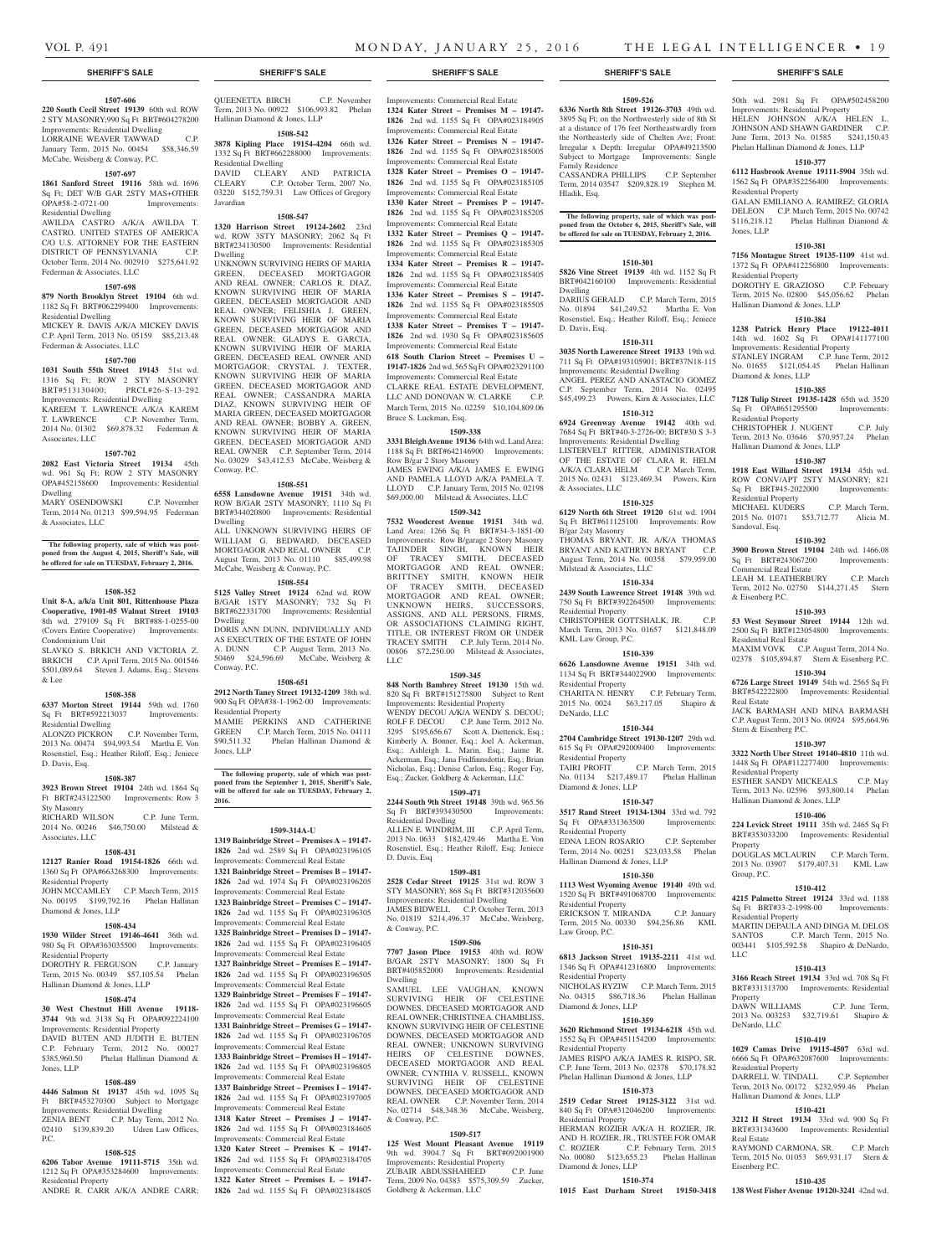#### **1507-606**

**220 South Cecil Street 19139** 60th wd. ROW 2 STY MASONRY;990 Sq Ft BRT#604278200 Improvements: Residential Dwelling LORRAINE WEAVER TAWWAD

January Term, 2015 No. 00454 \$58,346.59 McCabe, Weisberg & Conway, P.C. **1507-697**

#### **1861 Sanford Street 19116** 58th wd. 1696 Sq Ft; DET W/B GAR 2STY MAS+OTHER OPA#58-2-0721-00 Improvements: Residential Dwelling

AWILDA CASTRO A/K/A AWILDA T. CASTRO, UNITED STATES OF AMERICA C/O U.S. ATTORNEY FOR THE EASTERN DISTRICT OF PENNSYLVANIA C.P. October Term, 2014 No. 002910 \$275,641.92 Federman & Associates, LLC

### **1507-698**

**879 North Brooklyn Street 19104** 6th wd. 1182 Sq Ft BRT#062299400 Improvements: Residential Dwelling

MICKEY R. DAVIS A/K/A MICKEY DAVIS C.P. April Term, 2013 No. 05159 \$85,213.48 Federman & Associates, LLC

#### **1507-700**

**1031 South 55th Street 19143** 51st wd. 1316 Sq Ft; ROW 2 STY MASONRY

BRT#513130400; PRCL#26-S-13-292 Improvements: Residential Dwelling KAREEM T. LAWRENCE A/K/A KAREM

#### T. LAWRENCE C.P. November Term, 2014 No. 01302 \$69,878.32 Federman & Associates, LLC

# **1507-702**

**2082 East Victoria Street 19134** 45th wd. 961 Sq Ft; ROW 2 STY MASONRY OPA#452158600 Improvements: Residential Dwelling

MARY OSENDOWSKI C.P. November Term, 2014 No. 01213 \$99,594.95 Federman & Associates, LLC

**The following property, sale of which was postponed from the August 4, 2015, Sheriff's Sale, will be offered for sale on TUESDAY, February 2, 2016.**

#### **1508-352**

#### **Unit 8-A, a/k/a Unit 801, Rittenhouse Plaza Cooperative, 1901-05 Walnut Street 19103**  8th wd. 279109 Sq Ft BRT#88-1-0255-00 (Covers Entire Cooperative) Improvements: Condominium Unit

SLAVKO S. BRKICH AND VICTORIA Z. BRKICH C.P. April Term, 2015 No. 001546 \$501,089.64 Steven J. Adams, Esq.; Stevens & Lee

#### **1508-358**

#### **6337 Morton Street 19144** 59th wd. 1760 Sq Ft BRT#592213037 Improvements: Residential Dwelling

ALONZO PICKRON C.P. November Term, 2013 No. 00474 \$94,993.54 Martha E. Von Rosenstiel, Esq.; Heather Riloff, Esq.; Jeniece D. Davis, Esq.

#### **1508-387**

**3923 Brown Street 19104** 24th wd. 1864 Sq Ft BRT#243122500 Improvements: Row 3 Sty Masonry RICHARD WILSON C.P. June Term,

2014 No. 00246 \$46,750.00 Milstead & Associates, LLC

## **1508-431**

**12127 Ranier Road 19154-1826** 66th wd. 1360 Sq Ft OPA#663268300 Improvements: Residential Property JOHN MCCAMLEY C.P. March Term, 2015

# No. 00195 \$199,792.16 Phelan Hallinan Diamond & Jones, LLP

#### **1508-434**

**1930 Wilder Street 19146-4641** 36th wd. 980 Sq Ft OPA#363035500 Improvements: Residential Property

DOROTHY R. FERGUSON C.P. January Term, 2015 No. 00349 \$57,105.54 Phelan Hallinan Diamond & Jones, LLP

#### **1508-474**

**30 West Chestnut Hill Avenue 19118- 3744** 9th wd. 3138 Sq Ft OPA#092224100 Improvements: Residential Property DAVID BUTEN AND JUDITH E. BUTEN C.P. February Term, 2012 No. 00027 Phelan Hallinan Diamond & Jones, LLP

#### **1508-489**

#### **4446 Salmon St 19137** 45th wd. 1095 Sq Ft BRT#453270300 Subject to Mortgage Improvements: Residential Dwelling ZENIA BENT C.P. May Term, 2012 No. 02410 \$139,839.20 Udren Law Offices, P.C.

#### **1508-525**

**6206 Tabor Avenue 19111-5715** 35th wd. 1212 Sq Ft OPA#353284600 Improvements: Residential Property ANDRE R. CARR A/K/A ANDRE CARR;

#### QUEENETTA BIRCH C.P. November Term, 2013 No. 00922 \$106,993.82 Phelan Hallinan Diamond & Jones, LLP

**1508-542**

**3878 Kipling Place 19154-4204** 66th wd. 1332 Sq Ft BRT#662288000 Improvements: Residential Dwelling DAVID CLEARY AND PATRICIA CLEARY C.P. October Term, 2007 No. 03220 \$152,759.31 Law Offices of Gregory

#### **1508-547**

Javardian

**1320 Harrison Street 19124-2602** 23rd wd. ROW 3STY MASONRY; 2062 Sq Ft BRT#234130500 Improvements: Residential Dwelling

UNKNOWN SURVIVING HEIRS OF MARIA GREEN, DECEASED MORTGAGOR AND REAL OWNER; CARLOS R. DIAZ, KNOWN SURVIVING HEIR OF MARIA GREEN, DECEASED MORTGAGOR AND REAL OWNER; FELISHIA J. GREEN, KNOWN SURVIVING HEIR OF MARIA GREEN, DECEASED MORTGAGOR AND REAL OWNER; GLADYS E. GARCIA, KNOWN SURVIVING HEIR OF MARIA GREEN, DECEASED REAL OWNER AND MORTGAGOR; CRYSTAL J. TEXTER, KNOWN SURVIVING HEIR OF MARIA GREEN, DECEASED MORTGAGOR AND REAL OWNER; CASSANDRA MARIA DIAZ, KNOWN SURVIVING HEIR OF MARIA GREEN, DECEASED MORTGAGOR AND REAL OWNER; BOBBY A. GREEN, KNOWN SURVIVING HEIR OF MARIA GREEN, DECEASED MORTGAGOR AND REAL OWNER C.P. September Term, 2014 No. 03029 \$43,412.53 McCabe, Weisberg & Conway, P.C.

#### **1508-551**

**6558 Lansdowne Avenue 19151** 34th wd. ROW B/GAR 2STY MASONRY; 1110 Sq Ft BRT#344020800 Improvements: Residential Dwelling ALL UNKNOWN SURVIVING HEIRS OF WILLIAM G. BEDWARD, DECEASED MORTGAGOR AND REAL OWNER C.P. August Term, 2013 No. 01110 \$85,499.98 McCabe, Weisberg & Conway, P.C.

**1508-554**

**5125 Valley Street 19124** 62nd wd. ROW B/GAR 1STY MASONRY; 732 Sq Ft BRT#622331700 Improvements: Residential Dwelling

DORIS ANN DUNN, INDIVIDUALLY AND AS EXECUTRIX OF THE ESTATE OF JOHN A. DUNN C.P. August Term, 2013 No. 50469 \$24,596.69 McCabe, Weisberg & Conway, P.C.

#### **1508-651**

**2912 North Taney Street 19132-1209** 38th wd. 900 Sq Ft OPA#38-1-1962-00 Improvements: Residential Property MAMIE PERKINS AND CATHERINE

GREEN C.P. March Term, 2015 No. 04111<br>\$90,511.32 Phelan Hallinan Diamond & Phelan Hallinan Diamond & Jones, LLP

**The following property, sale of which was postponed from the September 1, 2015, Sheriff's Sale, will be offered for sale on TUESDAY, February 2, 2016.**

## **1509-314A-U**

**1319 Bainbridge Street – Premises A – 19147- 1826** 2nd wd. 2589 Sq Ft OPA#023196105 Improvements: Commercial Real Estate **1321 Bainbridge Street – Premises B – 19147- 1826** 2nd wd. 1974 Sq Ft OPA#023196205 Improvements: Commercial Real Estate **1323 Bainbridge Street – Premises C – 19147- 1826** 2nd wd. 1155 Sq Ft OPA#023196305 Improvements: Commercial Real Estate **1325 Bainbridge Street – Premises D – 19147- 1826** 2nd wd. 1155 Sq Ft OPA#023196405

Improvements: Commercial Real Estate **1327 Bainbridge Street – Premises E – 19147- 1826** 2nd wd. 1155 Sq Ft OPA#023196505 Improvements: Commercial Real Estate

**1329 Bainbridge Street – Premises F – 19147- 1826** 2nd wd. 1155 Sq Ft OPA#023196605 Improvements: Commercial Real Estate **1331 Bainbridge Street – Premises G – 19147- 1826** 2nd wd. 1155 Sq Ft OPA#023196705 Improvements: Commercial Real Estat

**1333 Bainbridge Street – Premises H – 19147- 1826** 2nd wd. 1155 Sq Ft OPA#023196805 Improvements: Commercial Real Estate

**1337 Bainbridge Street – Premises I – 19147- 1826** 2nd wd. 1155 Sq Ft OPA#023197005 Improvements: Commercial Real Estate

**1318 Kater Street – Premises J – 19147- 1826** 2nd wd. 1155 Sq Ft OPA#023184605 Improvements: Commercial Real Estate

**1320 Kater Street – Premises K – 19147- 1826** 2nd wd. 1155 Sq Ft OPA#023184705 Improvements: Commercial Real Estate

**1322 Kater Street – Premises L – 19147- 1826** 2nd wd. 1155 Sq Ft OPA#023184805

### **SHERIFF'S SALE SHERIFF'S SALE SHERIFF'S SALE SHERIFF'S SALE SHERIFF'S SALE**

Improvements: Commercial Real Estate **1324 Kater Street – Premises M – 19147- 1826** 2nd wd. 1155 Sq Ft OPA#023184905 Improvements: Commercial Real Estate **1326 Kater Street – Premises N – 19147- 1826** 2nd wd. 1155 Sq Ft OPA#023185005 Improvements: Commercial Real Estate **1328 Kater Street – Premises O – 19147- 1826** 2nd wd. 1155 Sq Ft OPA#023185105 Improvements: Commercial Real Estate **1330 Kater Street – Premises P – 19147- 1826** 2nd wd. 1155 Sq Ft OPA#023185205 Improvements: Commercial Real Estate **1332 Kater Street – Premises Q – 19147- 1826** 2nd wd. 1155 Sq Ft OPA#023185305 Improvements: Commercial Real Estate **1334 Kater Street – Premises R – 19147- 1826** 2nd wd. 1155 Sq Ft OPA#023185405 Improvements: Commercial Real Estate

**1336 Kater Street – Premises S – 19147- 1826** 2nd wd. 1155 Sq Ft OPA#023185505 Improvements: Commercial Real Estate **1338 Kater Street – Premises T – 19147-**

**1826** 2nd wd. 1930 Sq Ft OPA#023185605 Improvements: Commercial Real Estate **618 South Clarion Street – Premises U –** 

**19147-1826** 2nd wd. 565 Sq Ft OPA#023291100 Improvements: Commercial Real Estate CLARKE REAL ESTATE DEVELOPMENT, LLC AND DONOVAN W. CLARKE C.P. March Term, 2015 No. 02259 \$10,104,809.06 Bruce S. Luckman, Esq.

# **1509-338**

**3331 Bleigh Avenue 19136** 64th wd. Land Area: 1188 Sq Ft BRT#642146900 Improvements: Row B/gar 2 Story Masonry JAMES EWING A/K/A JAMES E. EWING

AND PAMELA LLOYD A/K/A PAMELA T. LLOYD C.P. January Term, 2015 No. 02198 \$69,000.00 Milstead & Associates, LLC **1509-342**

**7532 Woodcrest Avenue 19151** 34th wd. Land Area: 1266 Sq Ft BRT#34-3-1851-00 Improvements: Row B/garage 2 Story Masonry TAJINDER SINGH, KNOWN HEIR OF TRACEY SMITH, DECEASED MORTGAGOR AND REAL OWNER; BRITTNEY SMITH, KNOWN HEIR OF TRACEY SMITH, DECEASED MORTGAGOR AND REAL OWNER; UNKNOWN HEIRS, SUCCESSORS, ASSIGNS, AND ALL PERSONS, FIRMS, OR ASSOCIATIONS CLAIMING RIGHT, TITLE, OR INTEREST FROM OR UNDER TRACEY SMITH C.P. July Term, 2014 No. 00806 \$72,250.00 Milstead & Associates, LLC

#### **1509-345**

**848 North Bambrey Street 19130** 15th wd. 820 Sq Ft BRT#151275800 Subject to Rent Improvements: Residential Property WENDY DECOU A/K/A WENDY S. DECOU; ROLF F. DECOU C.P. June Term, 2012 No. 3295 \$195,656.67 Scott A. Dietterick, Esq.; Kimberly A. Bonner, Esq.; Joel A. Ackerman, Esq.; Ashleigh L. Marin, Esq.; Jaime R. Ackerman, Esq.; Jana Fridfinnsdottir, Esq.; Brian Nicholas, Esq.; Denise Carlon, Esq.; Roger Fay, Esq.; Zucker, Goldberg & Ackerman, LLC

#### **1509-471**

**2244 South 9th Street 19148** 39th wd. 965.56 Sq Ft BRT#393430500 Improvements: Residential Dwelling ALLEN E. WINDRIM, III C.P. April Term, 2013 No. 0633 \$182,429.46 Martha E. Von Rosenstiel, Esq.; Heather Riloff, Esq; Jeniece D. Davis, Esq

#### **1509-481**

**2528 Cedar Street 19125** 31st wd. ROW 3 STY MASONRY; 868 Sq Ft BRT#312035600 Improvements: Residential Dwelling JAMES BIDWELL C.P. October Term, 2013 No. 01819 \$214,496.37 McCabe, Weisberg, & Conway, P.C.

#### **1509-506**

**7707 Jason Place 19153** 40th wd. ROW B/GAR 2STY MASONRY; 1800 Sq Ft BRT#405852000 Improvements: Residential Dwelling

SAMUEL LEE VAUGHAN, KNOWN SURVIVING HEIR OF CELESTINE DOWNES, DECEASED MORTGAGOR AND REAL OWNER; CHRISTINE A. CHAMBLISS, KNOWN SURVIVING HEIR OF CELESTINE DOWNES, DECEASED MORTGAGOR AND REAL OWNER; UNKNOWN SURVIVING<br>HEIRS OF CELESTINE DOWNES. OF CELESTINE DOWNES, DECEASED MORTGAGOR AND REAL OWNER; CYNTHIA V. RUSSELL, KNOWN SURVIVING HEIR OF CELESTINE DOWNES, DECEASED MORTGAGOR AND REAL OWNER C.P. November Term, 2014 No. 02714 \$48,348.36 McCabe, Weisberg, & Conway, P.C.

#### **1509-517**

**125 West Mount Pleasant Avenue 19119**  9th wd. 3904.7 Sq Ft BRT#092001900 PH Wu, 2204.7 Sq TV DAYS SESSENTING<br>Improvements: Residential Property<br>ZUBAIR ABDUSSHAHEED C.P. June ZUBAIR ABDUSSHAHEED Term, 2009 No. 04383 \$575,309.59 Zucker, Goldberg & Ackerman, LLC

**1509-526**

**6336 North 8th Street 19126-3703** 49th wd. 3895 Sq Ft; on the Northwesterly side of 8th St at a distance of 176 feet Northeastwardly from the Northeasterly side of Chelten Ave; Front: Irregular x Depth: Irregular OPA#49213500 Subject to Mortgage Improvements: Single Family Residence CASSANDRA PHILLIPS C.P. September Term, 2014 03547 \$209,828.19 Stephen M.

50th wd. 2981 Sq Ft OPA#502458200 Improvements: Residential Property HELEN JOHNSON A/K/A HELEN L. JOHNSON AND SHAWN GARDINER C.P. June Term, 2013 No. 01585 \$241,150.43 Phelan Hallinan Diamond & Jones, LLP **1510-377 6112 Hasbrook Avenue 19111-5904** 35th wd. 1562 Sq Ft OPA#352256400 Improvements:

GALAN EMILIANO A. RAMIREZ; GLORIA DELEON C.P. March Term, 2015 No. 00742 \$116,218.12 Phelan Hallinan Diamond &

**1510-381 7156 Montague Street 19135-1109** 41st wd. 1372 Sq Ft OPA#412256800 Improvements:

DOROTHY E. GRAZIOSO C.P. February Term, 2015 No. 02800 \$45,056.62 Phelan

**1510-384 1238 Patrick Henry Place 19122-4011**  14th wd. 1602 Sq Ft OPA#141177100 Improvements: Residential Property STANLEY INGRAM C.P. June Term, 2012 No. 01655 \$121,054.45 Phelan Hallinan

**1510-385 7128 Tulip Street 19135-1428** 65th wd. 3520 Sq Ft OPA#651295500 Improvements:

CHRISTOPHER J. NUGENT C.P. July Term, 2013 No. 03646 \$70,957.24 Phelan

**1510-387 1918 East Willard Street 19134** 45th wd. ROW CONV/APT 2STY MASONRY; 821 Sq Ft BRT#45-2022000 Improvements:

MICHAEL KUDERS C.P. March Term, 2015 No. 01071 \$53,712.77 Alicia M.

**1510-392 3900 Brown Street 19104** 24th wd. 1466.08 Sq Ft BRT#243067200 Improvements:

LEAH M. LEATHERBURY C.P. March Term, 2012 No. 02750 \$144,271.45 Stern

**1510-393 53 West Seymour Street 19144** 12th wd. 2500 Sq Ft BRT#123054800 Improvements:

MAXIM VOVK C.P. August Term, 2014 No. 02378 \$105,894.87 Stern & Eisenberg P.C. **1510-394 6726 Large Street 19149** 54th wd. 2565 Sq Ft BRT#542222800 Improvements: Residential

JACK BARMASH AND MINA BARMASH C.P. August Term, 2013 No. 00924 \$95,664.96

**1510-397 3322 North Uber Street 19140-4810** 11th wd. 1448 Sq Ft OPA#112277400 Improvements:

ESTHER SANDY MICKEALS C.P. May Term, 2013 No. 02596 \$93,800.14 Phelan

**1510-406 224 Levick Street 19111** 35th wd. 2465 Sq Ft BRT#353033200 Improvements: Residential

DOUGLAS MCLAURIN C.P. March Term, 2013 No. 03907 \$179,407.31 KML Law

**1510-412 4215 Palmetto Street 19124** 33rd wd. 1188 Sq Ft BRT#33-2-1998-00 Improvements:

MARTIN DEPAULA AND DINGA M. DELOS SANTOS C.P. March Term, 2015 No. 003441 \$105,592.58 Shapiro & DeNardo,

**1510-413 3166 Reach Street 19134** 33rd wd. 708 Sq Ft BRT#331313700 Improvements: Residential

DAWN WILLIAMS C.P. June Term, 2013 No. 003253 \$32,719.61 Shapiro &

**1510-419 1029 Camas Drive 19115-4507** 63rd wd. 6666 Sq Ft OPA#632087600 Improvements:

DARRELL W. TINDALL C.P. September Term, 2013 No. 00172 \$232,959.46 Phelan

**1510-421 3212 H Street 19134** 33rd wd. 900 Sq Ft BRT#331343600 Improvements: Residential

RAYMOND CARMONA, SR. C.P. March Term, 2015 No. 01053 \$69,931.17 Stern &

**1510-435 138 West Fisher Avenue 19120-3241** 42nd wd.

Hallinan Diamond & Jones, LLP

Hallinan Diamond & Jones, LLP

Residential Property

Residential Property

Diamond & Jones, LLP

Residential Property

Residential Property

Commercial Real Estate

Residential Real Estate

Stern & Eisenberg P.C.

Residential Property

Property

LLC

Property

DeNardo, LLC

Real Estate

Eisenberg P.C.

Residential Property

Hallinan Diamond & Jones, LLP

Group, P.C.

Residential Property

Sandoval, Esq.

& Eisenberg P.C.

Real Estate

Hallinan Diamond & Jones, LLP

Jones, LLP

Hladik, Esq. **The following property, sale of which was postponed from the October 6, 2015, Sheriff's Sale, will** 

**be offered for sale on TUESDAY, February 2, 2016.**

### **1510-301**

**5826 Vine Street 19139** 4th wd. 1152 Sq Ft BRT#042160100 Improvements: Residential Dwelling DARIUS GERALD C.P. March Term, 2015 No. 01894 \$41,249.52 Martha E. Von Rosenstiel, Esq.; Heather Riloff, Esq.; Jeniece D. Davis, Esq.

#### **1510-311**

**3035 North Lawerence Street 19133** 19th wd. 711 Sq Ft OPA#193105901; BRT#37N18-115 Improvements: Residential Dwelling ANGEL PEREZ AND ANASTACIO GOMEZ C.P. September Term, 2014 No. 02495 \$45,499.23 Powers, Kirn & Associates, LLC **1510-312**

**6924 Greenway Avenue 19142** 40th wd. 7684 Sq Ft BRT#40-3-2726-00; BRT#30 S 3-3 Improvements: Residential Dwelling LISTERVELT RITTER, ADMINISTRATOR

OF THE ESTATE OF CLARA R. HELM A/K/A CLARA HELM C.P. March Term, 2015 No. 02431 \$123,469.34 Powers, Kirn & Associates, LLC **1510-325**

**6129 North 6th Street 19120** 61st wd. 1904 Sq Ft BRT#611125100 Improvements: Row B/gar 2sty Masonry THOMAS BRYANT, JR. A/K/A THOMAS BRYANT AND KATHRYN BRYANT C.P. August Term, 2014 No. 00358 \$79,959.00 Milstead & Associates, LLC

#### **1510-334**

**2439 South Lawrence Street 19148** 39th wd. 750 Sq Ft BRT#392264500 Improvements: Residential Property CHRISTOPHER GOTTSHALK, JR. C.P. March Term, 2013 No. 01657 \$121,848.09

### KML Law Group, P.C. **1510-339**

Residential Property

Residential Property

Residential Property

Law Group, P.C.

Residential Property

Residential Property

Residential Property

Diamond & Jones, LLP

Diamond & Jones, LLP

Hallinan Diamond & Jones, LLP

Diamond & Jones, LLP

**6626 Lansdowne Avenue 19151** 34th wd. 1134 Sq Ft BRT#344022900 Improvements: Residential Property CHARITA N. HENRY C.P. February Term, 2015 No. 0024 \$63,217.05 Shapiro & DeNardo, LLC

**1510-344 2704 Cambridge Street 19130-1207** 29th wd. 615 Sq Ft OPA#292009400 Improvements:

TAIRI PROFIT C.P. March Term, 2015 No. 01134 \$217,489.17 Phelan Hallinan

**1510-347 3517 Rand Street 19134-1304** 33rd wd. 792 Sq Ft OPA#331363500 Improvements:

EDNA LEON ROSARIO C.P. September Term, 2014 No. 00251 \$23,033.58 Phelan

**1510-350 1113 West Wyoming Avenue 19140** 49th wd. 1520 Sq Ft BRT#491068700 Improvements:

ERICKSON T. MIRANDA C.P. January Term, 2015 No. 00330 \$94,256.86 KML

**1510-351 6813 Jackson Street 19135-2211** 41st wd. 1346 Sq Ft OPA#412316800 Improvements:

NICHOLAS RYZIW C.P. March Term, 2015 No. 04315 \$86,718.36 Phelan Hallinan

**1510-359 3620 Richmond Street 19134-6218** 45th wd. 1552 Sq Ft OPA#451154200 Improvements:

JAMES RISPO A/K/A JAMES R. RISPO, SR. C.P. June Term, 2013 No. 02378 \$70,178.82 Phelan Hallinan Diamond & Jones, LLP **1510-373 2519 Cedar Street 19125-3122** 31st wd. 840 Sq Ft OPA#312046200 Improvements:

HERMAN ROZIER A/K/A H. ROZIER, IR. AND H. ROZIER, JR., TRUSTEE FOR OMAR C. ROZIER C.P. February Term, 2015 No. 00080 \$123,655.23 Phelan Hallinan

**1510-374 1015 East Durham Street 19150-3418**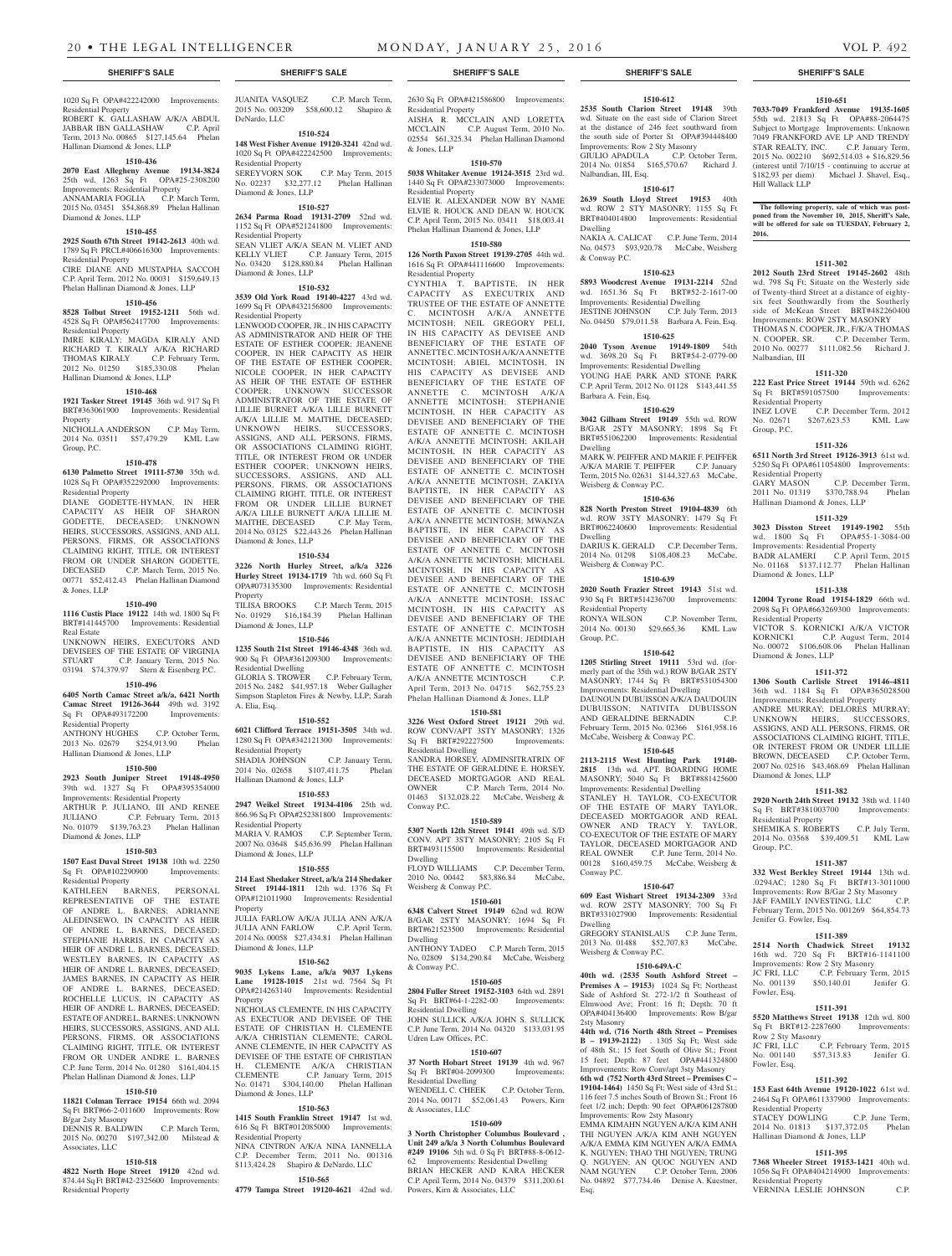#### 1020 Sq Ft OPA#422242000 Improvements: Residential Property

ROBERT K. GALLASHAW A/K/A ABDUL JABBAR IBN GALLASHAW C.P. April Term, 2013 No. 00865 \$127,145.64 Phelan Hallinan Diamond & Jones, LLP

## **1510-436**

**2070 East Allegheny Avenue 19134-3824**  25th wd. 1263 Sq Ft OPA#25-2308200 Improvements: Residential Property ANNAMARIA FOGLIA C.P. March Term, 2015 No. 03451 \$54,868.89 Phelan Hallinan Diamond & Jones, LLP

# **1510-455**

**2925 South 67th Street 19142-2613** 40th wd. 1789 Sq Ft PRCL#406616300 Improvements: Residential Property

CIRE DIANE AND MUSTAPHA SACCOH C.P. April Term, 2012 No. 00031 \$159,649.13 Phelan Hallinan Diamond & Jones, LLP

# **1510-456**

**8528 Tolbut Street 19152-1211** 56th wd. 4528 Sq Ft OPA#562417700 Improvements: Residential Property IMRE KIRALY; MAGDA KIRALY AND RICHARD T. KIRALY A/K/A RICHARD THOMAS KIRALY C.P. February Term, 2012 No. 01250 \$185,330.08 Phelan Hallinan Diamond & Jones, LLP

#### **1510-468**

**1921 Tasker Street 19145** 36th wd. 917 Sq Ft BRT#363061900 Improvements: Residential **Property** NICHOLLA ANDERSON C.P. May Term,

# 2014 No. 03511 \$57,479.29 KML Law Group, P.C.

### **1510-478**

**6130 Palmetto Street 19111-5730** 35th wd. 1028 Sq Ft OPA#352292000 Improvements: Residential Property

DIANE GODETTE-HYMAN, IN HER CAPACITY AS HEIR OF SHARON GODETTE, DECEASED; UNKNOWN HEIRS, SUCCESSORS, ASSIGNS, AND ALL PERSONS, FIRMS, OR ASSOCIATIONS CLAIMING RIGHT, TITLE, OR INTEREST FROM OR UNDER SHARON GODETTE. DECEASED C.P. March Term, 2015 No. 00771 \$52,412.43 Phelan Hallinan Diamond & Jones, LLP

#### **1510-490**

**1116 Custis Place 19122** 14th wd. 1800 Sq Ft BRT#141445700 Improvements: Residential Real Estate UNKNOWN HEIRS, EXECUTORS AND

DEVISEES OF THE ESTATE OF VIRGINIA STUART C.P. January Term, 2015 No. 03194 \$74,379.97 Stern & Eisenberg P.C.

#### **1510-496**

**6405 North Camac Street a/k/a, 6421 North Camac Street 19126-3644** 49th wd. 3192 Sq Ft OPA#493172200 Improvements: Residential Property

ANTHONY HUGHES C.P. October Term, 2013 No. 02679 \$254,913.90 Phelan Hallinan Diamond & Jones, LLP

#### **1510-500**

**2923 South Juniper Street 19148-4950**  39th wd. 1327 Sq Ft OPA#395354000 Improvements: Residential Property ARTHUR P. JULIANO, III AND RENEE<br>JULIANO C.P. February Term, 2013 C.P. February Term, 2013 No. 01079 \$139,763.23 Phelan Hallinan Diamond & Jones, LLP

# **1510-503**

**1507 East Duval Street 19138** 10th wd. 2250 Sq Ft OPA#102290900 Improvements:

Residential Property KATHLEEN BARNES, PERSONAL REPRESENTATIVE OF THE ESTATE OF ANDRE L. BARNES; ADRIANNE ALEDINSEWO, IN CAPACITY AS HEIR OF ANDRE L. BARNES, DECEASED; STEPHANIE HARRIS, IN CAPACITY AS HEIR OF ANDRE L. BARNES, DECEASED; WESTLEY BARNES, IN CAPACITY AS HEIR OF ANDRE L. BARNES, DECEASED; JAMES BARNES, IN CAPACITY AS HEIR OF ANDRE L. BARNES, DECEASED; ROCHELLE LUCUS, IN CAPACITY AS HEIR OF ANDRE L. BARNES, DECEASED; ESTATE OF ANDRE L. BARNES; UNKNOWN HEIRS, SUCCESSORS, ASSIGNS, AND ALL PERSONS, FIRMS, OR ASSOCIATIONS CLAIMING RIGHT, TITLE, OR INTEREST FROM OR UNDER ANDRE L. BARNES C.P. June Term, 2014 No. 01280 \$161,404.15 Phelan Hallinan Diamond & Jones, LLP

#### **1510-510**

# **11821 Colman Terrace 19154** 66th wd. 2094 Sq Ft BRT#66-2-011600 Improvements: Row

B/gar 2sty Masonry DENNIS R. BALDWIN C.P. March Term, 2015 No. 00270 \$197,342.00 Milstead & Associates, LLC

#### **1510-518**

**4822 North Hope Street 19120** 42nd wd. 874.44 Sq Ft BRT#42-2325600 Improvements: Residential Property

JUANITA VASQUEZ C.P. March Term, 2015 No. 003209 \$58,600.12 Shapiro & DeNardo, LLC

#### **1510-524 148 West Fisher Avenue 19120-3241** 42nd wd. 1020 Sq Ft OPA#422242500 Improvements: Residential Property SEREYVORN SOK C.P. May Term, 2015

No. 02237 \$32,277.12 Phelan Hallinan Diamond & Jones, LLP **1510-527**

#### **2634 Parma Road 19131-2709** 52nd wd. 1152 Sq Ft OPA#521241800 Improvements: Residential Property SEAN VLIET A/K/A SEAN M. VLIET AND KELLY VLIET C.P. January Term, 2015 No. 03420 \$128,880.84 Phelan Hallinan Diamond & Jones, LLP

#### **1510-532**

**3539 Old York Road 19140-4227** 43rd wd. 1699 Sq Ft OPA#432156800 Improvements: Residential Property

LENWOOD COOPER, JR., IN HIS CAPACITY AS ADMINISTRATOR AND HEIR OF THE ESTATE OF ESTHER COOPER; JEANENE COOPER, IN HER CAPACITY AS HEIR OF THE ESTATE OF ESTHER COOPER; NICOLE COOPER, IN HER CAPACITY AS HEIR OF THE ESTATE OF ESTHER COOPER; UNKNOWN SUCCESSOR ADMINISTRATOR OF THE ESTATE OF LILLIE BURNET A/K/A LILLE BURNETT A/K/A LILLIE M. MAITHE, DECEASED; UNKNOWN HEIRS, SUCCESSORS, ASSIGNS, AND ALL PERSONS, FIRMS, OR ASSOCIATIONS CLAIMING RIGHT, TITLE, OR INTEREST FROM OR UNDER ESTHER COOPER; UNKNOWN HEIRS, SUCCESSORS, ASSIGNS, AND ALL PERSONS, FIRMS, OR ASSOCIATIONS CLAIMING RIGHT, TITLE, OR INTEREST FROM OR UNDER LILLIE BURNET A/K/A LILLE BURNETT A/K/A LILLIE M. MAITHE, DECEASED C.P. May Term, 2014 No. 03125 \$22,443.26 Phelan Hallinan Diamond & Jones, LLP

#### **1510-534**

**3226 North Hurley Street, a/k/a 3226 Hurley Street 19134-1719** 7th wd. 660 Sq Ft OPA#073135300 Improvements: Residential Property TILISA BROOKS C.P. March Term, 2015

No. 01929 \$16,184.39 Phelan Hallinan Diamond & Jones, LLP **1510-546**

**1235 South 21st Street 19146-4348** 36th wd. 900 Sq Ft OPA#361209300 Improvements: Residential Dwelling GLORIA S. TROWER C.P. February Term,

2015 No. 2482 \$41,957.18 Weber Gallagher Simpson Stapleton Fires & Newby, LLP; Sarah A. Elia, Esq.

#### **1510-552**

**6021 Clifford Terrace 19151-3505** 34th wd. 1280 Sq Ft OPA#342121300 Improvements: Residential Property SHADIA JOHNSON C.P. January Term,

2014 No. 02658 \$107,411.75 Phelan Hallinan Diamond & Jones, LLP

**1510-553 2947 Weikel Street 19134-4106** 25th wd. 866.96 Sq Ft OPA#252381800 Improvements: Residential Property<br>MARIA V. RAMOS C.P. September Term,

2007 No. 03648 \$45,636.99 Phelan Hallinan Diamond & Jones, LLP

# **1510-555**

**214 East Shedaker Street, a/k/a 214 Shedaker Street 19144-1811** 12th wd. 1376 Sq Ft OPA#121011900 Improvements: Residential Property JULIA FARLOW A/K/A JULIA ANN A/K/A

JULIA ANN FARLOW C.P. April Term, 2014 No. 00058 \$27,434.81 Phelan Hallinan Diamond & Jones, LLP

#### **1510-562**

**9035 Lykens Lane, a/k/a 9037 Lykens Lane 19128-1015** 21st wd. 7564 Sq Ft OPA#214263140 Improvements: Residential Property

NICHOLAS CLEMENTE, IN HIS CAPACITY AS EXECTUOR AND DEVISEE OF THE ESTATE OF CHRISTIAN H. CLEMENTE A/K/A CHRISTIAN CLEMENTE; CAROL ANNE CLEMENTE, IN HER CAPACITY AS DEVISEE OF THE ESTATE OF CHRISTIAN H. CLEMENTE A/K/A CHRISTIAN<br>CLEMENTE C.P. January Term, 2015 C.P. January Term, 2015 No. 01471 \$304,140.00 Phelan Hallinan Diamond & Jones, LLP

#### **1510-563**

**1415 South Franklin Street 19147** 1st wd. 616 Sq Ft BRT#012085000 Improvements: Residential Property NINA CINTRON A/K/A NINA IANNELLA

C.P. December Term, 2011 No. 001316 \$113,424.28 Shapiro & DeNardo, LLC **1510-565**

**4779 Tampa Street 19120-4621** 42nd wd.

2630 Sq Ft OPA#421586800 Improvements: Residential Property

AISHA R. MCCLAIN AND LORETTA<br>MCCLAIN C.P. August Term, 2010 No. C.P. August Term, 2010 No. 02554 \$61,325.34 Phelan Hallinan Diamond & Jones, LLP

#### **1510-570**

**5038 Whitaker Avenue 19124-3515** 23rd wd. 1440 Sq Ft OPA#233073000 Improvements: Residential Property

ELVIE R. ALEXANDER NOW BY NAME ELVIE R. HOUCK AND DEAN W. HOUCK C.P. April Term, 2015 No. 03411 \$18,003.41 Phelan Hallinan Diamond & Jones, LLP

# **1510-580**

**126 North Paxon Street 19139-2705** 44th wd. 1616 Sq Ft OPA#441116600 Improvements: Residential Property

CYNTHIA T. BAPTISTE, IN HER CAPACITY AS EXECUTRIX AND TRUSTEE OF THE ESTATE OF ANNETTE C. MCINTOSH A/K/A ANNETTE MCINTOSH; NEIL GREGORY PELI, IN HIS CAPACITY AS DEVISEE AND BENEFICIARY OF THE ESTATE OF ANNETTE C. MCINTOSH A/K/A ANNETTE MCINTOSH; ABIEL MCINTOSH, IN HIS CAPACITY AS DEVISEE AND BENEFICIARY OF THE ESTATE OF ANNETTE C. MCINTOSH A/K/A ANNETTE MCINTOSH; STEPHANIE MCINTOSH, IN HER CAPACITY AS DEVISEE AND BENEFICIARY OF THE ESTATE OF ANNETTE C. MCINTOSH A/K/A ANNETTE MCINTOSH; AKILAH MCINTOSH, IN HER CAPACITY AS DEVISEE AND BENEFICIARY OF THE ESTATE OF ANNETTE C. MCINTOSH A/K/A ANNETTE MCINTOSH; ZAKIYA BAPTISTE, IN HER CAPACITY AS DEVISEE AND BENEFICIARY OF THE ESTATE OF ANNETTE C. MCINTOSH A/K/A ANNETTE MCINTOSH; MWANZA BAPTISTE, IN HER CAPACITY AS DEVISEE AND BENEFICIARY OF THE ESTATE OF ANNETTE C. MCINTOSH A/K/A ANNETTE MCINTOSH; MICHAEL MCINTOSH, IN HIS CAPACITY AS DEVISEE AND BENEFICIARY OF THE ESTATE OF ANNETTE C. MCINTOSH A/K/A ANNETTE MCINTOSH; ISSAC MCINTOSH, IN HIS CAPACITY AS DEVISEE AND BENEFICIARY OF THE ESTATE OF ANNETTE C. MCINTOSH A/K/A ANNETTE MCINTOSH; JEDIDIAH BAPTISTE, IN HIS CAPACITY AS DEVISEE AND BENEFICIARY OF THE ESTATE OF ANNETTE C. MCINTOSH A/K/A ANNETTE MCINTOSCH C.P. April Term, 2013 No. 04715 \$62,755.23 Phelan Hallinan Diamond & Jones, LLP

#### **1510-581**

**3226 West Oxford Street 19121** 29th wd. ROW CONV/APT 3STY MASONRY; 1326 Sq Ft BRT#292227500 Improvements: Residential Dwelling SANDRA HORSEY ADMINSITRATRIX OF THE ESTATE OF GERALDINE E. HORSEY, DECEASED MORTGAGOR AND REAL OWNER C.P. March Term, 2014 No. 01463 \$132,028.22 McCabe, Weisberg &

Conway P.C. **1510-589**

**5307 North 12th Street 19141** 49th wd. S/D CONV. APT 3STY MASONRY; 2105 Sq Ft BRT#493115500 Improvements: Residential Dwelling

FLOYD WILLIAMS C.P. December Term, 2010 No. 00442 \$83,886.84 McCabe, Weisberg & Conway P.C.

### **1510-601**

**6348 Calvert Street 19149** 62nd wd. ROW B/GAR 2STY MASONRY; 1694 Sq Ft BRT#621523500 Improvements: Residential Dwelling ANTHONY TADEO C.P. March Term, 2015 No. 02809 \$134,290.84 McCabe, Weisberg & Conway P.C.

#### **1510-605**

**2804 Fuller Street 19152-3103** 64th wd. 2891 Sq Ft BRT#64-1-2282-00 Improvements: Residential Dwelling JOHN SULLICK A/K/A JOHN S. SULLICK C.P. June Term, 2014 No. 04320 \$133,031.95

### Udren Law Offices, P.C. **1510-607**

**37 North Hobart Street 19139** 4th wd. 967<br>Sq Ft BRT#04-2099300 Improvements: Sq Ft BRT#04-2099300 Residential Dwelling WENDELL C. CHEEK C.P. October Term, 2014 No. 00171 \$52,061.43 Powers, Kirn

### & Associates, LLC **1510-609**

**3 North Christopher Columbus Boulevard , Unit 249 a/k/a 3 North Columbus Boulevard #249 19106** 5th wd. 0 Sq Ft BRT#88-8-0612- 62 Improvements: Residential Dwelling BRIAN HECKER AND KARA HECKER C.P. April Term, 2014 No. 04379 \$311,200.61 Powers, Kirn & Associates, LLC

#### **1510-612**

**2535 South Clarion Street 19148** 39th wd. Situate on the east side of Clarion Street at the distance of 246 feet southward from the south side of Porter St OPA#394448400 Improvements: Row 2 Sty Masonry GIULIO APADULA C.P. October Term,

**1510-651 7033-7049 Frankford Avenue 19135-1605**  55th wd. 21813 Sq Ft OPA#88-2064475 Subject to Mortgage Improvements: Unknown 7049 FRANKFORD AVE LP AND TRENDY STAR REALTY, INC. C.P. January Term, 2015 No. 002210 \$692,514.03 + \$16,829.56 (interest until 7/10/15 - continuing to accrue at \$182.93 per diem) Michael J. Shavel, Esq.,

**The following property, sale of which was post-poned from the November 10, 2015, Sheriff's Sale, will be offered for sale on TUESDAY, February 2,** 

**1511-302 2012 South 23rd Street 19145-2602** 48th wd. 798 Sq Ft; Situate on the Westerly side of Twenty-third Street at a distance of eightysix feet Southwardly from the Southerly side of McKean Street BRT#482260400 Improvements: ROW 2STY MASONRY THOMAS N. COOPER, JR., F/K/A THOMAS N. COOPER, SR. C.P. December Term, 2010 No. 00277 \$111,082.56 Richard J.

**1511-320 222 East Price Street 19144** 59th wd. 6262 Sq Ft BRT#591057500 Improvements:

INEZ LOVE C.P. December Term, 2012 No. 02671 \$267,623.53 KML Law

**1511-326 6511 North 3rd Street 19126-3913** 61st wd. 5250 Sq Ft OPA#611054800 Improvements:

GARY MASON C.P. December Term, 2011 No. 01319 \$370,788.94 Phelan

**1511-329 3023 Disston Street 19149-1902** 55th wd. 1800 Sq Ft OPA#55-1-3084-00 Improvements: Residential Property BADR ALAMERI C.P. April Term, 2015 No. 01168 \$137,112.77 Phelan Hallinan

**1511-338 12004 Tyrone Road 19154-1829** 66th wd. 2098 Sq Ft OPA#663269300 Improvements:

VICTOR S. KORNICKI A/K/A VICTOR KORNICKI C.P. August Term, 2014 No. 00072 \$106,608.06 Phelan Hallinan

**1511-372 1306 South Carlisle Street 19146-4811**  36th wd. 1184 Sq Ft OPA#365028500 Improvements: Residential Property ANDRE MURRAY; DELORES MURRAY; UNKNOWN HEIRS, SUCCESSORS, ASSIGNS, AND ALL PERSONS, FIRMS, OR ASSOCIATIONS CLAIMING RIGHT, TITLE, OR INTEREST FROM OR UNDER LILLIE BROWN, DECEASED C.P. October Term, 2007 No. 02516 \$43,468.69 Phelan Hallinan

**1511-382 2920 North 24th Street 19132** 38th wd. 1140 Sq Ft BRT#381003700 Improvements:

SHEMIKA S. ROBERTS C.P. July Term, 2014 No. 03568 \$39,409.51 KML Law

**1511-387 332 West Berkley Street 19144** 13th wd. .0294AC; 1280 Sq Ft BRT#13-3011000 Improvements: Row B/Gar 2 Sty Masonry J&F FAMILY INVESTING, LLC C.P. February Term, 2015 No. 001269 \$64,854.73

**1511-389 2514 North Chadwick Street 19132**  16th wd. 720 Sq Ft BRT#16-1141100 Improvements: Row 2 Sty Masonry JC FRI, LLC C.P. February Term, 2015<br>No. 001139 \$50,140.01 Jenifer G. \$50,140.01

**1511-391 5520 Matthews Street 19138** 12th wd. 800 Sq Ft BRT#12-2287600 Improvements:

No. 001140 \$57,313.83 Jenifer G.

**1511-392 153 East 64th Avenue 19120-1022** 61st wd. 2464 Sq Ft OPA#611337900 Improvements:

STACEY DOWLING C.P. June Term, 2014 No. 01813 \$137,372.05 Phelan

**1511-395 7368 Wheeler Street 19153-1421** 40th wd. 1056 Sq Ft OPA#404214900 Improvements:

VERNINA LESLIE JOHNSON C.P.

Hallinan Diamond & Jones, LLP

Hill Wallack LLP

Nalbandian, III

Residential Property

Residential Property

Diamond & Jones, LLP

Residential Property

Diamond & Jones, LLP

Diamond & Jones, LLP

Residential Property

Jenifer G. Fowler, Esq.

Group, P.C.

Fowler, Esq.

Fowler, Esq.

Row 2 Sty Masonry  $IC$  FRI,  $IC$ 

Residential Property

Residential Property

Hallinan Diamond & Jones, LLP

Group, P.C.

**2016.**

2014 No. 01854 \$165,570.67 Richard J. Nalbandian, III, Esq. **1510-617**

# **2639 South Lloyd Street 19153** 40th

wd. ROW 2 STY MASONRY; 1155 Sq Ft BRT#404014800 Improvements: Residential Dwelling NAKIA A. CALICAT C.P. June Term, 2014

No. 04573 \$93,920.78 McCabe, Weisberg & Conway P.C.

### **1510-623**

**5893 Woodcrest Avenue 19131-2214** 52nd wd. 1651.36 Sq Ft BRT#52-2-1617-00 Improvements: Residential Dwelling JESTINE JOHNSON C.P. July Term, 2013

# No. 04450 \$79,011.58 Barbara A. Fein, Esq. **1510-625**

**2040 Tyson Avenue 19149-1809** 54th wd. 3698.20 Sq Ft

Improvements: Residential Dwelling YOUNG HAE PARK AND STONE PARK C.P. April Term, 2012 No. 01128 \$143,441.55 Barbara A. Fein, Esq.

#### **1510-629**

**3042 Gilham Street 19149** 55th wd. ROW B/GAR 2STY MASONRY; 1898 Sq Ft BRT#551062200 Improvements: Residential Dwelling MARK W. PEIFFER AND MARIE F. PEIFFER A/K/A MARIE T. PEIFFER C.P. January Term, 2015 No. 02631 \$144,327.63 McCabe,

# Weisberg & Conway P.C. **1510-636**

**828 North Preston Street 19104-4839** 6th wd. ROW 3STY MASONRY; 1479 Sq Ft BRT#062240600 Improvements: Residential Dwelling DARIUS K. GERALD C.P. December Term,

2014 No. 01298 \$108,408.23 McCabe, Weisberg & Conway P.C.

# **1510-639**

Group, P.C.

Conway P.C.

Dwelling

2sty Masonry

Esq.

Weisberg & Conway P.C.

**2020 South Frazier Street 19143** 51st wd. 930 Sq Ft BRT#514236700 Improvements: Residential Property RONYA WILSON C.P. November Term,

2014 No. 00130 \$29,665.36 KML Law

**1510-642 1205 Stirling Street 19111** 53rd wd. (formerly part of the 35th wd.) ROW B/GAR 2STY MASONRY; 1744 Sq Ft BRT#531054300 Improvements: Residential Dwelling DAUNOUN DUBUISSON A/K/A DAUDOUIN DUBUISSON; NATIVITA DUBUISSON AND GERALDINE BERNADIN C.P. February Term, 2015 No. 02366 \$161,958.16 McCabe, Weisberg & Conway P.C.

**1510-645 2113-2115 West Hunting Park 19140- 2815** 13th wd. APT. BOARDING HOME MASONRY; 5040 Sq Ft BRT#881425600 Improvements: Residential Dwelling STANLEY H. TAYLOR, CO-EXECUTOR OF THE ESTATE OF MARY TAYLOR, DECEASED MORTGAGOR AND REAL OWNER AND TRACY Y. TAYLOR, CO-EXECUTOR OF THE ESTATE OF MARY TAYLOR, DECEASED MORTGAGOR AND REAL OWNER C.P. June Term, 2014 No. 00128 \$160,459.75 McCabe, Weisberg &

**1510-647 609 East Wishart Street 19134-2309** 33rd wd. ROW 2STY MASONRY; 700 Sq Ft BRT#331027900 Improvements: Residential

GREGORY STANISLAUS C.P. June Term, 2013 No. 01488 \$52,707.83 McCabe,

**1510-649A-C 40th wd. (2535 South Ashford Street – Premises A – 19153**) **1024 Sq Ft**; Northeast Side of Ashford St. 272-1/2 ft Southeast of Elmwood Ave; Front: 16 ft; Depth: 70 ft OPA#404136400 Improvements: Row B/gar

**44th wd. (716 North 48th Street – Premises B – 19139-2122)** . 1305 Sq Ft; West side of 48th St.; 15 feet South of Olive St.; Front 15 feet; Depth: 87 feet OPA#441324800 Improvements: Row Conv/apt 3sty Masonry **6th wd (752 North 43rd Street – Premises C – 19104-1464)** 1450 Sq Ft; West side of 43rd St.; 116 feet 7.5 inches South of Brown St.; Front 16 feet 1/2 inch; Depth: 90 feet OPA#061287800

EMMA KIMAHN NGUYEN A/K/A KIM ANH THI NGUYEN A/K/A KIM ANH NGUYEN A/K/A EMMA KIM NGUYEN A/K/A EMMA K. NGUYEN; THAO THI NGUYEN; TRUNG Q. NGUYEN; AN QUOC NGUYEN AND<br>NAM NGUYEN C.P. October Term. 2006 NAM NGUYEN C.P. October Term, 2006 No. 04892 \$77,734.46 Denise A. Kuestner,

Improvements: Row 2sty Masonry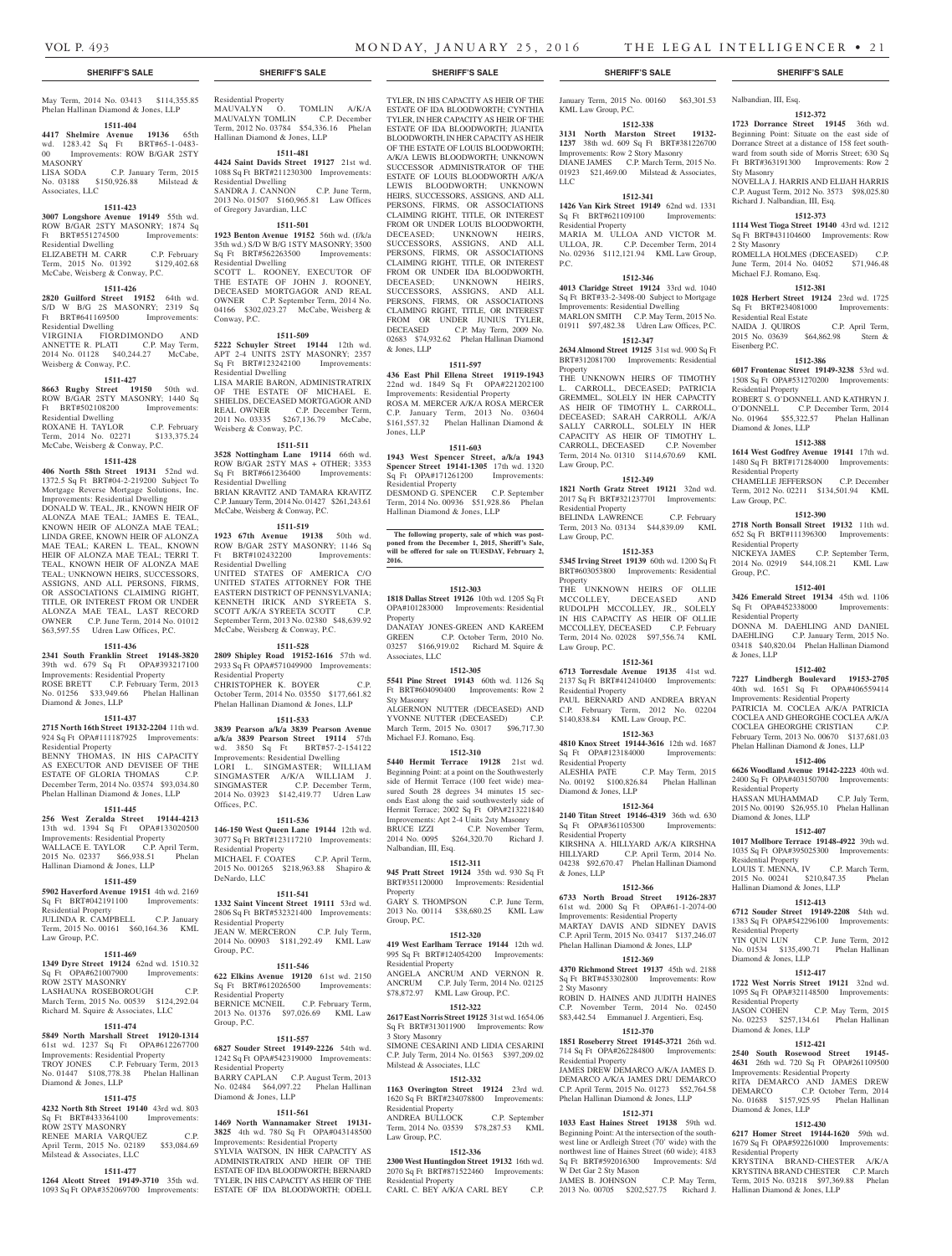MASONRY

Associates, LLC

Residential Dwelling

Residential Dwelling

Weisberg & Conway, P.C.

Residential Dwelling<br>ROXANE H. TAYLOR

Diamond & Jones, LLP

Residential Property

**1511-437 2715 North 16th Street 19132-2204** 11th wd. 924 Sq Ft OPA#111187925 Improvements:

BENNY THOMAS, IN HIS CAPACITY AS EXECUTOR AND DEVISEE OF THE ESTATE OF GLORIA THOMAS C.P. December Term, 2014 No. 03574 \$93,034.80 Phelan Hallinan Diamond & Jones, LLP **1511-445 256 West Zeralda Street 19144-4213**  13th wd. 1394 Sq Ft OPA#133020500 Improvements: Residential Property WALLACE E. TAYLOR C.P. April Term, 2015 No. 02337 \$66,938.51 Phelan

Hallinan Diamond & Jones, LLP

Residential Property

ROW 2STY MASONRY

Diamond & Jones, LLP

ROW 2STY MASONRY

April Term, 2015 No. 02189 Milstead & Associates, LLC

Law Group, P.C.

**1511-459 5902 Haverford Avenue 19151** 4th wd. 2169 Sq Ft BRT#042191100 Improvements:

JULINDA R. CAMPBELL C.P. January Term, 2015 No. 00161 \$60,164.36 KML

**1511-469 1349 Dyre Street 19124** 62nd wd. 1510.32 Sq Ft OPA#621007900 Improvements:

LASHAUNA ROSEBOROUGH C.P. March Term, 2015 No. 00539 \$124,292.04 Richard M. Squire & Associates, LLC **1511-474 5849 North Marshall Street 19120-1314**  wd. 1237 Sq Ft OPA#612267 Improvements: Residential Property TROY JONES C.P. February Term, 2013 No. 01447 \$108,778.38 Phelan Hallinan

**1511-475 4232 North 8th Street 19140** 43rd wd. 803 Sq Ft BRT#433364100 Improvements:

RENEE MARIA VARQUEZ C.P.<br>April Term. 2015 No. 02189 \$53.084.69

**1511-477 1264 Alcott Street 19149-3710** 35th wd. 1093 Sq Ft OPA#352069700 Improvements:

Phelan Hallinan Diamond & Jones, LLP **1511-404 4417 Shelmire Avenue 19136** 65th wd. 1283.42 Sq Ft BRT#65-1-0483- 00 Improvements: ROW B/GAR 2STY<br>MASONRY

LISA SODA C.P. January Term, 2015 No. 03188 \$150,926.88 Milstead &

**1511-423 3007 Longshore Avenue 19149** 55th wd. ROW B/GAR 2STY MASONRY; 1874 Sq Ft BRT#551274500 Improvements:

ELIZABETH M. CARR C.P. February Term, 2015 No. 01392 \$129,402.68 McCabe, Weisberg & Conway, P.C. **1511-426 2820 Guilford Street 19152** 64th wd. S/D W B/G 2S MASONRY; 2319 Sq Ft BRT#641169500 Improvements:

VIRGINIA FIORDIMONDO AND ANNETTE R. PLATI C.P. May Term, 2014 No. 01128 \$40,244.27 McCabe,

**1511-427 8663 Rugby Street 19150** 50th wd. ROW B/GAR 2STY MASONRY; 1440 Sq Ft BRT#502108200 Improvements:

ROXANE H. TAYLOR C.P. February Term, 2014 No. 02271 \$133,375.24 McCabe, Weisberg & Conway, P.C. **1511-428 406 North 58th Street 19131** 52nd wd. 1372.5 Sq Ft BRT#04-2-219200 Subject To Mortgage Reverse Mortgage Solutions, Inc. Improvements: Residential Dwelling DONALD W. TEAL, JR., KNOWN HEIR OF ALONZA MAE TEAL; JAMES E. TEAL, KNOWN HEIR OF ALONZA MAE TEAL; LINDA GREE, KNOWN HEIR OF ALONZA MAE TEAL; KAREN L. TEAL, KNOWN HEIR OF ALONZA MAE TEAL; TERRI T. TEAL, KNOWN HEIR OF ALONZA MAE TEAL; UNKNOWN HEIRS, SUCCESSORS, ASSIGNS, AND ALL PERSONS, FIRMS, OR ASSOCIATIONS CLAIMING RIGHT, TITLE, OR INTEREST FROM OR UNDER ALONZA MAE TEAL, LAST RECORD OWNER C.P. June Term, 2014 No. 01012 \$63,597.55 Udren Law Offices, P.C. **1511-436 2341 South Franklin Street 19148-3820**  39th wd. 679 Sq Ft OPA#393217100 Improvements: Residential Property ROSE BRETT C.P. February Term, 2013 No. 01256 \$33,949.66 Phelan Hallinan

#### **SHERIFF'S SALE SHERIFF'S SALE SHERIFF'S SALE SHERIFF'S SALE SHERIFF'S SALE**

#### May Term, 2014 No. 03413 \$114,355.85 Residential Property MAUVALYN O. TOMLIN A/K/A MAUVALYN TOMLIN C.P. December Term, 2012 No. 03784 \$54,336.16 Phelan Hallinan Diamond & Jones, LLP

#### **1511-481**

**4424 Saint Davids Street 19127** 21st wd. 1088 Sq Ft BRT#211230300 Improvements: Residential Dwelling SANDRA J. CANNON C.P. June Term, 2013 No. 01507 \$160,965.81 Law Offices of Gregory Javardian, LLC

#### **1511-501**

**1923 Benton Avenue 19152** 56th wd. (f/k/a 35th wd.) S/D W B/G 1STY MASONRY; 3500 Sq Ft BRT#562263500 Improvements: Residential Dwelling SCOTT L. ROONEY, EXECUTOR OF THE ESTATE OF JOHN J. ROONEY, DECEASED MORTGAGOR AND REAL OWNER C.P. September Term, 2014 No. 04166 \$302,023.27 McCabe, Weisberg & Conway, P.C.

#### **1511-509**

**5222 Schuyler Street 19144** 12th wd. APT 2-4 UNITS 2STY MASONRY; 2357 Sq Ft BRT#123242100 Improvements: Residential Dwelling LISA MARIE BARON, ADMINISTRATRIX OF THE ESTATE OF MICHAEL E. SHIELDS, DECEASED MORTGAGOR AND

REAL OWNER C.P. December Term, 2011 No. 03335 \$267,136.79 McCabe, Weisberg & Conway, P.C.

### **1511-511**

**3528 Nottingham Lane 19114** 66th wd. ROW B/GAR 2STY MAS + OTHER; 3353 Sq Ft BRT#661236400 Improvements: Residential Dwelling BRIAN KRAVITZ AND TAMARA KRAVITZ C.P. January Term, 2014 No. 01427 \$261,243.61 McCabe, Weisberg & Conway, P.C.

# **1511-519**

**1923 67th Avenue 19138** 50th wd. ROW B/GAR 2STY MASONRY; 1146 Sq Ft BRT#102432200 Improvements: Residential Dwelling

UNITED STATES OF AMERICA C/O UNITED STATES OF THE CONTROL ON THE EASTERN DISTRICT OF PENNSYLVANIA; KENNETH IRICK AND SYREETA S. SCOTT A/K/A SYREETA SCOTT C.P. September Term, 2013 No. 02380 \$48,639.92 McCabe, Weisberg & Conway, P.C.

#### **1511-528**

**2809 Shipley Road 19152-1616** 57th wd. 2933 Sq Ft OPA#571049900 Improvements: Residential Property CHRISTOPHER K. BOYER C.P. October Term, 2014 No. 03550 \$177,661.82 Phelan Hallinan Diamond & Jones, LLP

#### **1511-533**

**3839 Pearson a/k/a 3839 Pearson Avenue a/k/a 3839 Pearson Street 19114** 57th wd. 3850 Sq Ft BRT#57-2-154122 Improvements: Residential Dwelling LORI L. SINGMASTER; WILLIAM SINGMASTER A/K/A WILLIAM J. SINGMASTER C.P. December Term, 2014 No. 03923 \$142,419.77 Udren Law Offices, P.C.

#### **1511-536**

**146-150 West Queen Lane 19144** 12th wd. 3077 Sq Ft BRT#123117210 Improvements: Residential Property MICHAEL F. COATES C.P. April Term, 2015 No. 001265 \$218,963.88 Shapiro & DeNardo, LLC

#### **1511-541**

**1332 Saint Vincent Street 19111** 53rd wd. 2806 Sq Ft BRT#532321400 Improvements: Residential Property JEAN W. MERCERON C.P. July Term, **JEAN W. MERCERON** C.P. July Term,<br>2014 No. 00903 \$181,292.49 KML Law Group, P.C.

#### **1511-546**

**622 Elkins Avenue 19120** 61st wd. 2150 Sq Ft BRT#612026500 Improvements: Residential Property<br>BERNICE MCNEIL C.P. February Term, 2013 No. 01376 \$97,026.69 KML Law Group, P.C.

#### **1511-557**

**6827 Souder Street 19149-2226** 54th wd. 1242 Sq Ft OPA#542319000 Improvements: Residential Property BARRY CAPLAN C.P. August Term, 2013 No. 02484 \$64,097.22 Phelan Hallinan Diamond & Jones, LLP

#### **1511-561**

**1469 North Wannamaker Street 19131- 3825** 4th wd. 780 Sq Ft OPA#043148500 Improvements: Residential Property SYLVIA WATSON, IN HER CAPACITY AS ADMINISTRATRIX AND HEIR OF THE ESTATE OF IDA BLOODWORTH; BERNARD

TYLER, IN HIS CAPACITY AS HEIR OF THE ESTATE OF IDA BLOODWORTH; ODELL

TYLER, IN HIS CAPACITY AS HEIR OF THE ESTATE OF IDA BLOODWORTH; CYNTHIA TYLER, IN HER CAPACITY AS HEIR OF THE ESTATE OF IDA BLOODWORTH; JUANITA BLOODWORTH, IN HER CAPACITY AS HEIR OF THE ESTATE OF LOUIS BLOODWORTH;

A/K/A LEWIS BLOODWORTH; UNKNOWN SUCCESSOR ADMINISTRATOR OF THE ESTATE OF LOUIS BLOODWORTH A/K/A LEWIS BLOODWORTH; UNKNOWN HEIRS, SUCCESSORS, ASSIGNS, AND ALL PERSONS, FIRMS, OR ASSOCIATIONS CLAIMING RIGHT, TITLE, OR INTEREST FROM OR UNDER LOUIS BLOODWORTH, DECEASED; UNKNOWN HEIRS, SUCCESSORS, ASSIGNS, AND ALL PERSONS, FIRMS, OR ASSOCIATIONS CLAIMING RIGHT, TITLE, OR INTEREST FROM OR UNDER IDA BLOODWORTH, DECEASED; UNKNOWN HEIRS, SUCCESSORS, ASSIGNS, AND ALL PERSONS, FIRMS, OR ASSOCIATIONS CLAIMING RIGHT, TITLE, OR INTEREST FROM OR UNDER JUNIUS TYLER,<br>DECEASED C.P. May Term. 2009 No. C.P. May Term, 2009 No. 02683 \$74,932.62 Phelan Hallinan Diamond & Jones, LLP

#### **1511-597**

**436 East Phil Ellena Street 19119-1943**  22nd wd. 1849 Sq Ft OPA#221202100 Improvements: Residential Property ROSA M. MERCER A/K/A ROSA MERCER C.P. January Term, 2013 No. 03604 \$161,557.32 Phelan Hallinan Diamond & Jones, LLP

#### **1511-603**

**1943 West Spencer Street, a/k/a 1943 Spencer Street 19141-1305** 17th wd. 1320 Sq Ft OPA#171261200 Improvements: Residential Property DESMOND G. SPENCER C.P. September Term, 2014 No. 00936 \$51,928.86 Phelan Hallinan Diamond & Jones, LLP

**The following property, sale of which was post-poned from the December 1, 2015, Sheriff's Sale, will be offered for sale on TUESDAY, February 2,** 

**2016.**

**1512-303 1818 Dallas Street 19126** 10th wd. 1205 Sq Ft OPA#101283000 Improvements: Residential Property DANATAY JONES-GREEN AND KAREEM

GREEN C.P. October Term, 2010 No. 03257 \$166,919.02 Richard M. Squire & Associates, LLC

#### **1512-305**

**5541 Pine Street 19143** 60th wd. 1126 Sq Ft BRT#604090400 Improvements: Row 2 Sty Masonry ALGERNON NUTTER (DECEASED) AND YVONNE NUTTER (DECEASED) C.P.

YVONNE NUTTER (DECEASED) March Term, 2015 No. 03017 \$96,717.30 Michael F.J. Romano, Esq.

# **1512-310**

**5440 Hermit Terrace 19128** 21st wd. Beginning Point: at a point on the Southwesterly side of Hermit Terrace (100 feet wide) measured South 28 degrees 34 minutes 15 seconds East along the said southwesterly side of Hermit Terrace; 2002 Sq Ft OPA#213221840 Improvements: Apt 2-4 Units 2sty Masonry BRUCE IZZI C.P. November Term, 2014 No. 0095 \$264,320.70 Richard J. Nalbandian, III, Esq.

## **1512-311**

**945 Pratt Street 19124** 35th wd. 930 Sq Ft BRT#351120000 Improvements: Residential Property GARY S. THOMPSON C.P. June Term, 2013 No. 00114 \$38,680.25 KML Law Group, P.C.

#### **1512-320**

**419 West Earlham Terrace 19144** 12th wd. 995 Sq Ft BRT#124054200 Improvements: Residential Property ANGELA ANCRUM AND VERNON R. ANCRUM C.P. July Term, 2014 No. 02125 \$78,872.97 KML Law Group, P.C.

# **1512-322**

**2617 East Norris Street 19125** 31st wd. 1654.06 Sq Ft BRT#313011900 Improvements: Row 3 Story Masonry SIMONE CESARINI AND LIDIA CESARINI C.P. July Term, 2014 No. 01563 \$397,209.02

#### Milstead & Associates, LLC **1512-332**

**1163 Overington Street 19124** 23rd wd. 1620 Sq Ft BRT#234078800 Improvements: Residential Property ANDREA BULLOCK C.P. September Term, 2014 No. 03539 \$78,287.53 KML Law Group, P.C.

### **1512-336**

**2300 West Huntingdon Street 19132** 16th wd. 2070 Sq Ft BRT#871522460 Improvements: Residential Property CARL C. BEY A/K/A CARL BEY C.P.

KML Law Group, P.C. **1512-338 3131 North Marston Street 19132- 1237** 38th wd. 609 Sq Ft BRT#381226700 Improvements: Row 2 Story Masonry

DIANE JAMES C.P. March Term, 2015 No. 01923 \$21,469.00 Milstead & Associates, LLC **1512-341**

#### **1426 Van Kirk Street 19149** 62nd wd. 1331

Sq Ft BRT#621109100 Improvements: Residential Property MARIA M. ULLOA AND VICTOR M. ULLOA, JR. C.P. December Term, 2014 No. 02936 \$112,121.94 KML Law Group, P.C.

# **1512-346**

**4013 Claridge Street 19124** 33rd wd. 1040 Sq Ft BRT#33-2-3498-00 Subject to Mortgage Improvements: Residential Dwelling MARLON SMITH C.P. May Term, 2015 No. 01911 \$97,482.38 Udren Law Offices, P.C.

# **1512-347**

**2634 Almond Street 19125** 31st wd. 900 Sq Ft BRT#312081700 Improvements: Residential Property THE UNKNOWN HEIRS OF TIMOTHY

L. CARROLL, DECEASED; PATRICIA GREMMEL, SOLELY IN HER CAPACITY AS HEIR OF TIMOTHY L. CARROLL, DECEASED; SARAH CARROLL A/K/A SALLY CARROLL, SOLELY IN HER CAPACITY AS HEIR OF TIMOTHY L. CARROLL, DECEASED C.P. November Term, 2014 No. 01310 \$114,670.69 KML Law Group, P.C.

#### **1512-349**

**1821 North Gratz Street 19121** 32nd wd. 2017 Sq Ft BRT#321237701 Improvements: Residential Property

BELINDA LAWRENCE C.P. February Term, 2013 No. 03134 \$44,839.09 KML Law Group, P.C.

### **1512-353**

**5345 Irving Street 19139** 60th wd. 1200 Sq Ft BRT#603053800 Improvements: Residential Property THE UNKNOWN HEIRS OF OLLIE MCCOLLEY, DECEASED AND RUDOLPH MCCOLLEY, JR., SOLELY IN HIS CAPACITY AS HEIR OF OLLIE MCCOLLEY, DECEASED C.P. February

Term, 2014 No. 02028 \$97,556.74 KML Law Group, P.C. **1512-361 6713 Torresdale Avenue 19135** 41st wd. 2137 Sq Ft BRT#412410400 Improvements: Residential Property PAUL BERNARD AND ANDREA BRYAN

C.P. February Term, 2012 No. 02204 \$140,838.84 KML Law Group, P.C. **1512-363**

# **4810 Knox Street 19144-3616** 12th wd. 1687

Sq Ft OPA#123184000 Improvements: Residential Property ALESHIA PATE C.P. May Term, 2015 No. 00192 \$100,826.84 Phelan Hallinan Diamond & Jones, LLP

**1512-364 2140 Titan Street 19146-4319** 36th wd. 630

Sq Ft OPA#361105300 Improvements: Residential Property KIRSHNA A. HILLYARD A/K/A KIRSHNA HILLYARD C.P. April Term, 2014 No.

04238 \$92,670.47 Phelan Hallinan Diamond & Jones, LLP **1512-366**

**6733 North Broad Street 19126-2837** 61st wd. 2000 Sq Ft OPA#61-1-2074-00 Improvements: Residential Property MARTAY DAVIS AND SIDNEY DAVIS C.P. April Term, 2015 No. 03417 \$137,246.07 Phelan Hallinan Diamond & Jones, LLP

### **1512-369**

**4370 Richmond Street 19137** 45th wd. 2188 Sq Ft BRT#453302800 Improvements: Row 2 Sty Masonry ROBIN D. HAINES AND JUDITH HAINES C.P. November Term, 2014 No. 02450 \$83,442.54 Emmanuel J. Argentieri, Esq.

# **1512-370**

**1851 Roseberry Street 19145-3721** 26th wd. 714 Sq Ft OPA#262284800 Improvements: Residential Property

JAMES DREW DEMARCO A/K/A JAMES D. DEMARCO A/K/A JAMES DRU DEMARCO C.P. April Term, 2015 No. 01273 \$52,764.58 Phelan Hallinan Diamond & Jones, LLP

# **1512-371**

**1033 East Haines Street 19138** 59th wd. Beginning Point: At the intersection of the southwest line or Ardleigh Street (70' wide) with the northwest line of Haines Street (60 wide); 4183 Sq Ft BRT#592016300 Improvements: S/d W Det Gar 2 Sty Mason JAMES B. JOHNSON C.P. May Term,

2013 No. 00705 \$202,527.75 Richard J.

# January Term, 2015 No. 00160 \$63,301.53 Nalbandian, III, Esq.

**1512-372 1723 Dorrance Street 19145** 36th wd. Beginning Point: Situate on the east side of Dorrance Street at a distance of 158 feet southward from south side of Morris Street; 630 Sq Ft BRT#363191300 Improvements: Row 2 Sty Masonry

NOVELLA J. HARRIS AND ELIJAH HARRIS C.P. August Term, 2012 No. 3573 \$98,025.80 Richard J. Nalbandian, III, Esq.

#### **1512-373**

**1114 West Tioga Street 19140** 43rd wd. 1212 Sq Ft BRT#431104600 Improvements: Row 2 Sty Masonry

#### ROMELLA HOLMES (DECEASED) C.P. June Term, 2014 No. 04052 \$71,946.48

Michael F.J. Romano, Esq. **1512-381 1028 Herbert Street 19124** 23rd wd. 1725 Sq Ft BRT#234081000 Improvements: Residential Real Estate NAIDA J. QUIROS C.P. April Term, 2015 No. 03639 \$64,862.98 Stern &

#### Eisenberg P.C.

**1512-386 6017 Frontenac Street 19149-3238** 53rd wd. 1508 Sq Ft OPA#531270200 Improvements: Residential Property

ROBERT S. O'DONNELL AND KATHRYN J. O'DONNELL C.P. December Term, 2014 No. 01964 \$55,322.57 Phelan Hallinan Diamond & Jones, LLP **1512-388**

Residential Property

Residential Property

Residential Property

Diamond & Jones, LLP

Residential Property

Residential Property

Residential Property

Diamond & Jones, LLP

Diamond & Jones, LLP

Residential Property

Hallinan Diamond & Jones, LLP

Diamond & Jones, LLP

Hallinan Diamond & Jones, LLP

& Jones, LLP

Group, P.C.

**1614 West Godfrey Avenue 19141** 17th wd. 1480 Sq Ft BRT#171284000 Improvements: Residential Property CHAMELLE JEFFERSON C.P. December Term, 2012 No. 02211 \$134,501.94 KML Law Group, P.C.

**1512-390 2718 North Bonsall Street 19132** 11th wd. 652 Sq Ft BRT#111396300 Improvements:

NICKEYA JAMES C.P. September Term, 2014 No. 02919 \$44,108.21 KML Law

**1512-401 3426 Emerald Street 19134** 45th wd. 1106 Sq Ft OPA#452338000 Improvements:

DONNA M. DAEHLING AND DANIEL DAEHLING C.P. January Term, 2015 No. 03418 \$40,820.04 Phelan Hallinan Diamond

**1512-402 7227 Lindbergh Boulevard 19153-2705** 40th wd. 1651 Sq Ft OPA#406559414 Improvements: Residential Property PATRICIA M. COCLEA A/K/A PATRICIA COCLEA AND GHEORGHE COCLEA A/K/A COCLEA GHEORGHE CRISTIAN C.P. February Term, 2013 No. 00670 \$137,681.03 Phelan Hallinan Diamond & Jones, LLP **1512-406 6626 Woodland Avenue 19142-2223** 40th wd. 2400 Sq Ft OPA#403150700 Improvements:

HASSAN MUHAMMAD C.P. July Term, 2015 No. 00190 \$26,955.10 Phelan Hallinan

**1512-407 1017 Mollbore Terrace 19148-4922** 39th wd. 1035 Sq Ft OPA#395025300 Improvements:

LOUIS T. MENNA, IV C.P. March Term, 2015 No. 00241 \$210,847.35 Phelan

**1512-413 6712 Souder Street 19149-2208** 54th wd. 1383 Sq Ft OPA#542296100 Improvements:

YIN QUN LUN C.P. June Term, 2012 No. 01534 \$135,490.71 Phelan Hallinan

**1512-417 1722 West Norris Street 19121** 32nd wd. 1095 Sq Ft OPA#321148500 Improvements:

JASON COHEN C.P. May Term, 2015 No. 02253 \$257,134.61 Phelan Hallinan

**1512-421 2540 South Rosewood Street 19145- 4631** 26th wd. 720 Sq Ft OPA#261109500 Improvements: Residential Property RITA DEMARCO AND JAMES DREW DEMARCO C.P. October Term, 2014 No. 01688 \$157,925.95 Phelan Hallinan

**1512-430 6217 Homer Street 19144-1620** 59th wd. 1679 Sq Ft OPA#592261000 Improvements:

KRYSTINA BRAND-CHESTER A/K/A KRYSTINA BRAND CHESTER C.P. March Term, 2015 No. 03218 \$97,369.88 Phelan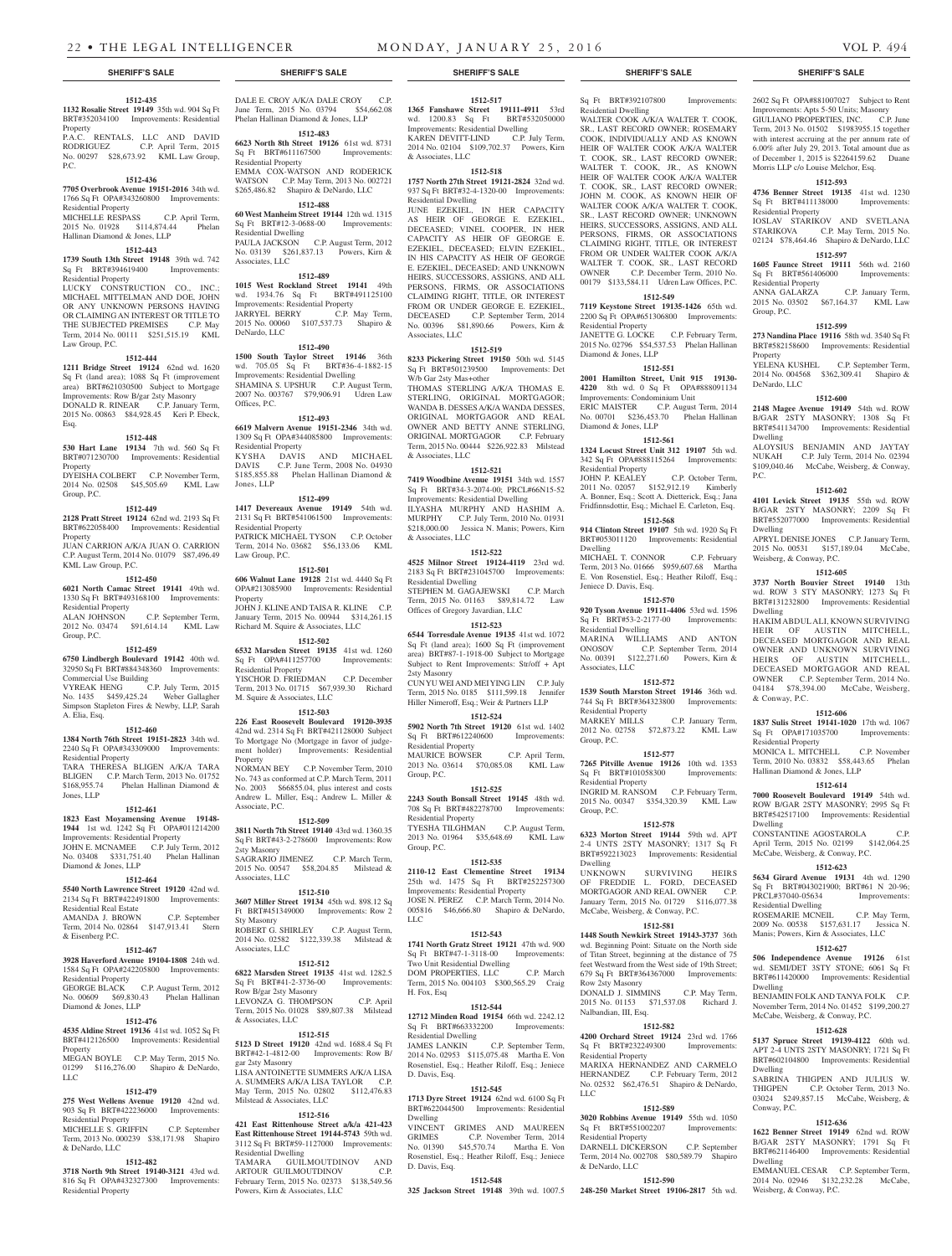**1512-435 1132 Rosalie Street 19149** 35th wd. 904 Sq Ft BRT#352034100 Improvements: Residential

P.A.C. RENTALS, LLC AND DAVID RODRIGUEZ C.P. April Term, 2015 No. 00297 \$28,673.92 KML Law Group,

**1512-436**

**1512-443 1739 South 13th Street 19148** 39th wd. 742 Sq Ft BRT#394619400 Improvements:

LUCKY CONSTRUCTION CO., INC.; MICHAEL MITTELMAN AND DOE, JOHN OR ANY UNKNOWN PERSONS HAVING OR CLAIMING AN INTEREST OR TITLE TO<br>THE SUBJECTED PREMISES C.P. May THE SUBJECTED PREMISES Term, 2014 No. 00111 \$251,515.19 KML

**1512-444 1211 Bridge Street 19124** 62nd wd. 1620 Sq Ft (land area); 1088 Sq Ft (improvement area) BRT#621030500 Subject to Mortgage Improvements: Row B/gar 2sty Masonry DONALD R. RINEAR C.P. January Term, 2015 No. 00863 \$84,928.45 Keri P. Ebeck,

**1512-448 530 Hart Lane 19134** 7th wd. 560 Sq Ft BRT#071230700 Improvements: Residential

DYEISHA COLBERT C.P. November Term, 2014 No. 02508 \$45,505.69 KML Law

**1512-449 2128 Pratt Street 19124** 62nd wd. 2193 Sq Ft BRT#622058400 Improvements: Residential

JUAN CARRION A/K/A JUAN O. CARRION C.P. August Term, 2014 No. 01079 \$87,496.49

**1512-450 6021 North Camac Street 19141** 49th wd. 1330 Sq Ft BRT#493168100 Improvements:

2012 No. 03474 \$91,614.14 KML Law

**1512-459 6750 Lindbergh Boulevard 19142** 40th wd.<br>32950 Sq Ft BRT#884348360 Improvements: 32950 Sq Ft BRT#884348360 Improvements:

VYREAK HENG C.P. July Term, 2015 No. 1435 \$459,425.24 Weber Gallagher Simpson Stapleton Fires & Newby, LLP, Sarah

**1512-460 1384 North 76th Street 19151-2823** 34th wd. 2240 Sq Ft OPA#343309000 Improvements:

TARA THERESA BLIGEN A/K/A TARA BLIGEN C.P. March Term, 2013 No. 01752 \$168,955.74 Phelan Hallinan Diamond &

**1512-461 1823 East Moyamensing Avenue 19148- 1944** 1st wd. 1242 Sq Ft OPA#011214200 Improvements: Residential Property JOHN E. MCNAMEE C.P. July Term, 2012 No. 03408 \$331,751.40 Phelan Hallinan

**1512-464 5540 North Lawrence Street 19120** 42nd wd. 2134 Sq Ft BRT#422491800 Improvements:

AMANDA J. BROWN C.P. September Term, 2014 No. 02864 \$147,913.41 Stern

**1512-467 3928 Haverford Avenue 19104-1808** 24th wd. 1584 Sq Ft OPA#242205800 Improvements:

GEORGE BLACK C.P. August Term, 2012 No. 00609 \$69,830.43 Phelan Hallinan

**1512-476 4535 Aldine Street 19136** 41st wd. 1052 Sq Ft BRT#412126500 Improvements: Residential

MEGAN BOYLE C.P. May Term, 2015 No. 01299 \$116,276.00 Shapiro & DeNardo,

**1512-479 275 West Wellens Avenue 19120** 42nd wd. 903 Sq Ft BRT#422236000 Improvements:

MICHELLE S. GRIFFIN C.P. September Term, 2013 No. 000239 \$38,171.98 Shapiro

**1512-482 3718 North 9th Street 19140-3121** 43rd wd. 816 Sq Ft OPA#432327300 Improvements:

C.P. September Term,

Property

P.C.

Residential Property

Residential Property

Law Group, P.C.

Esq.

Property

Property

KML Law Group, P.C.

Residential Property<br>ALAN JOHNSON

Commercial Use Building

Group, P.C.

A. Elia, Esq.

Jones, LLP

Residential Property

Diamond & Jones, LLP

Residential Real Estate

& Eisenberg P.C.

Residential Property

**Property** 

LLC

Diamond & Jones, LLP

Residential Property

& DeNardo, LLC

Residential Property

Group, P.C.

2015 No. 01928 \$114,874.44 Hallinan Diamond & Jones, LLP

# **1512-517**

**1365 Fanshawe Street 19111-4911** 53rd<br>wd. 1200.83 Sq Ft BRT#532050000 wd. 1200.83 Sq Ft Improvements: Residential Dwelling KAREN DEVITT-LIND C.P. July Term, 2014 No. 02104 \$109,702.37 Powers, Kirn & Associates, LLC

# **1512-518**

#### **1757 North 27th Street 19121-2824** 32nd wd. 937 Sq Ft BRT#32-4-1320-00 Improvements: Residential Dwelling

JUNE EZEKIEL, IN HER CAPACITY AS HEIR OF GEORGE E. EZEKIEL, DECEASED; VINEL COOPER, IN HER CAPACITY AS HEIR OF GEORGE E. EZEKIEL, DECEASED; ELVIN EZEKIEL, IN HIS CAPACITY AS HEIR OF GEORGE E. EZEKIEL, DECEASED; AND UNKNOWN HEIRS, SUCCESSORS, ASSIGNS, AND ALL PERSONS, FIRMS, OR ASSOCIATIONS CLAIMING RIGHT, TITLE, OR INTEREST FROM OR UNDER GEORGE E. EZEKIEL, DECEASED C.P. September Term, 2014 No. 00396 \$81,890.66 Powers, Kirn & Associates, LLC

#### **1512-519**

**8233 Pickering Street 19150** 50th wd. 5145 Sq Ft BRT#501239500 Improvements: Det W/b Gar 2sty Mas+other THOMAS STERLING A/K/A THOMAS E. STERLING, ORIGINAL MORTGAGOR; WANDA B. DESSES A/K/A WANDA DESSES, ORIGINAL MORTGAGOR AND REAL OWNER AND BETTY ANNE STERLING, ORIGINAL MORTGAGOR C.P. February Term, 2015 No. 00444 \$226,922.83 Milstead & Associates, LLC

### **1512-521**

**7419 Woodbine Avenue 19151** 34th wd. 1557 Sq Ft BRT#34-3-2074-00; PRCL#66N15-52 Improvements: Residential Dwelling ILYASHA MURPHY AND HASHIM A. MURPHY C.P. July Term, 2010 No. 01931 \$218,000.00 Jessica N. Manis; Powers, Kirn & Associates, LLC

# **1512-522**

**4525 Milnor Street 19124-4119** 23rd wd. 2183 Sq Ft BRT#231045700 Improvements: Residential Dwelling STEPHEN M. GAGAJEWSKI C.P. March Term, 2015 No. 01163 \$89,814.72 Law Offices of Gregory Javardian, LLC

# **1512-523**

**6544 Torresdale Avenue 19135** 41st wd. 1072 Sq Ft (land area); 1600 Sq Ft (improvement area) BRT#87-1-1918-00 Subject to Mortgage Subject to Rent Improvements: Str/off + Apt 2sty Masonry CUN YU WEI AND MEI YING LIN C.P. July Term, 2015 No. 0185 \$111,599.18 Jennifer

Hiller Nimeroff, Esq.; Weir & Partners LLP **1512-524**

#### **5902 North 7th Street 19120** 61st wd. 1402 Sq Ft BRT#612240600 Improvements: Residential Property

MAURICE BOWSER C.P. April Term, 2013 No. 03614 \$70,085.08 KML Law Group, P.C.

### **1512-525**

**2243 South Bonsall Street 19145** 48th wd. 708 Sq Ft BRT#482278700 Improvements: Residential Property TYESHA TILGHMAN C.P. August Term,<br>2013 No. 01964 \$35,648.69 KML Law 2013 No. 01964 \$35,648.69 Group, P.C.

#### **1512-535 2110-12 East Clementine Street 19134**  25th wd. 1475 Sq Ft BRT#252257300 Improvements: Residential Property JOSE N. PEREZ C.P. March Term, 2014 No. 005816 \$46,666.80 Shapiro & DeNardo, LLC

#### **1512-543**

**1741 North Gratz Street 19121** 47th wd. 900 Sq Ft BRT#47-1-3118-00 Improvements: Two Unit Residential Dwelling DOM PROPERTIES, LLC C.P. March

Term, 2015 No. 004103 \$300,565.29 Craig H. Fox, Esq **1512-544**

# **12712 Minden Road 19154** 66th wd. 2242.12

Sq Ft BRT#663332200 Improvements: Residential Dwelling<br>IAMES JANKIN C.P. September 2014 2014 No. 02953 \$115,075.48 Martha E. Von Rosenstiel, Esq.; Heather Riloff, Esq.; Jeniece D. Davis, Esq.

# **1512-545**

**1713 Dyre Street 19124** 62nd wd. 6100 Sq Ft BRT#622044500 Improvements: Residential Dwelling

VINCENT GRIMES AND MAUREEN<br>GRIMES C.P. November Term. 2014 GRIMES C.P. November Term, 2014<br>No. 01390 \$45 570 74 Martha E. Von  $\sqrt{45,570.74}$  Martha E. Von Rosenstiel, Esq.; Heather Riloff, Esq.; Jeniece D. Davis, Esq.

# **1512-548**

**325 Jackson Street 19148** 39th wd. 1007.5

Sq Ft BRT#392107800 Improvements:

Residential Dwelling WALTER COOK A/K/A WALTER T. COOK. SR., LAST RECORD OWNER; ROSEMARY COOK, INDIVIDUALLY AND AS KNOWN HEIR OF WALTER COOK A/K/A WALTER T. COOK, SR., LAST RECORD OWNER; WALTER T. COOK, JR., AS KNOWN HEIR OF WALTER COOK A/K/A WALTER T. COOK, SR., LAST RECORD OWNER; JOHN M. COOK, AS KNOWN HEIR OF WALTER COOK A/K/A WALTER T. COOK, SR., LAST RECORD OWNER; UNKNOWN HEIRS, SUCCESSORS, ASSIGNS, AND ALL PERSONS, FIRMS, OR ASSOCIATIONS CLAIMING RIGHT, TITLE, OR INTEREST FROM OR UNDER WALTER COOK A/K/A WALTER T. COOK, SR., LAST RECORD<br>OWNER C.P. December Term. 2010 No. C.P. December Term, 2010 No. 00179 \$133,584.11 Udren Law Offices, P.C. **1512-549**

**7119 Keystone Street 19135-1426** 65th wd. 2200 Sq Ft OPA#651306800 Improvements:

Residential Property JANETTE G. LOCKE C.P. February Term, 2015 No. 02796 \$54,537.53 Phelan Hallinan Diamond & Jones, LLP

#### **1512-551**

**2001 Hamilton Street, Unit 915 19130- 4220** 8th wd. 0 Sq Ft OPA#888091134 Improvements: Condominium Unit ERIC MAISTER C.P. August Term, 2014 No. 00701 \$236,453.70 Phelan Hallinan

Diamond & Jones, LLP **1512-561**

**1324 Locust Street Unit 312 19107** 5th wd. 342 Sq Ft OPA#888115264 Improvements: Residential Property<br>JOHN P. KEALEY C.P. October Term, 2011 No. 02057 \$152,912.19 Kimberly A. Bonner, Esq.; Scott A. Dietterick, Esq.; Jana Fridfinnsdottir, Esq.; Michael E. Carleton, Esq.

**1512-568 914 Clinton Street 19107** 5th wd. 1920 Sq Ft BRT#053011120 Improvements: Residential

Dwelling MICHAEL T. CONNOR C.P. February Term, 2013 No. 01666 \$959,607.68 Martha E. Von Rosenstiel, Esq.; Heather Riloff, Esq.; Jeniece D. Davis, Esq.

# **1512-570**

**920 Tyson Avenue 19111-4406** 53rd wd. 1596 Sq Ft BRT#53-2-2177-00 Improvements: Residential Dwelling MARINA WILLIAMS AND ANTON<br>ONOSOV C.P. September Term, 2014 C.P. September Term, 2014 No. 00391 \$122,271.60 Powers, Kirn & Associates, LLC

# **1512-572**

**1539 South Marston Street 19146** 36th wd. 744 Sq Ft BRT#364323800 Improvements: Residential Property MARKEY MILLS C.P. January Term, 2012 No. 02758 \$72,873.22 KML Law Group, P.C.

# **1512-577**

**7265 Pitville Avenue 19126** 10th wd. 1353 Sq Ft BRT#101058300 Improvements: Residential Property INGRID M. RANSOM C.P. February Term, 2015 No. 00347 \$354,320.39 KML Law Group, P.C.

# **1512-578**

**6323 Morton Street 19144** 59th wd. APT 2-4 UNTS 2STY MASONRY; 1317 Sq Ft BRT#592213023 Improvements: Residential Dwelling

UNKNOWN SURVIVING HEIRS OF FREDDIE L. FORD, DECEASED MORTGAGOR AND REAL OWNER C.P. January Term, 2015 No. 01729 \$116,077.38 McCabe, Weisberg, & Conway, P.C.

# **1512-581**

**1448 South Newkirk Street 19143-3737** 36th wd. Beginning Point: Situate on the North side of Titan Street, beginning at the distance of 75 feet Westward from the West side of 19th Street; 679 Sq Ft BRT#364367000 Improvements: Row 2sty Masonry

DONALD J. SIMMINS C.P. May Term, 2015 No. 01153 \$71,537.08 Richard J. Nalbandian, III, Esq.

#### **1512-582**

**4200 Orchard Street 19124** 23rd wd. 1766 BRT#232249300 Improvements Residential Property

MARIXA HERNANDEZ AND CARMELO HERNANDEZ C.P. February Term, 2012 No. 02532 \$62,476.51 Shapiro & DeNardo, LLC

#### **1512-589**

**3020 Robbins Avenue 19149** 55th wd. 1050<br>Sq Ft BRT#551002207 Improvements: Sq Ft BRT#551002207 Residential Property

DARNELL DICKERSON C.P. September Term, 2014 No. 002708 \$80,589.79 Shapiro & DeNardo, LLC

**1512-590 248-250 Market Street 19106-2817** 5th wd.

#### **SHERIFF'S SALE SHERIFF'S SALE SHERIFF'S SALE SHERIFF'S SALE SHERIFF'S SALE**

2602 Sq Ft OPA#881007027 Subject to Rent Improvements: Apts 5-50 Units; Masonry GIULIANO PROPERTIES, INC. C.P. June Term, 2013 No. 01502 \$1983955.15 together with interest accruing at the per annum rate of 6.00% after July 29, 2013. Total amount due as of December 1, 2015 is \$2264159.62 Duane Morris LLP c/o Louise Melchor, Esq.

#### **1512-593**

**4736 Benner Street 19135** 41st wd. 1230 Sq Ft BRT#411138000 Improvements: Residential Property IOSLAV STARIKOV AND SVETLANA

STARIKOVA C.P. May Term, 2015 No. 02124 \$78,464.46 Shapiro & DeNardo, LLC

#### **1512-597**

**1605 Faunce Street 19111** 56th wd. 2160 Sq Ft BRT#561406000 Improvements: Residential Property ANNA GALARZA C.P. January Term,

2015 No. 03502 \$67,164.37 KML Law Group, P.C.

# **1512-599**

**273 Nandina Place 19116** 58th wd. 3540 Sq Ft BRT#582158600 Improvements: Residential Property

YELENA KUSHEL C.P. September Term, 2014 No. 004568 \$362,309.41 Shapiro & DeNardo, LLC

#### **1512-600**

**2148 Magee Avenue 19149** 54th wd. ROW B/GAR 2STY MASONRY; 1308 Sq Ft BRT#541134700 Improvements: Residential Dwelling

ALOYSIUS BENJAMIN AND JAYTAY NUKAH C.P. July Term, 2014 No. 02394 \$109,040.46 McCabe, Weisberg, & Conway, P.C.

#### **1512-602**

**4101 Levick Street 19135** 55th wd. ROW B/GAR 2STY MASONRY; 2209 Sq Ft BRT#552077000 Improvements: Residential Dwelling

APRYL DENISE JONES C.P. January Term, 2015 No. 00531 \$157,189.04 McCabe, Weisberg, & Conway, P.C.

#### **1512-605**

**3737 North Bouvier Street 19140** 13th wd. ROW 3 STY MASONRY; 1273 Sq Ft BRT#131232800 Improvements: Residential Dwelling

HAKIM ABDUL ALI, KNOWN SURVIVING HEIR OF AUSTIN MITCHELL, DECEASED MORTGAGOR AND REAL OWNER AND UNKNOWN SURVIVING HEIRS OF AUSTIN MITCHELL, DECEASED MORTGAGOR AND REAL OWNER C.P. September Term, 2014 No. 04184 \$78,394.00 McCabe, Weisberg, & Conway, P.C.

#### **1512-606**

**1837 Sulis Street 19141-1020** 17th wd. 1067 Sq Ft OPA#171035700 Improvements: Residential Property MONICA L. MITCHELL C.P. November Term, 2010 No. 03832 \$58,443.65 Phelan Hallinan Diamond & Jones, LLP

# **1512-614**

**7000 Roosevelt Boulevard 19149** 54th wd. ROW B/GAR 2STY MASONRY; 2995 Sq Ft BRT#542517100 Improvements: Residential Dwelling CONSTANTINE AGOSTAROLA

April Term, 2015 No. 02199 \$142,064.25 McCabe, Weisberg, & Conway, P.C.

### **1512-623**

**5634 Girard Avenue 19131** 4th wd. 1290 Sq Ft BRT#043021900; BRT#61 N 20-96; PRCL#37040-05634 Improvements: Residential Dwelling ROSEMARIE MCNEIL C.P. May Term,

2009 No. 00538 \$157,631.17 Jessica N. Manis; Powers, Kirn & Associates, LLC

# **1512-627**

**506 Independence Avenue 19126** 61st wd. SEMI/DET 3STY STONE; 6061 Sq Ft BRT#611420000 Improvements: Residential Dwelling

BENJAMIN FOLK AND TANYA FOLK C.P. November Term, 2014 No. 01452 \$199,200.27 McCabe, Weisberg, & Conway, P.C.

#### **1512-628**

**5137 Spruce Street 19139-4122** 60th wd. APT 2-4 UNTS 2STY MASONRY; 1721 Sq F BRT#602104800 Improvements: Residential Dwelling

SABRINA THIGPEN AND JULIUS W. THIGPEN C.P. October Term, 2013 No. 03024 \$249,857.15 McCabe, Weisberg, & Conway, P.C.

#### **1512-636**

**1622 Benner Street 19149** 62nd wd. ROW B/GAR 2STY MASONRY; 1791 Sq Ft BRT#621146400 Improvements: Residential Dwelling

EMMANUEL CESAR C.P. September Term, 2014 No. 02946 \$132,232.28 McCabe, Weisberg, & Conway, P.C.

#### **7705 Overbrook Avenue 19151-2016** 34th wd. 1766 Sq Ft OPA#343260800 Improvements: MICHELLE RESPASS C.P. April Term,<br>2015 No. 01928 \$114,874.44 Phelan EMMA COX-WATSON AND RODERICK WATSON C.P. May Term, 2013 No. 002721 \$265,486.82 Shapiro & DeNardo, LLC **1512-488 60 West Manheim Street 19144** 12th wd. 1315

Sq Ft BRT#12-3-0688-00 Improvements:

PAULA JACKSON C.P. August Term, 2012 No. 03139 \$261,837.13 Powers, Kirn &

**1512-489 1015 West Rockland Street 19141** 49th wd. 1934.76 Sq Ft BRT#491125100 wd. 1934.76 Sq Ft BRT#4<br>Improvements: Residential Property JARRYEL BERRY C.P. May Term, 2015 No. 00060 \$107,537.73 Shapiro &

**1512-490 1500 South Taylor Street 19146** 36th wd. 705.05 Sq Ft BRT#36-4-1882-15 Improvements: Residential Dwelling SHAMINA S. UPSHUR C.P. August Term, 2007 No. 003767 \$79,906.91 Udren Law

**1512-493 6619 Malvern Avenue 19151-2346** 34th wd. 1309 Sq Ft OPA#344085800 Improvements:

KYSHA DAVIS AND MICHAEL DAVIS C.P. June Term, 2008 No. 04930 \$185,855.88 Phelan Hallinan Diamond &

**1512-499 1417 Devereaux Avenue 19149** 54th wd. 2131 Sq Ft BRT#541061500 Improvements:

PATRICK MICHAEL TYSON C.P. October Term, 2014 No. 03682 \$56,133.06 KML

**1512-501 606 Walnut Lane 19128** 21st wd. 4440 Sq Ft OPA#213085900 Improvements: Residential

JOHN J. KLINE AND TAISA R. KLINE C.P. January Term, 2015 No. 00944 \$314,261.15 Richard M. Squire & Associates, LLC **1512-502 6532 Marsden Street 19135** 41st wd. 1260 Sq Ft OPA#411257700 Improvements:

YISCHOR D. FRIEDMAN C.P. December Term, 2013 No. 01715 \$67,939.30 Richard

**1512-503 226 East Roosevelt Boulevard 19120-3935**  42nd wd. 2314 Sq Ft BRT#421128000 Subject To Mortgage No (Mortgage in favor of judgement holder) Improvements: Residential

NORMAN BEY C.P. November Term, 2010 No. 743 as conformed at C.P. March Term, 2011 No. 2003 \$66855.04, plus interest and costs Andrew L. Miller, Esq.; Andrew L. Miller &

**1512-509 3811 North 7th Street 19140** 43rd wd. 1360.35 Sq Ft BRT#43-2-278600 Improvements: Row

SAGRARIO JIMENEZ C.P. March Term, 2015 No. 00547 \$58,204.85 Milstead &

**1512-510 3607 Miller Street 19134** 45th wd. 898.12 Sq Ft BRT#451349000 Improvements: Row 2

ROBERT G. SHIRLEY C.P. August Term 2014 No. 02582 \$122,339.38 Milstead &

**1512-512 6822 Marsden Street 19135** 41st wd. 1282.5 Sq Ft BRT#41-2-3736-00 Improvements:

LEVONZA G. THOMPSON C.P. April Term, 2015 No. 01028 \$89,807.38 Milstead

**1512-515 5123 D Street 19120** 42nd wd. 1688.4 Sq Ft BRT#42-1-4812-00 Improvements: Row B/

LISA ANTOINETTE SUMMERS A/K/A LISA A. SUMMERS A/K/A LISA TAYLOR C.P. May Term, 2015 No. 02802 \$112,476.83

**1512-516 421 East Rittenhouse Street a/k/a 421-423 East Rittenhouse Street 19144-5743** 59th wd. 3112 Sq Ft BRT#59-1127000 Improvements:

TAMARA GUILMOUTDINOV AND ARTOUR GUILMOUTDINOV C.P. February Term, 2015 No. 02373 \$138,549.56

Sq Ft BRT#611167500 Residential Property

Residential Dwelling

Associates, LLC

DeNardo, LLC

Offices, P.C.

Jones, LLP

Residential Property

Residential Property

Residential Property

M. Squire & Associates, LLC

Law Group, P.C.

**Property** 

Property

Associate, P.C.

2sty Masonry

Associates, LLC

Sty Masonry

Associates, LLC

Row B/gar 2sty Masonry

& Associates, LLC

gar 2sty Masonry

Residential Dwelling

Milstead & Associates, LLC

Powers, Kirn & Associates, LLC

DALE E. CROY A/K/A DALE CROY C.P. June Term, 2015 No. 03794 \$54,662.08 Phelan Hallinan Diamond & Jones, LLP **1512-483 6623 North 8th Street 19126** 61st wd. 8731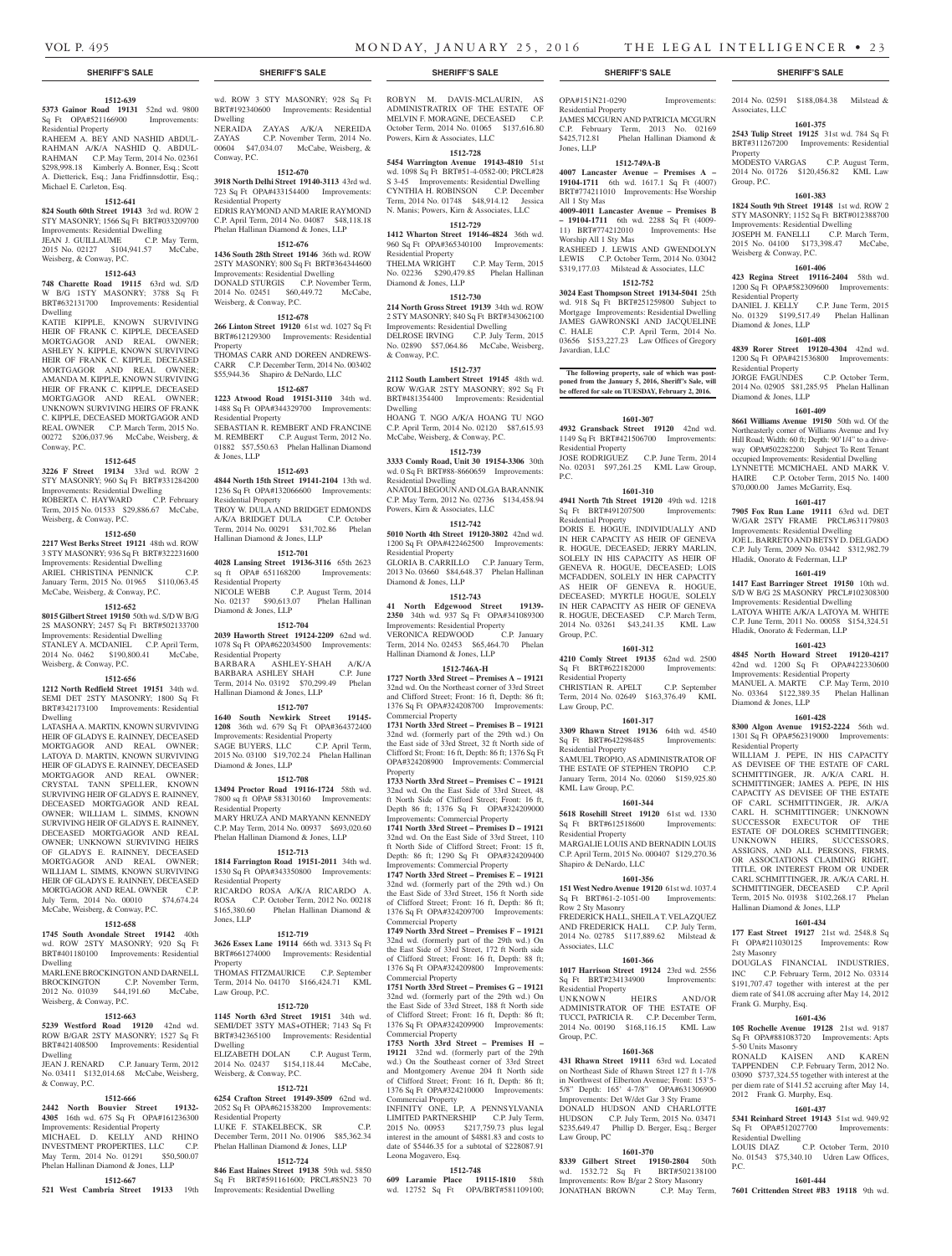### **1512-639**

**5373 Gainor Road 19131** 52nd wd. 9800<br>
Sq Ft OPA#521166900 Improvements: Sq Ft OPA#521166900 Residential Property

RAHEEM A. BEY AND NASHID ABDUL-RAHMAN A/K/A NASHID Q. ABDUL-RAHMAN C.P. May Term, 2014 No. 02361 \$298,998.18 Kimberly A. Bonner, Esq.; Scott A. Dietterick, Esq.; Jana Fridfinnsdottir, Esq.; Michael E. Carleton, Esq.

### **1512-641**

**824 South 60th Street 19143** 3rd wd. ROW 2 STY MASONRY; 1566 Sq Ft BRT#033209700

#### Improvements: Residential Dwelling JEAN J. GUILLAUME C.P. May Term,

2015 No. 02127 \$104,941.57 McCabe, Weisberg, & Conway, P.C.

### **1512-643**

**748 Charette Road 19115** 63rd wd. S/D W B/G 1STY MASONRY; 3788 Sq Ft BRT#632131700 Improvements: Residential Dwelling

KATIE KIPPLE, KNOWN SURVIVING HEIR OF FRANK C. KIPPLE, DECEASED MORTGAGOR AND REAL OWNER; ASHLEY N. KIPPLE, KNOWN SURVIVING HEIR OF FRANK C. KIPPLE, DECEASED MORTGAGOR AND REAL OWNER; AMANDA M. KIPPLE, KNOWN SURVIVING HEIR OF FRANK C. KIPPLE, DECEASED MORTGAGOR AND REAL OWNER; UNKNOWN SURVIVING HEIRS OF FRANK C. KIPPLE, DECEASED MORTGAGOR AND REAL OWNER C.P. March Term, 2015 No. 00272 \$206,037.96 McCabe, Weisberg, & Conway, P.C.

#### **1512-645**

**3226 F Street 19134** 33rd wd. ROW 2 STY MASONRY; 960 Sq Ft BRT#331284200 Improvements: Residential Dwelling ROBERTA C. HAYWARD C.P. February Term, 2015 No. 01533 \$29,886.67 McCabe, Weisberg, & Conway, P.C.

#### **1512-650**

**2217 West Berks Street 19121** 48th wd. ROW 3 STY MASONRY; 936 Sq Ft BRT#322231600 Improvements: Residential Dwelling ARIEL CHRISTINA PENNICK January Term, 2015 No. 01965 \$110,063.45 McCabe, Weisberg, & Conway, P.C.

#### **1512-652**

**8015 Gilbert Street 19150** 50th wd. S/D W B/G 2S MASONRY; 2457 Sq Ft BRT#502133700 Improvements: Residential Dwelling STANLEY A. MCDANIEL C.P. April Term, 2014 No. 0462 \$190,800.41 McCabe, Weisberg, & Conway, P.C.

#### **1512-656**

**1212 North Redfield Street 19151** 34th wd. SEMI DET 2STY MASONRY; 1800 Sq Ft BRT#342173100 Improvements: Residential Dwelling

LATASHA A. MARTIN, KNOWN SURVIVING HEIR OF GLADYS E. RAINNEY, DECEASED MORTGAGOR AND REAL OWNER; LATOYA D. MARTIN, KNOWN SURVIVING HEIR OF GLADYS E. RAINNEY, DECEASED MORTGAGOR AND REAL OWNER; CRYSTAL TANN SPELLER, KNOWN SURVIVING HEIR OF GLADYS E. RAINNEY, DECEASED MORTGAGOR AND REAL OWNER; WILLIAM L. SIMMS, KNOWN SURVIVING HEIR OF GLADYS E. RAINNEY, DECEASED MORTGAGOR AND REAL OWNER; UNKNOWN SURVIVING HEIRS OF GLADYS E. RAINNEY, DECEASED MORTGAGOR AND REAL OWNER; WILLIAM L. SIMMS, KNOWN SURVIVING HEIR OF GLADYS E. RAINNEY, DECEASED MORTGAGOR AND REAL OWNER C.P. July Term, 2014 No. 00010 \$74,674.24 McCabe, Weisberg, & Conway, P.C.

#### **1512-658**

**1745 South Avondale Street 19142** 40th wd. ROW 2STY MASONRY; 920 Sq Ft BRT#401180100 Improvements: Residential Dwelling MARLENE BROCKINGTON AND DARNELL BROCKINGTON C.P. November Term, 2012 No. 01039 \$44,191.60 McCabe, Weisberg, & Conway, P.C.

# **1512-663**

**5239 Westford Road 19120** 42nd wd. ROW B/GAR 2STY MASONRY; 1527 Sq Ft BRT#421408500 Improvements: Residential Dwelling JEAN J. RENARD C.P. January Term, 2012

No. 03411 \$132,014.68 McCabe, Weisberg, & Conway, P.C.

## **1512-666**

**2442 North Bouvier Street 19132- 4305** 16th wd. 675 Sq Ft OPA#161236300 Improvements: Residential Property MICHAEL D. KELLY AND RHINO INVESTMENT PROPERTIES, LLC C.P. May Term, 2014 No. 01291 \$50,500.07

#### Phelan Hallinan Diamond & Jones, LLP **1512-667**

**521 West Cambria Street 19133** 19th

wd. ROW 3 STY MASONRY; 928 Sq Ft BRT#192340600 Improvements: Residential Dwelling

NERAIDA ZAYAS A/K/A NEREIDA<br>7 AYAS C.P. November Term, 2014 No. C.P. November Term, 2014 No. 00604 \$47,034.07 McCabe, Weisberg, & Conway, P.C.

#### **1512-670**

**3918 North Delhi Street 19140-3113** 43rd wd. 723 Sq Ft OPA#433154400 Improvements: Residential Property EDRIS RAYMOND AND MARIE RAYMOND

C.P. April Term, 2014 No. 04087 \$48,118.18 Phelan Hallinan Diamond & Jones, LLP **1512-676**

**1436 South 28th Street 19146** 36th wd. ROW 2STY MASONRY; 800 Sq Ft BRT#364344600 Improvements: Residential Dwelling DONALD STURGIS C.P. November Term, 2014 No. 02451 \$60,449.72 McCabe, Weisberg, & Conway, P.C.

# **1512-678**

**266 Linton Street 19120** 61st wd. 1027 Sq Ft BRT#612129300 Improvements: Residential

Property THOMAS CARR AND DOREEN ANDREWS-

CARR C.P. December Term, 2014 No. 003402

#### \$55,944.36 Shapiro & DeNardo, LLC **1512-687 1223 Atwood Road 19151-3110** 34th wd. 1488 Sq Ft OPA#344329700 Improvements: Residential Property

SEBASTIAN R. REMBERT AND FRANCINE M. REMBERT C.P. August Term, 2012 No. 01882 \$57,550.63 Phelan Hallinan Diamond & Jones, LLP

# **1512-693**

**4844 North 15th Street 19141-2104** 13th wd. 1236 Sq Ft OPA#132066600 Improvements: Residential Property TROY W. DULA AND BRIDGET EDMONDS A/K/A BRIDGET DULA C.P. October Term, 2014 No. 00291 \$31,702.86 Phelan Hallinan Diamond & Jones, LLP

#### **1512-701**

**4028 Lansing Street 19136-3116** 65th 2623 sq ft OPA# 651168200 Improvements: Residential Property NICOLE WEBB C.P. August Term, 2014 No. 02137 \$90,613.07 Phelan Hallinan Diamond & Jones, LLP

# **1512-704**

**2039 Haworth Street 19124-2209** 62nd wd. 1078 Sq Ft OPA#622034500 Improvements: Residential Property BARBARA ASHLEY-SHAH A/K/A BARBARA ASHLEY SHAH C.P. June Term, 2014 No. 03192 \$70,299.49 Phelan

#### **1512-707**

Hallinan Diamond & Jones, LLP

**1640 South Newkirk Street 19145- 1208** 36th wd. 679 Sq Ft OPA#364372400 Improvements: Residential Property SAGE BUYERS, LLC C.P. April Term, 2015 No. 03100 \$19,702.24 Phelan Hallinan Diamond & Jones, LLP

#### **1512-708**

**13494 Proctor Road 19116-1724** 58th wd. 7800 sq ft OPA# 583130160 Improvements: Residential Property MARY HRUZA AND MARYANN KENNEDY C.P. May Term, 2014 No. 00937 \$693,020.60 Phelan Hallinan Diamond & Jones, LLP

#### **1512-713**

**1814 Farrington Road 19151-2011** 34th wd. 1530 Sq Ft OPA#343350800 Improvements: Residential Property RICARDO ROSA A/K/A RICARDO A.

ROSA C.P. October Term, 2012 No. 00218 \$165,380.60 Phelan Hallinan Diamond & Jones, LLP

#### **1512-719**

**3626 Essex Lane 19114** 66th wd. 3313 Sq Ft BRT#661274000 Improvements: Residential Property

THOMAS FITZMAURICE C.P. September Term, 2014 No. 04170 \$166,424.71 KML Law Group, P.C.

#### **1512-720**

**1145 North 63rd Street 19151** 34th wd. SEMI/DET 3STY MAS+OTHER; 7143 Sq Ft BRT#342365100 Improvements: Residential Dwelling ELIZABETH DOLAN C.P. August Term, 2014 No. 02437 \$154,118.44 McCabe, Weisberg, & Conway, P.C.

# **1512-721**

**6254 Crafton Street 19149-3509** 62nd wd. 2052 Sq Ft OPA#621538200 Improvements: Residential Property LUKE F. STAKELBECK, SR

December Term, 2011 No. 01906 \$85,362.34 Phelan Hallinan Diamond & Jones, LLP **1512-724**

**846 East Haines Street 19138** 59th wd. 5850 Sq Ft BRT#591161600; PRCL#85N23 70 Improvements: Residential Dwelling

ROBYN M. DAVIS-MCLAURIN, AS ADMINISTRATRIX OF THE ESTATE OF MELVIN F. MORAGNE, DECEASED C.P. October Term, 2014 No. 01065 \$137,616.80 Powers, Kirn & Associates, LLC

#### **1512-728**

**5454 Warrington Avenue 19143-4810** 51st wd. 1098 Sq Ft BRT#51-4-0582-00; PRCL#28 S 3-45 Improvements: Residential Dwelling CYNTHIA H. ROBINSON C.P. December Term, 2014 No. 01748 \$48,914.12 Jessica N. Manis; Powers, Kirn & Associates, LLC

#### **1512-729**

**1412 Wharton Street 19146-4824** 36th wd. 960 Sq Ft OPA#365340100 Improvements: Residential Property THELMA WRIGHT C.P. May Term, 2015 No. 02236 \$290,479.85 Phelan Hallinan

# Diamond & Jones, LLP

**1512-730 214 North Gross Street 19139** 34th wd. ROW 2 STY MASONRY; 840 Sq Ft BRT#343062100 Improvements: Residential Dwelling DELROSE IRVING C.P. July Term, 2015 No. 02890 \$57,064.86 McCabe, Weisberg, & Conway, P.C.

#### **1512-737**

**2112 South Lambert Street 19145** 48th wd. ROW W/GAR 2STY MASONRY; 892 Sq Ft BRT#481354400 Improvements: Residential Dwelling HOANG T. NGO A/K/A HOANG TU NGO

C.P. April Term, 2014 No. 02120 \$87,615.93 McCabe, Weisberg, & Conway, P.C. **1512-739**

#### **3333 Comly Road, Unit 30 19154-3306** 30th

wd. 0 Sq Ft BRT#88-8660659 Improvements: Residential Dwelling ANATOLI BEGOUN AND OLGA BARANNIK C.P. May Term, 2012 No. 02736 \$134,458.94 Powers, Kirn & Associates, LLC

### **1512-742**

**5010 North 4th Street 19120-3802** 42nd wd. 1200 Sq Ft OPA#422462500 Improvements: Residential Property GLORIA B. CARRILLO C.P. January Term, 2013 No. 03660 \$84,648.37 Phelan Hallinan Diamond & Jones, LLP

#### **1512-743**

**41 North Edgewood Street 19139- 2350** 34th wd. 937 Sq Ft OPA#341089300 Improvements: Residential Property<br>VERONICA REDWOOD C.P. January VERONICA REDWOOD Term, 2014 No. 02453 \$65,464.70 Phelan Hallinan Diamond & Jones, LLP

#### **1512-746A-H**

**1727 North 33rd Street – Premises A – 19121**  32nd wd. On the Northeast corner of 33rd Street and Clifford Street; Front: 16 ft, Depth: 86 ft; 1376 Sq Ft OPA#324208700 Improvements: Commercial Property

**1731 North 33rd Street – Premises B – 19121**  32nd wd. (formerly part of the 29th wd.) On the East side of 33rd Street, 32 ft North side of Clifford St; Front: 16 ft, Depth: 86 ft; 1376 Sq Ft OPA#324208900 Improvements: Commercial Property

**1733 North 33rd Street – Premises C – 19121**  32nd wd. On the East Side of 33rd Street, 48 ft North Side of Clifford Street; Front: 16 ft, Depth 86 ft; 1376 Sq Ft OPA#324209000 Improvements: Commercial Property **1741 North 33rd Street – Premises D – 19121**  32nd wd. On the East Side of 33rd Street, 110 ft North Side of Clifford Street; Front: 15 ft, Depth: 86 ft; 1290 Sq Ft OPA#324209400 Improvements: Commercial Property **1747 North 33rd Street – Premises E – 19121**  32nd wd. (formerly part of the 29th wd.) On the East Side of 33rd Street, 156 ft North side of Clifford Street; Front: 16 ft, Depth: 86 ft;

1376 Sq Ft OPA#324209700 Improvements: Commercial Property **1749 North 33rd Street – Premises F – 19121**  32nd wd. (formerly part of the 29th wd.) On

the East Side of 33rd Street, 172 ft North side of Clifford Street; Front: 16 ft, Depth: 88 ft; 1376 Sq Ft OPA#324209800 Improvements: Commercial Property

**1751 North 33rd Street – Premises G – 19121**  32nd wd. (formerly part of the 29th wd.) On the East Side of 33rd Street, 188 ft North side of Clifford Street; Front: 16 ft, Depth: 86 ft; 1376 Sq Ft OPA#324209900 Improvements: Commercial Property

### **1753 North 33rd Street – Premises H –**

**19121** 32nd wd. (formerly part of the 29th wd.) On the Southeast corner of 33rd Street and Montgomery Avenue 204 ft North side of Clifford Street; Front: 16 ft, Depth: 86 ft; 1376 Sq Ft OPA#324210000 Improvements: Commercial Property

INFINITY ONE, LP, A PENNSYLVANIA LIMITED PARTNERSHIP C.P. July Term, 2015 No. 00953 \$217,759.73 plus legal interest in the amount of \$4881.83 and costs to date of \$5446.35 for a subtotal of \$228087.91 Leona Mogavero, Esq.

### **1512-748**

**609 Laramie Place 19115-1810** 58th wd. 12752 Sq Ft OPA/BRT#581109100;

#### **SHERIFF'S SALE SHERIFF'S SALE SHERIFF'S SALE SHERIFF'S SALE SHERIFF'S SALE**

2014 No. 02591 \$188,084.38 Milstead &

**1601-375 2543 Tulip Street 19125** 31st wd. 784 Sq Ft BRT#311267200 Improvements: Residential

MODESTO VARGAS C.P. August Term, 2014 No. 01726 \$120,456.82 KML Law

**1601-383 1824 South 9th Street 19148** 1st wd. ROW 2 STY MASONRY; 1152 Sq Ft BRT#012388700 Improvements: Residential Dwelling JOSEPH M. FANELLI C.P. March Term, 2015 No. 04100 \$173,398.47 McCabe,

**1601-406 423 Regina Street 19116-2404** 58th wd. 1200 Sq Ft OPA#582309600 Improvements:

No. 01329 \$199,517.49 Phelan Hallinan

**1601-408 4839 Rorer Street 19120-4304** 42nd wd. 1200 Sq Ft OPA#421536800 Improvements:

JORGE FAGUNDES C.P. October Term, 2014 No. 02905 \$81,285.95 Phelan Hallinan

**1601-409 8661 Williams Avenue 19150** 50th wd. Of the Northeasterly corner of Williams Avenue and Ivy Hill Road; Width: 60 ft; Depth: 90'1/4" to a driveway OPA#502282200 Subject To Rent Tenant occupied Improvements: Residential Dwelling LYNNETTE MCMICHAEL AND MARK V. HAIRE C.P. October Term, 2015 No. 1400 \$70,000.00 James McGarrity, Esq. **1601-417 7905 Fox Run Lane 19111** 63rd wd. DET W/GAR 2STY FRAME PRCL#631179803 Improvements: Residential Dwelling JOE L. BARRETO AND BETSY D. DELGADO C.P. July Term, 2009 No. 03442 \$312,982.79

Hladik, Onorato & Federman, LLP **1601-419 1417 East Barringer Street 19150** 10th wd. S/D W B/G 2S MASONRY PRCL#102308300 Improvements: Residential Dwelling LATOYA WHITE A/K/A LATOYA M. WHITE C.P. June Term, 2011 No. 00058 \$154,324.51 Hladik, Onorato & Federman, LLP **1601-423 4845 North Howard Street 19120-4217**  42nd wd. 1200 Sq Ft OPA#422330600 Improvements: Residential Property MANUEL A. MARTE C.P. May Term, 2010 No. 03364 \$122,389.35 Phelan Hallinan

Diamond & Jones, LLP

Residential Property

Hallinan Diamond & Jones, LLP

2sty Masonry

Frank G. Murphy, Esq.

5-50 Units Masonry

Residential Dwelling<br>LOUIS DIAZ C

P.C.

2012 Frank G. Murphy, Esq.

**1601-434 177 East Street 19127** 21st wd. 2548.8 Sq Ft OPA#211030125 Improvements: Row

DOUGLAS FINANCIAL INDUSTRIES, INC C.P. February Term, 2012 No. 03314 \$191,707.47 together with interest at the per diem rate of \$41.08 accruing after May 14, 2012

**1601-436 105 Rochelle Avenue 19128** 21st wd. 9187 Sq Ft OPA#881083720 Improvements: Apts

RONALD KAISEN AND KAREN TAPPENDEN C.P. February Term, 2012 No. 03090 \$737,324.55 together with interest at the per diem rate of \$141.52 accruing after May 14,

**1601-437 5341 Reinhard Street 19143** 51st wd. 949.92 Sq Ft OPA#512027700 Improvements:

No. 01543 \$75,340.10 Udren Law Offices,

**1601-444 7601 Crittenden Street #B3 19118** 9th wd.

C.P. October Term, 2010

**1601-428 8300 Algon Avenue 19152-2224** 56th wd. 1301 Sq Ft OPA#562319000 Improvements:

WILLIAM J. PEPE, IN HIS CAPACITY AS DEVISEE OF THE ESTATE OF CARL SCHMITTINGER, JR. A/K/A CARL H. SCHMITTINGER; JAMES A. PEPE, IN HIS CAPACITY AS DEVISEE OF THE ESTATE OF CARL SCHMITTINGER, JR. A/K/A CARL H. SCHMITTINGER; UNKNOWN SUCCESSOR EXECUTOR OF THE ESTATE OF DOLORES SCHMITTINGER; UNKNOWN HEIRS, SUCCESSORS, ASSIGNS, AND ALL PERSONS, FIRMS, OR ASSOCIATIONS CLAIMING RIGHT, TITLE, OR INTEREST FROM OR UNDER CARL SCHMITTINGER, JR. A/K/A CARL H. SCHMITTINGER, DECEASED C.P. April Term, 2015 No. 01938 \$102,268.17 Phelan

C.P. June Term, 2015

Associates, LLC

Property

Group, P.C.

Weisberg & Conway, P.C.

Residential Property<br>DANIEL J. KELLY

Diamond & Jones, LLP

Residential Property

Diamond & Jones, LLP

OPA#151N21-0290 Improvements: Residential Property JAMES MCGURN AND PATRICIA MCGURN C.P. February Term, 2013 No. 02169 \$425,712.81 Phelan Hallinan Diamond & Jones, LLP

#### **1512-749A-B**

**4007 Lancaster Avenue – Premises A – 19104-1711** 6th wd. 1617.1 Sq Ft (4007) BRT#774211010 Improvements: Hse Worship All 1 Sty Mas

**4009-4011 Lancaster Avenue – Premises B – 19104-1711** 6th wd. 2288 Sq Ft (4009- 11) BRT#774212010 Improvements: Hse Worship All 1 Sty Mas RASHEED J. LEWIS AND GWENDOLYN

LEWIS C.P. October Term, 2014 No. 03042 \$319,177.03 Milstead & Associates, LLC **1512-752 3024 East Thompson Street 19134-5041** 25th wd. 918 Sq Ft BRT#251259800 Subject to Mortgage Improvements: Residential Dwelling JAMES GAWRONSKI AND JACQUELINE C. HALE C.P. April Term, 2014 No. 03656 \$153,227.23 Law Offices of Gregory

**The following property, sale of which was post-poned from the January 5, 2016, Sheriff's Sale, will be offered for sale on TUESDAY, February 2, 2016.**

**1601-307 4932 Gransback Street 19120** 42nd wd. 1149 Sq Ft BRT#421506700 Improvements:

JOSE RODRIGUEZ C.P. June Term, 2014 No. 02031 \$97,261.25 KML Law Group,

**1601-310 4941 North 7th Street 19120** 49th wd. 1218 Sq Ft BRT#491207500 Improvements:

DORIS E. HOGUE, INDIVIDUALLY AND IN HER CAPACITY AS HEIR OF GENEVA R. HOGUE, DECEASED; JERRY MARLIN, SOLELY IN HIS CAPACITY AS HEIR OF GENEVA R. HOGUE, DECEASED; LOIS MCFADDEN, SOLELY IN HER CAPACITY AS HEIR OF GENEVA R. HOGUE, DECEASED; MYRTLE HOGUE, SOLELY IN HER CAPACITY AS HEIR OF GENEVA R. HOGUE, DECEASED C.P. March Term, 2014 No. 03261 \$43,241.35 KML Law

**1601-312 4210 Comly Street 19135** 62nd wd. 2500 Sq Ft BRT#622182000 Improvements:

CHRISTIAN R. APELT C.P. September Term, 2014 No. 02649 \$163,376.49 KML

**1601-317 3309 Rhawn Street 19136** 64th wd. 4540 Sq Ft BRT#642298485 Improvements:

SAMUEL TROPIO, AS ADMINISTRATOR OF THE ESTATE OF STEPHEN TROPIO C.P. January Term, 2014 No. 02060 \$159,925.80

**1601-344 5618 Rosehill Street 19120** 61st wd. 1330 Sq Ft BRT#612518600 Improvements:

MARGALIE LOUIS AND BERNADIN LOUIS C.P. April Term, 2015 No. 000407 \$129,270.36

**1601-356 151 West Nedro Avenue 19120** 61st wd. 1037.4 Sq Ft BRT#61-2-1051-00 Improvements:

FREDERICK HALL, SHEILA T. VELAZQUEZ AND FREDERICK HALL C.P. July Term, 2014 No. 02785 \$117,889.62 Milstead &

**1601-366 1017 Harrison Street 19124** 23rd wd. 2556 Sq Ft BRT#234134900 Improvements:

UNKNOWN HEIRS AND/OR ADMINISTRATOR OF THE ESTATE OF TUCCI, PATRICIA R. C.P. December Term, 2014 No. 00190 \$168,116.15 KML Law

**1601-368 431 Rhawn Street 19111** 63rd wd. Located on Northeast Side of Rhawn Street 127 ft 1-7/8 in Northwest of Elberton Avenue; Front: 153'5- 5/8" Depth: 165' 4-7/8" OPA#631306900 Improvements: Det W/det Gar 3 Sty Frame DONALD HUDSON AND CHARLOTTE HUDSON C.P. July Term, 2015 No. 03471 \$235,649.47 Phillip D. Berger, Esq.; Berger

**1601-370 8339 Gilbert Street 19150-2804** 50th wd. 1532.72 Sq Ft BRT#502138100 Improvements: Row B/gar 2 Story Masonry<br>JONATHAN BROWN C.P. May Term,

Javardian, LLC

Residential Property

Residential Property

Group, P.C.

Residential Property

Residential Property

KML Law Group, P.C.

Residential Property

Row 2 Sty Masonry

Associates, LLC

Residential Property

Group, P.C.

Law Group, PC

JONATHAN BROWN

Shapiro & DeNardo, LLC

Law Group, P.C.

P.C.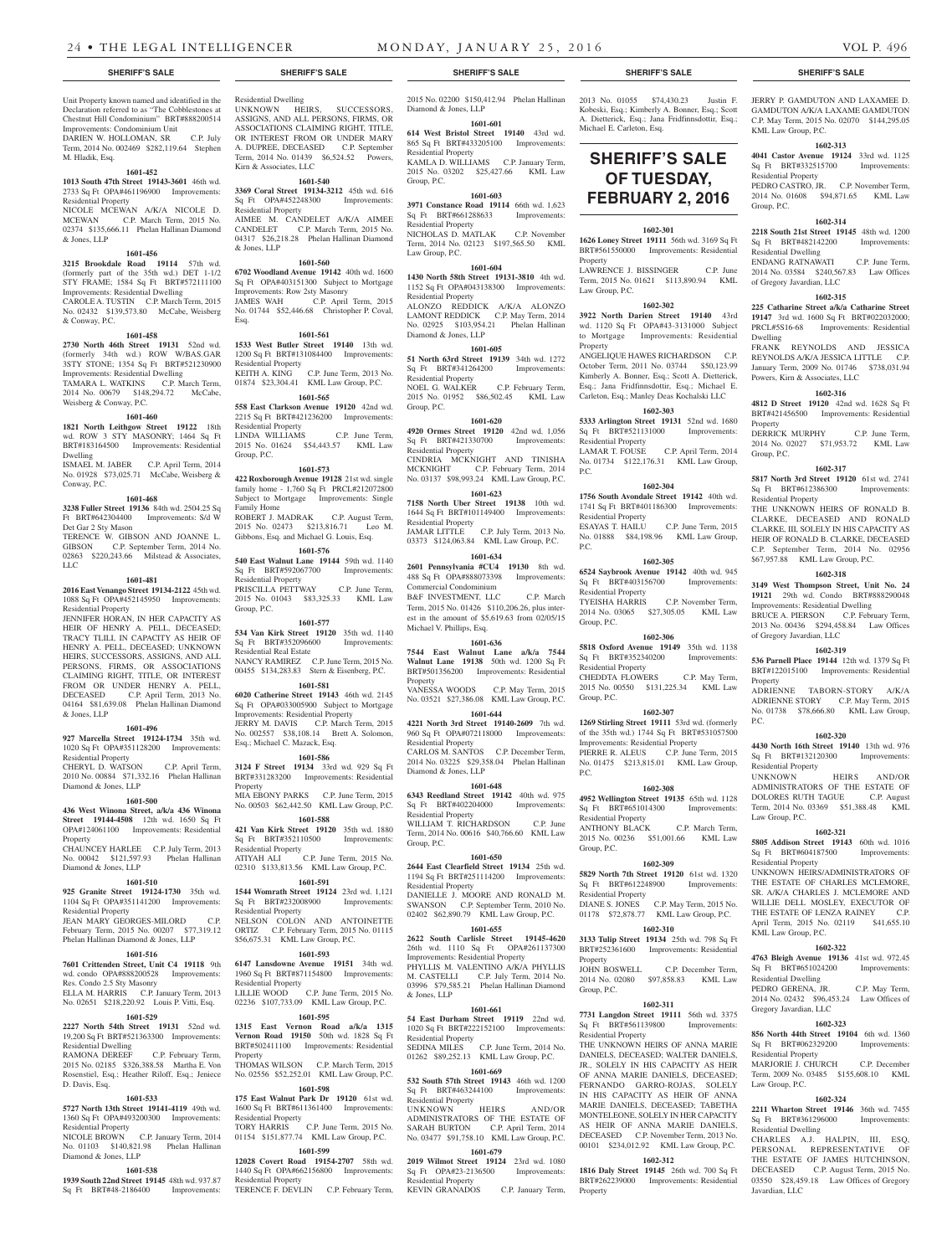Unit Property known named and identified in the Declaration referred to as "The Cobblestones at Chestnut Hill Condominium" BRT#888200514 Improvements: Condominium Unit DARIEN W. HOLLOMAN, SR C.P. July Term, 2014 No. 002469 \$282,119.64 Stephen M. Hladik, Esq.

#### **1601-452**

**1013 South 47th Street 19143-3601** 46th wd. 2733 Sq Ft OPA#461196900 Improvements: Residential Property NICOLE MCEWAN A/K/A NICOLE D. MCEWAN C.P. March Term, 2015 No. 02374 \$135,666.11 Phelan Hallinan Diamond & Jones, LLP

#### **1601-456**

**3215 Brookdale Road 19114** 57th wd. (formerly part of the 35th wd.) DET 1-1/2 STY FRAME; 1584 Sq Ft BRT#572111100 Improvements: Residential Dwelling CAROLE A. TUSTIN C.P. March Term, 2015 No. 02432 \$139,573.80 McCabe, Weisberg & Conway, P.C.

#### **1601-458**

**2730 North 46th Street 19131** 52nd wd. (formerly 34th wd.) ROW W/BAS.GAR 3STY STONE; 1354 Sq Ft BRT#521230900 Improvements: Residential Dwelling TAMARA L. WATKINS C.P. March Term, 2014 No. 00679 \$148,294.72 McCabe, Weisberg & Conway, P.C.

#### **1601-460**

**1821 North Leithgow Street 19122** 18th wd. ROW 3 STY MASONRY; 1464 Sq Ft BRT#183164500 Improvements: Residential Dwelling ISMAEL M. JABER C.P. April Term, 2014

No. 01928 \$73,025.71 McCabe, Weisberg & Conway, P.C. **1601-468**

**3238 Fuller Street 19136** 84th wd. 2504.25 Sq Ft BRT#642304400 Improvements: S/d W Det Gar 2 Sty Mason TERENCE W. GIBSON AND JOANNE L.

GIBSON C.P. September Term, 2014 No.  $0.02863$  \$220, 243.66 Milstead & Associates LLC

#### **1601-481**

**2016 East Venango Street 19134-2122** 45th wd. 1088 Sq Ft OPA#452145950 Improvements: Residential Property

JENNIFER HORAN, IN HER CAPACITY AS HEIR OF HENRY A. PELL, DECEASED; TRACY TLILI, IN CAPACITY AS HEIR OF HENRY A. PELL, DECEASED; UNKNOWN HEIRS, SUCCESSORS, ASSIGNS, AND ALL PERSONS, FIRMS, OR ASSOCIATIONS CLAIMING RIGHT, TITLE, OR INTEREST FROM OR UNDER HENRY A. PELL,<br>DECEASED C.P. April Term. 2013 No. C.P. April Term, 2013 No. 04164 \$81,639.08 Phelan Hallinan Diamond & Jones, LLP

#### **1601-496**

**927 Marcella Street 19124-1734** 35th wd. 1020 Sq Ft OPA#351128200 Improvements: Residential Property

CHERYL D. WATSON C.P. April Term, 2010 No. 00884 \$71,332.16 Phelan Hallinan Diamond & Jones, LLP

#### **1601-500**

**436 West Winona Street, a/k/a 436 Winona Street 19144-4508** 12th wd. 1650 Sq Ft OPA#124061100 Improvements: Residential **Property** CHAUNCEY HARLEE C.P. July Term, 2013

No. 00042 \$121,597.93 Phelan Hallinan Diamond & Jones, LLP **1601-510**

# **925 Granite Street 19124-1730** 35th wd.

1104 Sq Ft OPA#351141200 Improvements: Residential Property JEAN MARY GEORGES-MILORD

February Term, 2015 No. 00207 \$77,319.12 Phelan Hallinan Diamond & Jones, LLP

# **1601-516**

**7601 Crittenden Street, Unit C4 19118** 9th wd. condo OPA#888200528 Improvements: Res. Condo 2.5 Sty Masonry

#### ELLA M. HARRIS C.P. January Term, 2013 No. 02651 \$218,220.92 Louis P. Vitti, Esq.

**1601-529**

# 19,200 Sq Ft BRT#521363300 Improvements: Residential Dwelling<br>RAMONA DEREEF

C.P. February Term, 2015 No. 02185 \$326,388.58 Martha E. Von Rosenstiel, Esq.; Heather Riloff, Esq.; Jeniece D. Davis, Esq.

# **1601-533**

**5727 North 13th Street 19141-4119** 49th wd. 1360 Sq Ft OPA#493200300 Improvements: Residential Property Residential Property

NICOLE BROWN C.P. January Term, 2014 No. 01103 \$140,821.98 Phelan Hallinan Diamond & Jones, LLP

#### **1601-538**

**1939 South 22nd Street 19145** 48th wd. 937.87 Sq Ft BRT#48-2186400 Improvements: Residential Dwelling UNKNOWN HEIRS, SUCCESSORS, ASSIGNS, AND ALL PERSONS, FIRMS, OR ASSOCIATIONS CLAIMING RIGHT, TITLE, OR INTEREST FROM OR UNDER MARY A. DUPREE, DECEASED C.P. September Term, 2014 No. 01439 \$6,524.52 Powers, Kirn & Associates, LLC

# **1601-540**

**3369 Coral Street 19134-3212** 45th wd. 616 Sq Ft OPA#452248300 Improvements: Residential Property AIMEE M. CANDELET A/K/A AIMEE CANDELET C.P. March Term, 2015 No. 04317 \$26,218.28 Phelan Hallinan Diamond & Jones, LLP

# **1601-560**

**6702 Woodland Avenue 19142** 40th wd. 1600 Sq Ft OPA#403151300 Subject to Mortgage **Improvements: Row 2sty Masonry<br>JAMES WAH C.P. April** C.P. April Term, 2015 No. 01744 \$52,446.68 Christopher P. Coval, Esq.

#### **1601-561**

**1533 West Butler Street 19140** 13th wd. 1200 Sq Ft BRT#131084400 Improvements: Residential Property<br>KEITH A. KING  $C.P.$  June Term, 2013 No. 01874 \$23,304.41 KML Law Group, P.C.

#### **1601-565**

**558 East Clarkson Avenue 19120** 42nd wd. 2215 Sq Ft BRT#421236200 Improvements: Residential Property LINDA WILLIAMS C.P. June Term, 2015 No. 01624 \$54,443.57 KML Law Group, P.C.

#### **1601-573**

**422 Roxborough Avenue 19128** 21st wd. single family home - 1,760 Sq Ft PRCL#212072800<br>Subject to Mortgage Improvements: Single Subject to Mortgage Family Home ROBERT J. MADRAK C.P. August Term, 2015 No. 02473 \$213,816.71 Leo M. Gibbons, Esq. and Michael G. Louis, Esq.

# **1601-576**

**540 East Walnut Lane 19144** 59th wd. 1140 Sq Ft BRT#592067700 Improvements: Residential Property PRISCILLA PETTWAY C.P. June Term, 2015 No. 01043 \$83,325.33 KML Law Group, P.C.

#### **1601-577**

**534 Van Kirk Street 19120** 35th wd. 1140 Sq Ft BRT#352096600 Improvements: Residential Real Estate NANCY RAMIREZ C.P. June Term, 2015 No. 00455 \$134,283.83 Stern & Eisenberg, P.C. **1601-581**

**6020 Catherine Street 19143** 46th wd. 2145 Sq Ft OPA#033005900 Subject to Mortgage Improvements: Residential Property JERRY M. DAVIS C.P. March Term, 2015 No. 002557 \$38,108.14 Brett A. Solomon, Esq.; Michael C. Mazack, Esq.

#### **1601-586**

**3124 F Street 19134** 33rd wd. 929 Sq Ft BRT#331283200 Improvements: Residential Property MIA EBONY PARKS C.P. June Term, 2015 No. 00503 \$62,442.50 KML Law Group, P.C.

**1601-588 421 Van Kirk Street 19120** 35th wd. 1880 Sq Ft BRT#352110500 Improvements: Residential Property ATIYAH ALI C.P. June Term, 2015 No. 02310 \$133,813.56 KML Law Group, P.C.

**1601-591 1544 Womrath Street 19124** 23rd wd. 1,121 Sq Ft BRT#232008900 Improvements: Residential Property NELSON COLON AND ANTOINETTE ORTIZ C.P. February Term, 2015 No. 01115 \$56,675.31 KML Law Group, P.C.

#### **1601-593**

**6147 Lansdowne Avenue 19151** 34th wd. 1960 Sq Ft BRT#871154800 Improvements: Residential Property

LILLIE WOOD C.P. June Term, 2015 No. 02236 \$107,733.09 KML Law Group, P.C.

#### **1601-595**

**2227 North 54th Street 19131** 52nd wd. **1315 East Vernon Road a/k/a 1315 Vernon Road 19150** 50th wd. 1828 Sq Ft BRT#502411100 Improvements: Residential Property THOMAS WILSON C.P. March Term, 2015 No. 02556 \$52,252.01 KML Law Group, P.C.

**1601-598**

**175 East Walnut Park Dr 19120** 61st wd. 1600 Sq Ft BRT#611361400 Improvements: TORY HARRIS C.P. June Term, 2015 No. 01154 \$151,877.74 KML Law Group, P.C. Residential Property

Residential Property

# **2019 Wilmot Street 19124** 23rd wd. 1080

**12028 Covert Road 19154-2707** 58th wd. 1440 Sq Ft OPA#662156800 Improvements: Residential Property TERENCE F. DEVLIN C.P. February Term,

**1601-599**

2015 No. 02200 \$150,412.94 Phelan Hallinan Diamond & Jones, LLP

2013 No. 01055 \$74,430.23 Justin F. Kobeski, Esq.; Kimberly A. Bonner, Esq.; Scott A. Dietterick, Esq.; Jana Fridfinnsdottir, Esq.; JERRY P. GAMDUTON AND LAXAMEE D. GAMDUTON A/K/A LAXAME GAMDUTON C.P. May Term, 2015 No. 02070 \$144,295.05

**1602-313 4041 Castor Avenue 19124** 33rd wd. 1125 Sq Ft BRT#332515700 Improvements:

PEDRO CASTRO, JR. C.P. November Term, 2014 No. 01608 \$94,871.65 KML Law

**1602-314 2218 South 21st Street 19145** 48th wd. 1200 Sq Ft BRT#482142200 Improvements:

ENDANG RATNAWATI C.P. June Term, 2014 No. 03584 \$240,567.83 Law Offices

**1602-315 225 Catharine Street a/k/a Catharine Street 19147** 3rd wd. 1600 Sq Ft BRT#022032000; PRCL#5S16-68 Improvements: Residential

FRANK REYNOLDS AND JESSICA REYNOLDS A/K/A JESSICA LITTLE C.P. January Term, 2009 No. 01746 \$738,031.94

**1602-316 4812 D Street 19120** 42nd wd. 1628 Sq Ft BRT#421456500 Improvements: Residential

DERRICK MURPHY C.P. June Term, 2014 No. 02027 \$71,953.72 KML Law

**1602-317 5817 North 3rd Street 19120** 61st wd. 2741 Sq Ft BRT#612386300 Improvements:

THE UNKNOWN HEIRS OF RONALD B. CLARKE, DECEASED AND RONALD CLARKE, III, SOLELY IN HIS CAPACITY AS HEIR OF RONALD B. CLARKE, DECEASED C.P. September Term, 2014 No. 02956 \$67,957.88 KML Law Group, P.C. **1602-318 3149 West Thompson Street, Unit No. 24 19121** 29th wd. Condo BRT#888290048 Improvements: Residential Dwelling BRUCE A. PIERSON C.P. February Term, 2013 No. 00436 \$294,458.84 Law Offices

**1602-319 536 Parnell Place 19144** 12th wd. 1379 Sq Ft BRT#122015100 Improvements: Residential

ADRIENNE TABORN-STORY A/K/A ADRIENNE STORY C.P. May Term, 2015 No. 01738 \$78,666.80 KML Law Group,

**1602-320 4430 North 16th Street 19140** 13th wd. 976 Sq Ft BRT#132120300 Improvements:

UNKNOWN HEIRS AND/OR ADMINISTRATORS OF THE ESTATE OF<br>DOLORES RUTH TAGUE C.P. August

Term, 2014 No. 03369 \$51,388.48 KML

**1602-321 5805 Addison Street 19143** 60th wd. 1016 Sq Ft BRT#604187500 Improvements:

UNKNOWN HEIRS/ADMINISTRATORS OF THE ESTATE OF CHARLES MCLEMORE, SR. A/K/A CHARLES J. MCLEMORE AND WILLIE DELL MOSLEY, EXECUTOR OF THE ESTATE OF LENZA RAINEY C.P. April Term, 2015 No. 02119 \$41,655.10

**1602-322 4763 Bleigh Avenue 19136** 41st wd. 972.45 Sq Ft BRT#651024200 Improvements:

PEDRO GERENA, JR. C.P. May Term, 2014 No. 02432 \$96,453.24 Law Offices of

**1602-323 856 North 44th Street 19104** 6th wd. 1360 Sq Ft BRT#062329200 Improvements

MARJORIE J. CHURCH C.P. December Term, 2009 No. 03485 \$155,608.10 KML

**1602-324 2211 Wharton Street 19146** 36th wd. 7455 Sq Ft BRT#361296000 Improvements:

CHARLES A.J. HALPIN, III, ESQ, PERSONAL REPRESENTATIVE OF THE ESTATE OF JAMES HUTCHINSON. DECEASED C.P. August Term, 2015 No. 03550 \$28,459.18 Law Offices of Gregory

KML Law Group, P.C.

Residential Property

Residential Dwelling

of Gregory Javardian, LLC

Powers, Kirn & Associates, LLC

Group, P.C.

Dwelling

Property

Group, P.C.

Residential Property

of Gregory Javardian, LLC

Residential Property

Law Group, P.C.

Residential Property

KML Law Group, P.C.

Residential Dwelling

Gregory Javardian, LLC

Residential Property

Residential Dwelling

Javardian, LLC

Law Group, P.C.

DOLORES RUTH TAGUE

Property

P.C.

**SHERIFF'S SALE OF TUESDAY, FEBRUARY 2, 2016**

**1602-301 1626 Loney Street 19111** 56th wd. 3169 Sq Ft BRT#561550000 Improvements: Residential

LAWRENCE J. BISSINGER C.P. June Term, 2015 No. 01621 \$113,890.94 KML

**1602-302 3922 North Darien Street 19140** 43rd wd. 1120 Sq Ft OPA#43-3131000 Subject to Mortgage Improvements: Residential

ANGELIQUE HAWES RICHARDSON C.P. October Term, 2011 No. 03744 \$50,123.99 Kimberly A. Bonner, Esq.; Scott A. Dietterick, Esq.; Jana Fridfinnsdottir, Esq.; Michael E. Carleton, Esq.; Manley Deas Kochalski LLC **1602-303 5333 Arlington Street 19131** 52nd wd. 1680 Sq Ft BRT#521131000 Improvements:

No. 01734 \$122,176.31 KML Law Group,

**1602-304 1756 South Avondale Street 19142** 40th wd. 1741 Sq Ft BRT#401186300 Improvements:

No. 01888 \$84,198.96 KML Law Group,

**1602-305 6524 Saybrook Avenue 19142** 40th wd. 945 Sq Ft BRT#403156700 Improvements:

TYEISHA HARRIS C.P. November Term, 2014 No. 03065 \$27,305.05 KML Law

**1602-306 5818 Oxford Avenue 19149** 35th wd. 1138 Sq Ft BRT#352340200 Improvements:

CHEDDTA FLOWERS C.P. May Term, 2015 No. 00550 \$131,225.34 KML Law

**1602-307 1269 Stirling Street 19111** 53rd wd. (formerly of the 35th wd.) 1744 Sq Ft BRT#531057500 Improvements: Residential Property PIERRE R. ALEUS C.P. June Term, 2015 No. 01475 \$213,815.01 KML Law Group,

**1602-308 4952 Wellington Street 19135** 65th wd. 1128 Sq Ft BRT#651014300 Improvements:

ANTHONY BLACK C.P. March Term, 2015 No. 00236 \$51,001.66 KML Law

**1602-309 5829 North 7th Street 19120** 61st wd. 1320 Sq Ft BRT#612248900 Improvements:

DIANE S. JONES C.P. May Term, 2015 No. 01178 \$72,878.77 KML Law Group, P.C. **1602-310 3133 Tulip Street 19134** 25th wd. 798 Sq Ft BRT#252361600 Improvements: Residential

JOHN BOSWELL C.P. December Term, 2014 No. 02080 \$97,858.83 KML Law

**1602-311 7731 Langdon Street 19111** 56th wd. 3375 Sq Ft BRT#561139800 Improvements:

THE UNKNOWN HEIRS OF ANNA MARIE DANIELS, DECEASED; WALTER DANIELS, JR., SOLELY IN HIS CAPACITY AS HEIR OF ANNA MARIE DANIELS, DECEASED; FERNANDO GARRO-ROJAS, SOLELY IN HIS CAPACITY AS HEIR OF ANNA MARIE DANIELS, DECEASED; TABETHA MONTELEONE, SOLELY IN HER CAPACITY AS HEIR OF ANNA MARIE DANIELS, DECEASED C.P. November Term, 2013 No. 00101 \$234,012.92 KML Law Group, P.C. **1602-312 1816 Daly Street 19145** 26th wd. 700 Sq Ft BRT#262239000 Improvements: Residential

C.P. April Term, 2014

C.P. June Term, 2015

Michael E. Carleton, Esq.

Property

Property

P.C.

 $PC$ 

Law Group, P.C.

Residential Property<br>LAMAR T. FOUSE

Residential Property<br>ESAYAS T. HAILU

Residential Property

Residential Property

Residential Property

Residential Property

Group, P.C.

Property

Group, P.C.

Property

Residential Property

Group, P.C.

Group, P.C.

P.C.

**1601-601 614 West Bristol Street 19140** 43rd wd. 865 Sq Ft BRT#433205100 Improvements: Residential Property

KAMLA D. WILLIAMS C.P. January Term, 2015 No. 03202 \$25,427.66 KML Law Group, P.C.

**1601-603 3971 Constance Road 19114** 66th wd. 1,623 Sq Ft BRT#661288633 Improvements: Residential Property

NICHOLAS D. MATLAK C.P. November Term, 2014 No. 02123 \$197,565.50 KML Law Group, P.C.

#### **1601-604**

**1430 North 58th Street 19131-3810** 4th wd. 1152 Sq Ft OPA#043138300 Improvements:

Residential Property ALONZO REDDICK A/K/A ALONZO LAMONT REDDICK C.P. May Term, 2014 No. 02925 \$103,954.21 Phelan Hallinan Diamond & Jones, LLP

### **1601-605**

**51 North 63rd Street 19139** 34th wd. 1272 Sq Ft BRT#341264200 Improvements: Residential Property

NOEL G. WALKER C.P. February Term, 2015 No. 01952 \$86,502.45 KML Law Group, P.C.

## **1601-620**

**4920 Ormes Street 19120** 42nd wd. 1,056 Sq Ft BRT#421330700 Improvements: Residential Property CINDRIA MCKNIGHT AND TINISHA MCKNIGHT C.P. February Term, 2014

No. 03137 \$98,993.24 KML Law Group, P.C. **1601-623**

**7158 North Uber Street 19138** 10th wd. 1644 Sq Ft BRT#101149400 Improvements: Residential Property JAMAR LITTLE C.P. July Term, 2013 No.

03373 \$124,063.84 KML Law Group, P.C. **1601-634**

**2601 Pennsylvania #CU4 19130** 8th wd. 488 Sq Ft OPA#888073398 Improvements: Commercial Condominium

B&F INVESTMENT, LLC C.P. March Term, 2015 No. 01426 \$110,206.26, plus interest in the amount of \$5,619.63 from 02/05/15 Michael V. Phillips, Esq.

# **1601-636**

**7544 East Walnut Lane a/k/a 7544 Walnut Lane 19138** 50th wd. 1200 Sq Ft BRT#501356200 Improvements: Residential Property VANESSA WOODS C.P. May Term, 2015 No. 03521 \$27,386.08 KML Law Group, P.C.

**1601-644 4221 North 3rd Street 19140-2609** 7th wd.

960 Sq Ft OPA#072118000 Improvements: Residential Property CARLOS M. SANTOS C.P. December Term 2014 No. 03225 \$29,358.04 Phelan Hallinan Diamond & Jones, LLP

#### **1601-648**

**6343 Reedland Street 19142** 40th wd. 975 Sq Ft BRT#402204000 Improvements: Residential Property WILLIAM T. RICHARDSON C.P. June Term, 2014 No. 00616 \$40,766.60 KML Law Group, P.C.

### **1601-650**

**2644 East Clearfield Street 19134** 25th wd. 1194 Sq Ft BRT#251114200 Improvements: Residential Property DANIELLE J. MOORE AND RONALD M. SWANSON C.P. September Term, 2010 No. 02402 \$62,890.79 KML Law Group, P.C.

#### **1601-655**

**2622 South Carlisle Street 19145-4620**  26th wd. 1110 Sq Ft OPA#261137300 Improvements: Residential Property PHYLLIS M. VALENTINO A/K/A PHYLLIS M. CASTELLI C.P. July Term, 2014 No. 03996 \$79,585.21 Phelan Hallinan Diamond & Jones, LLP

#### **1601-661**

**54 East Durham Street 19119** 22nd wd. 1020 Sq Ft BRT#222152100 Improvements: Residential Property SEDINA MILES C.P. June Term, 2014 No.

### 01262 \$89,252.13 KML Law Group, P.C. **1601-669 532 South 57th Street 19143** 46th wd. 1200

Sq Ft BRT#463244100 Improvements: UNKNOWN HEIRS AND/OR ADMINISTRATORS OF THE ESTATE OF SARAH BURTON C.P. April Term, 2014 No. 03477 \$91,758.10 KML Law Group, P.C.

**1601-679**

Sq Ft OPA#23-2136500 Improvements:

KEVIN GRANADOS C.P. January Term,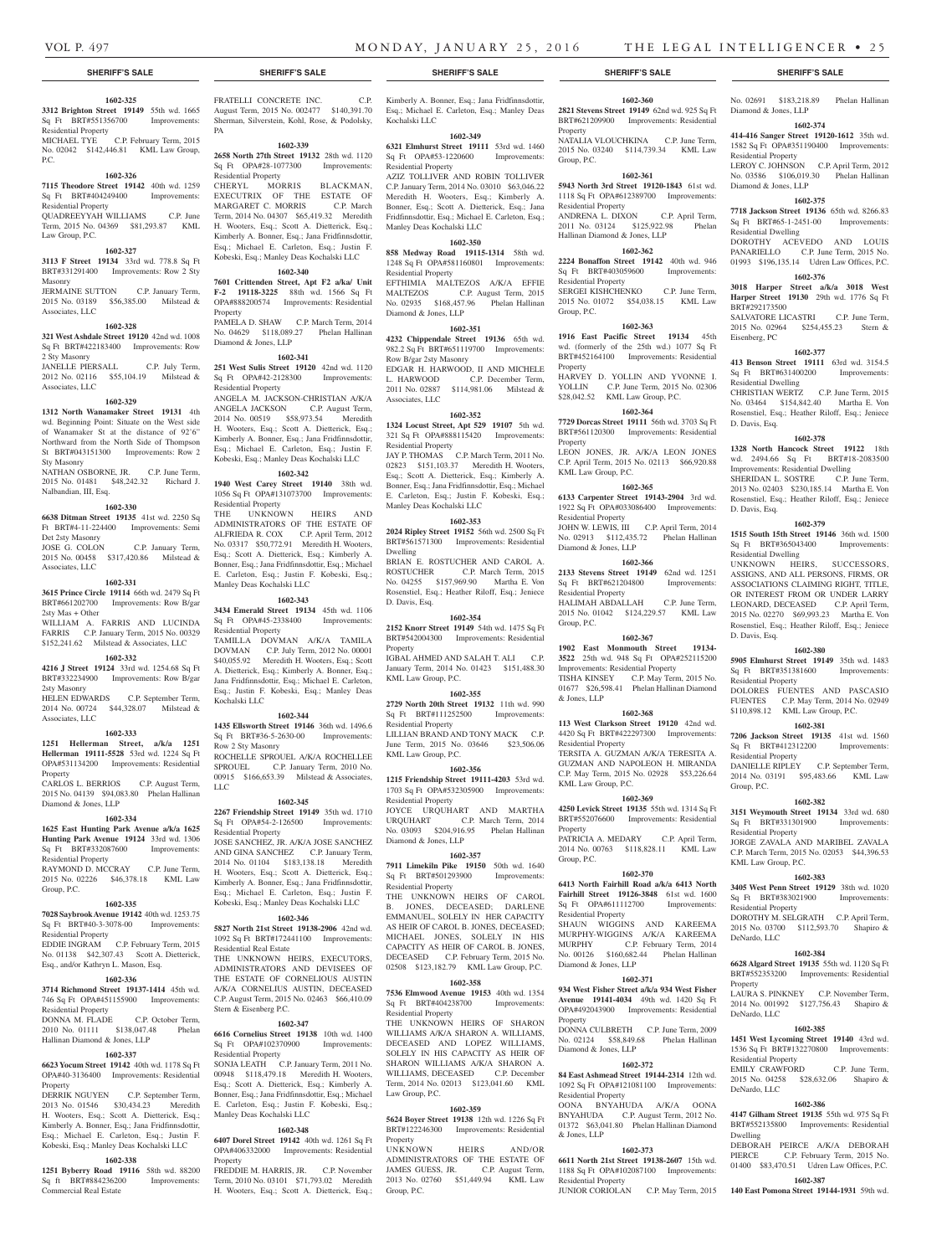**1602-360 2821 Stevens Street 19149** 62nd wd. 925 Sq Ft BRT#621209900 Improvements: Residential

No. 02691 \$183,218.89 Phelan Hallinan

**1602-374 414-416 Sanger Street 19120-1612** 35th wd. 1582 Sq Ft OPA#351190400 Improvements:

LEROY C. JOHNSON C.P. April Term, 2012 No. 03586 \$106,019.30 Phelan Hallinan

**1602-375 7718 Jackson Street 19136** 65th wd. 8266.83 Sq Ft BRT#65-1-2451-00 Improvements:

DOROTHY ACEVEDO AND LOUIS PANARIELLO C.P. June Term, 2015 No. 01993 \$196,135.14 Udren Law Offices, P.C. **1602-376 3018 Harper Street a/k/a 3018 West Harper Street 19130** 29th wd. 1776 Sq Ft

SALVATORE LICASTRI C.P. June Term, 2015 No. 02964 \$254,455.23 Stern &

**1602-377 413 Benson Street 19111** 63rd wd. 3154.5 Sq Ft BRT#631400200 Improvements:

CHRISTIAN WERTZ C.P. June Term, 2015 No. 03464 \$154,842.40 Martha E. Von Rosenstiel, Esq.; Heather Riloff, Esq.; Jeniece

**1602-378 1328 North Hancock Street 19122** 18th wd. 2494.66 Sq Ft BRT#18-2083500 Improvements: Residential Dwelling SHERIDAN L. SOSTRE C.P. June Term, 2013 No. 02403 \$230,185.14 Martha E. Von Rosenstiel, Esq.; Heather Riloff, Esq.; Jeniece

**1602-379 1515 South 15th Street 19146** 36th wd. 1500 Sq Ft BRT#365043400 Improvements:

UNKNOWN HEIRS, SUCCESSORS, ASSIGNS, AND ALL PERSONS, FIRMS, OR ASSOCIATIONS CLAIMING RIGHT, TITLE OR INTEREST FROM OR UNDER LARRY LEONARD, DECEASED C.P. April Term, 2015 No. 02270 \$69,993.23 Martha E. Von Rosenstiel, Esq.; Heather Riloff, Esq.; Jeniece

**1602-380 5905 Elmhurst Street 19149** 35th wd. 1483 Sq Ft BRT#351381600 Improvements:

DOLORES FUENTES AND PASCASIO FUENTES C.P. May Term, 2014 No. 02949 \$110,898.12 KML Law Group, P.C. **1602-381 7206 Jackson Street 19135** 41st wd. 1560 Sq Ft BRT#412312200 Improvements:

DANIELLE RIPLEY C.P. September Term, 2014 No. 03191 \$95,483.66 KML Law

**1602-382 3151 Weymouth Street 19134** 33rd wd. 680 Sq Ft BRT#331301900 Improvements:

JORGE ZAVALA AND MARIBEL ZAVALA C.P. March Term, 2015 No. 02053 \$44,396.53

**1602-383 3405 West Penn Street 19129** 38th wd. 1020 Sq Ft BRT#383021900 Improvements:

DOROTHY M. SELGRATH C.P. April Term, 2015 No. 03700 \$112,593.70 Shapiro &

**1602-384 6628 Algard Street 19135** 55th wd. 1120 Sq Ft BRT#552353200 Improvements: Residential

LAURA S. PINKNEY C.P. November Term, 2014 No. 001992 \$127,756.43 Shapiro &

**1602-385 1451 West Lycoming Street 19140** 43rd wd. 1536 Sq Ft BRT#132270800 Improvements:

EMILY CRAWFORD C.P. June Term, 2015 No. 04258 \$28,632.06 Shapiro &

**1602-386 4147 Gilham Street 19135** 55th wd. 975 Sq Ft BRT#552135800 Improvements: Residential

DEBORAH PEIRCE A/K/A DEBORAH<br>PIERCE C.P. February Term. 2015 No. C.P. February Term, 2015 No.

01400 \$83,470.51 Udren Law Offices, P.C. **1602-387 140 East Pomona Street 19144-1931** 59th wd.

Diamond & Jones, LLP

Residential Property

Diamond & Jones, LLP

Residential Dwelling

BRT#292173500

Eisenberg, PC

D. Davis, Esq.

D. Davis, Esq.

D. Davis, Esq.

Residential Property

Residential Property

Residential Property

KML Law Group, P.C.

Residential Property

DeNardo, LLC

DeNardo, LLC

Residential Property

DeNardo, LLC

Dwelling

Property

Group, P.C.

Residential Dwelling

Residential Dwelling

NATALIA VLOUCHKINA C.P. June Term, 2015 No. 03240 \$114,739.34 KML Law

**1602-361 5943 North 3rd Street 19120-1843** 61st wd. 1118 Sq Ft OPA#612389700 Improvements:

ANDRENA L. DIXON C.P. April Term, 2011 No. 03124 \$125,922.98 Phelan

**1602-362 2224 Bonaffon Street 19142** 40th wd. 946 Sq Ft BRT#403059600 Improvements:

SERGEI KISHCHENKO C.P. June Term, 2015 No. 01072 \$54,038.15 KML Law

**1602-363 1916 East Pacific Street 19134** 45th wd. (formerly of the 25th wd.) 1077 Sq Ft BRT#452164100 Improvements: Residential

HARVEY D. YOLLIN AND YVONNE I. YOLLIN C.P. June Term, 2015 No. 02306 \$28,042.52 KML Law Group, P.C. **1602-364 7729 Dorcas Street 19111** 56th wd. 3703 Sq Ft BRT#561120300 Improvements: Residential

LEON JONES, JR. A/K/A LEON JONES C.P. April Term, 2015 No. 02113 \$66,920.88

**1602-365 6133 Carpenter Street 19143-2904** 3rd wd. 1922 Sq Ft OPA#033086400 Improvements:

JOHN W. LEWIS, III C.P. April Term, 2014 No. 02913 \$112,435.72 Phelan Hallinan

**1602-366 2133 Stevens Street 19149** 62nd wd. 1251 Sq Ft BRT#621204800 Improvements:

HALIMAH ABDALLAH C.P. June Term, 2015 No. 01042 \$124,229.57 KML Law

**1602-367 1902 East Monmouth Street 19134- 3522** 25th wd. 948 Sq Ft OPA#252115200 Improvements: Residential Property TISHA KINSEY C.P. May Term, 2015 No. 01677 \$26,598.41 Phelan Hallinan Diamond

**1602-368 113 West Clarkson Street 19120** 42nd wd. 4420 Sq Ft BRT#422297300 Improvements:

TERSITA A. GUZMAN A/K/A TERESITA A. GUZMAN AND NAPOLEON H. MIRANDA C.P. May Term, 2015 No. 02928 \$53,226.64

**1602-369 4250 Levick Street 19135** 55th wd. 1314 Sq Ft BRT#552076600 Improvements: Residential

PATRICIA A. MEDARY C.P. April Term, 2014 No. 00763 \$118,828.11 KML Law

**1602-370 6413 North Fairhill Road a/k/a 6413 North Fairhill Street 19126-3848** 61st wd. 1600 Sq Ft OPA#611112700 Improvements:

SHAUN WIGGINS AND KAREEMA MURPHY-WIGGINS A/K/A KAREEMA<br>MURPHY C.P. February Term. 2014

No. 00126 \$160,682.44 Phelan Hallinan

**1602-371 934 West Fisher Street a/k/a 934 West Fisher Avenue 19141-4034** 49th wd. 1420 Sq Ft OPA#492043900 Improvements: Residential

DONNA CULBRETH C.P. June Term, 2009 No. 02124 \$58,849.68 Phelan Hallinan

**1602-372 84 East Ashmead Street 19144-2314** 12th wd. 1092 Sq Ft OPA#121081100 Improvements:

OONA BNYAHUDA A/K/A OONA BNYAHUDA C.P. August Term, 2012 No. 01372 \$63,041.80 Phelan Hallinan Diamond

**1602-373 6611 North 21st Street 19138-2607** 15th wd. 1188 Sq Ft OPA#102087100 Improvements:

JUNIOR CORIOLAN C.P. May Term, 2015

C.P. February Term, 2014

Property

Group, P.C.

Residential Property

Residential Property

Group, P.C.

Property

Property

KML Law Group, P.C.

Residential Property

Residential Property

Group, P.C.

& Jones, LLP

Residential Property

KML Law Group, P.C.

Property

Group, P.C.

Residential Property

Diamond & Jones, LLP

Diamond & Jones, LLP

Residential Property

Residential Property

& Jones, LLP

Property

Diamond & Jones, LLP

Hallinan Diamond & Jones, LLP

#### **SHERIFF'S SALE SHERIFF'S SALE SHERIFF'S SALE SHERIFF'S SALE SHERIFF'S SALE**

#### **1602-325**

**3312 Brighton Street 19149** 55th wd. 1665 Sq Ft BRT#551356700 Improvements: Residential Property MICHAEL TYE C.P. February Term, 2015

No. 02042 \$142,446.81 KML Law Group, P.C.

#### **1602-326**

**7115 Theodore Street 19142** 40th wd. 1259 Sq Ft BRT#404249400 Improvements: Residential Property QUADREEYYAH WILLIAMS C.P. June

# Term, 2015 No. 04369 \$81,293.87 KML Law Group, P.C.

# **1602-327**

**3113 F Street 19134** 33rd wd. 778.8 Sq Ft BRT#331291400 Improvements: Row 2 Sty Masonry

JERMAINE SUTTON C.P. January Term, 2015 No. 03189 \$56,385.00 Milstead & Associates, LLC

#### **1602-328**

**321 West Ashdale Street 19120** 42nd wd. 1008 Sq Ft BRT#422183400 Improvements: Row 2 Sty Masonry

JANELLE PIERSALL C.P. July Term, 2012 No. 02116 \$55,104.19 Milstead & Associates, LLC

#### **1602-329**

**1312 North Wanamaker Street 19131** 4th wd. Beginning Point: Situate on the West side of Wanamaker St at the distance of 92'6" Northward from the North Side of Thompson St BRT#043151300 Improvements: Row 2 Sty Masonry

NATHAN OSBORNE, JR. C.P. June Term, 2015 No. 01481 \$48,242.32 Richard J. Nalbandian, III, Esq.

#### **1602-330**

**6638 Ditman Street 19135** 41st wd. 2250 Sq Ft BRT#4-11-224400 Improvements: Semi Det 2sty Masonry

C.P. January Term, 2015 No. 00458 \$317,420.86 Milstead & Associates, LLC

# **1602-331**

**3615 Prince Circle 19114** 66th wd. 2479 Sq Ft BRT#661202700 Improvements: Row B/gar 2sty Mas + Other WILLIAM A. FARRIS AND LUCINDA

#### FARRIS C.P. January Term, 2015 No. 00329 \$152,241.62 Milstead & Associates, LLC **1602-332**

**4216 J Street 19124** 33rd wd. 1254.68 Sq Ft BRT#332234900 Improvements: Row B/gar 2sty Masonry

HELEN EDWARDS C.P. September Term, 2014 No. 00724 \$44,328.07 Milstead & Associates, LLC

# **1602-333**

**1251 Hellerman Street, a/k/a 1251 Hellerman 19111-5528** 53rd wd. 1224 Sq Ft OPA#531134200 Improvements: Residential Property

CARLOS L. BERRIOS C.P. August Term, 2015 No. 04139 \$94,083.80 Phelan Hallinan Diamond & Jones, LLP

#### **1602-334**

**1625 East Hunting Park Avenue a/k/a 1625 Hunting Park Avenue 19124** 33rd wd. 1306 Sq Ft BRT#332087600 Improvements: Residential Property

RAYMOND D. MCCRAY C.P. June Term, 2015 No. 02226 \$46,378.18 KML Law Group, P.C.

#### **1602-335**

**7028 Saybrook Avenue 19142** 40th wd. 1253.75 Sq Ft BRT#40-3-3078-00 Improvements: Residential Property

EDDIE INGRAM C.P. February Term, 2015 No. 01138 \$42,307.43 Scott A. Dietterick, Esq., and/or Kathryn L. Mason, Esq.

#### **1602-336**

**3714 Richmond Street 19137-1414** 45th wd. 746 Sq Ft OPA#451155900 Improvements: Residential Property

#### DONNA M. FLADE C.P. October Term, 2010 No. 01111 \$138,047.48 Phelan Hallinan Diamond & Jones, LLP

#### **1602-337**

**6623 Yocum Street 19142** 40th wd. 1178 Sq Ft OPA#40-3136400 Improvements: Residential Property

DERRIK NGUYEN C.P. September Term, 2013 No. 01546 \$30,434.23 Meredith H. Wooters, Esq.; Scott A. Dietterick, Esq.; Kimberly A. Bonner, Esq.; Jana Fridfinnsdottir, Esq.; Michael E. Carleton, Esq.; Justin F. Kobeski, Esq.; Manley Deas Kochalski LLC

# **1602-338**

**1251 Byberry Road 19116** 58th wd. 88200 Sq ft BRT#884236200 Improvements: Commercial Real Estate

FRATELLI CONCRETE INC. C.P. August Term, 2015 No. 002477 \$140,391.70 Sherman, Silverstein, Kohl, Rose, & Podolsky, PA

# **1602-339**

**2658 North 27th Street 19132** 28th wd. 1120 Sq Ft OPA#28-1077300 Improvements: Residential Property

CHERYL MORRIS BLACKMAN, EXECUTRIX OF THE ESTATE OF MARGARET C. MORRIS C.P. March Term, 2014 No. 04307 \$65,419.32 Meredith H. Wooters, Esq.; Scott A. Dietterick, Esq.; Kimberly A. Bonner, Esq.; Jana Fridfinnsdottir, Esq.; Michael E. Carleton, Esq.; Justin F. Kobeski, Esq.; Manley Deas Kochalski LLC

# **1602-340**

**7601 Crittenden Street, Apt F2 a/ka/ Unit F-2 19118-3225** 88th wd. 1566 Sq Ft OPA#888200574 Improvements: Residential Property PAMELA D. SHAW C.P. March Term, 2014

No. 04629 \$118,089.27 Phelan Hallinan Diamond & Jones, LLP **1602-341**

**251 West Sulis Street 19120** 42nd wd. 1120 Sq Ft OPA#42-2128300 Improvements: Residential Property ANGELA M. JACKSON-CHRISTIAN A/K/A ANGELA JACKSON C.P. August Term,

2014 No. 00519 \$58,973.54 Meredith H. Wooters, Esq.; Scott A. Dietterick, Esq.; Kimberly A. Bonner, Esq.; Jana Fridfinnsdottir, Esq.; Michael E. Carleton, Esq.; Justin F. Kobeski, Esq.; Manley Deas Kochalski LLC

# **1602-342**

**1940 West Carey Street 19140** 38th wd. 1056 Sq Ft OPA#131073700 Improvements: Residential Property

THE UNKNOWN HEIRS AND ADMINISTRATORS OF THE ESTATE OF ALFRIEDA R. COX C.P. April Term, 2012 No. 03317 \$50,772.91 Meredith H. Wooters, Esq.; Scott A. Dietterick, Esq.; Kimberly A. Bonner, Esq.; Jana Fridfinnsdottir, Esq.; Michael E. Carleton, Esq.; Justin F. Kobeski, Esq.; Manley Deas Kochalski LLC

#### **1602-343**

**3434 Emerald Street 19134** 45th wd. 1106 Sq Ft OPA#45-2338400 Improvements: Residential Property

TAMILLA DOVMAN A/K/A TAMILA DOVMAN C.P. July Term, 2012 No. 00001 \$40,055.92 Meredith H. Wooters, Esq.; Scott A. Dietterick, Esq.; Kimberly A. Bonner, Esq.; Jana Fridfinnsdottir, Esq.; Michael E. Carleton, Esq.; Justin F. Kobeski, Esq.; Manley Deas Kochalski LLC

#### **1602-344**

**1435 Ellsworth Street 19146** 36th wd. 1496.6 Sq Ft BRT#36-5-2630-00 Improvements: Row 2 Sty Masonry ROCHELLE SPROUEL A/K/A ROCHELLEE SPROUEL C.P. January Term, 2010 No. 00915 \$166,653.39 Milstead & Associates, LLC

#### **1602-345**

**2267 Friendship Street 19149** 35th wd. 1710 Sq Ft OPA#54-2-126500 Improvements: Residential Property JOSE SANCHEZ, JR. A/K/A JOSE SANCHEZ AND GINA SANCHEZ C.P. January Term, 2014 No. 01104 \$183,138.18 Meredith H. Wooters, Esq.; Scott A. Dietterick, Esq.; Kimberly A. Bonner, Esq.; Jana Fridfinnsdottir, Esq.; Michael E. Carleton, Esq.; Justin F. Kobeski, Esq.; Manley Deas Kochalski LLC

#### **1602-346**

**5827 North 21st Street 19138-2906** 42nd wd. 1092 Sq Ft BRT#172441100 Improvements: Residential Real Estate THE UNKNOWN HEIRS, EXECUTORS,

ADMINISTRATORS AND DEVISEES OF THE ESTATE OF CORNELIOUS AUSTIN A/K/A CORNELIUS AUSTIN, DECEASED C.P. August Term, 2015 No. 02463 \$66,410.09 Stern & Eisenberg P.C.

#### **1602-347**

**6616 Cornelius Street 19138** 10th wd. 1400 Sq Ft OPA#102370900 Improvements: Residential Property SONJA LEATH C.P. January Term, 2011 No.

00948 \$118,479.18 Meredith H. Wooters, Esq.; Scott A. Dietterick, Esq.; Kimberly A. Bonner, Esq.; Jana Fridfinnsdottir, Esq.; Michael E. Carleton, Esq.; Justin F. Kobeski, Esq.; Manley Deas Kochalski LLC

#### **1602-348**

**6407 Dorel Street 19142** 40th wd. 1261 Sq Ft OPA#406332000 Improvements: Residential Property

FREDDIE M. HARRIS, JR. C.P. November Term, 2010 No. 03101 \$71,793.02 Meredith H. Wooters, Esq.; Scott A. Dietterick, Esq.; Kimberly A. Bonner, Esq.; Jana Fridfinnsdottir, Esq.; Michael E. Carleton, Esq.; Manley Deas Kochalski LLC

#### **1602-349**

**6321 Elmhurst Street 19111** 53rd wd. 1460 Sq Ft OPA#53-1220600 Improvements: Residential Property AZIZ TOLLIVER AND ROBIN TOLLIVER C.P. January Term, 2014 No. 03010 \$63,046.22 Meredith H. Wooters, Esq.; Kimberly A.

Bonner, Esq.; Scott A. Dietterick, Esq.; Jana Fridfinnsdottir, Esq.; Michael E. Carleton, Esq.; Manley Deas Kochalski LLC **1602-350 858 Medway Road 19115-1314** 58th wd. 1248 Sq Ft OPA#581160801 Improvements:

Residential Property EFTHIMIA MALTEZOS A/K/A EFFIE<br>MALTEZOS C.P. August Term, 2015 C.P. August Term, 2015 No. 02935 \$168,457.96 Phelan Hallinan Diamond & Jones, LLP

#### **1602-351**

**4232 Chippendale Street 19136** 65th wd. 982.2 Sq Ft BRT#651119700 Improvements: Row B/gar 2sty Masonry

EDGAR H. HARWOOD, II AND MICHELE<br>L. HARWOOD C.P. December Term, C.P. December Term, 2011 No. 02887 \$114,981.06 Milstead & Associates, LLC

## **1602-352**

**1324 Locust Street, Apt 529 19107** 5th wd. 321 Sq Ft OPA#888115420 Improvements: Residential Property JAY P. THOMAS C.P. March Term. 2011 No.

02823 \$151,103.37 Meredith H. Wooters, Esq.; Scott A. Dietterick, Esq.; Kimberly A. Bonner, Esq.; Jana Fridfinnsdottir, Esq.; Michael E. Carleton, Esq.; Justin F. Kobeski, Esq.; Manley Deas Kochalski LLC

#### **1602-353**

**2024 Ripley Street 19152** 56th wd. 2500 Sq Ft BRT#561571300 Improvements: Residential Dwelling

BRIAN E. ROSTUCHER AND CAROL A. ROSTUCHER C.P. March Term, 2015 No. 04255 \$157,969.90 Martha E. Von Rosenstiel, Esq.; Heather Riloff, Esq.; Jeniece D. Davis, Esq.

#### **1602-354**

**2152 Knorr Street 19149** 54th wd. 1475 Sq Ft BRT#542004300 Improvements: Residential Property

IGBAL AHMED AND SALAH T. ALI C.P. January Term, 2014 No. 01423 \$151,488.30 KML Law Group, P.C.

#### **1602-355**

**2729 North 20th Street 19132** 11th wd. 990 Sq Ft BRT#111252500 Improvements: Residential Property

LILLIAN BRAND AND TONY MACK C.P. June Term, 2015 No. 03646 \$23,506.06 KML Law Group, P.C.

#### **1602-356**

**1215 Friendship Street 19111-4203** 53rd wd. 1703 Sq Ft OPA#532305900 Improvements: Residential Property

JOYCE URQUHART AND MARTHA<br>URQUHART C.P. March Term, 2014 C.P. March Term, 2014 No. 03093 \$204,916.95 Phelan Hallinan Diamond & Jones, LLP

#### **1602-357**

**7911 Limekiln Pike 19150** 50th wd. 1640 Sq Ft BRT#501293900 Improvements: Residential Property

THE UNKNOWN HEIRS OF CAROL B. JONES, DECEASED; DARLENE EMMANUEL, SOLELY IN HER CAPACITY AS HEIR OF CAROL B. JONES, DECEASED; MICHAEL JONES, SOLELY IN HIS CAPACITY AS HEIR OF CAROL B. JONES, DECEASED C.P. February Term, 2015 No. 02508 \$123,182.79 KML Law Group, P.C.

**1602-358 7536 Elmwood Avenue 19153** 40th wd. 1354 Sq Ft BRT#404238700 Improvements:

THE UNKNOWN HEIRS OF SHARON WILLIAMS A/K/A SHARON A. WILLIAMS, DECEASED AND LOPEZ WILLIAMS, SOLELY IN HIS CAPACITY AS HEIR OF SHARON WILLIAMS A/K/A SHARON A. WILLIAMS, DECEASED C.P. December Term, 2014 No. 02013 \$123,041.60 KML

**1602-359 5624 Boyer Street 19138** 12th wd. 1226 Sq Ft BRT#122246300 Improvements: Residential

UNKNOWN HEIRS AND/OR ADMINISTRATORS OF THE ESTATE OF JAMES GUESS, JR. C.P. August Term, 2013 No. 02760 \$51,449.94 KML Law

Residential Property

Law Group, P.C.

Property

Group, P.C.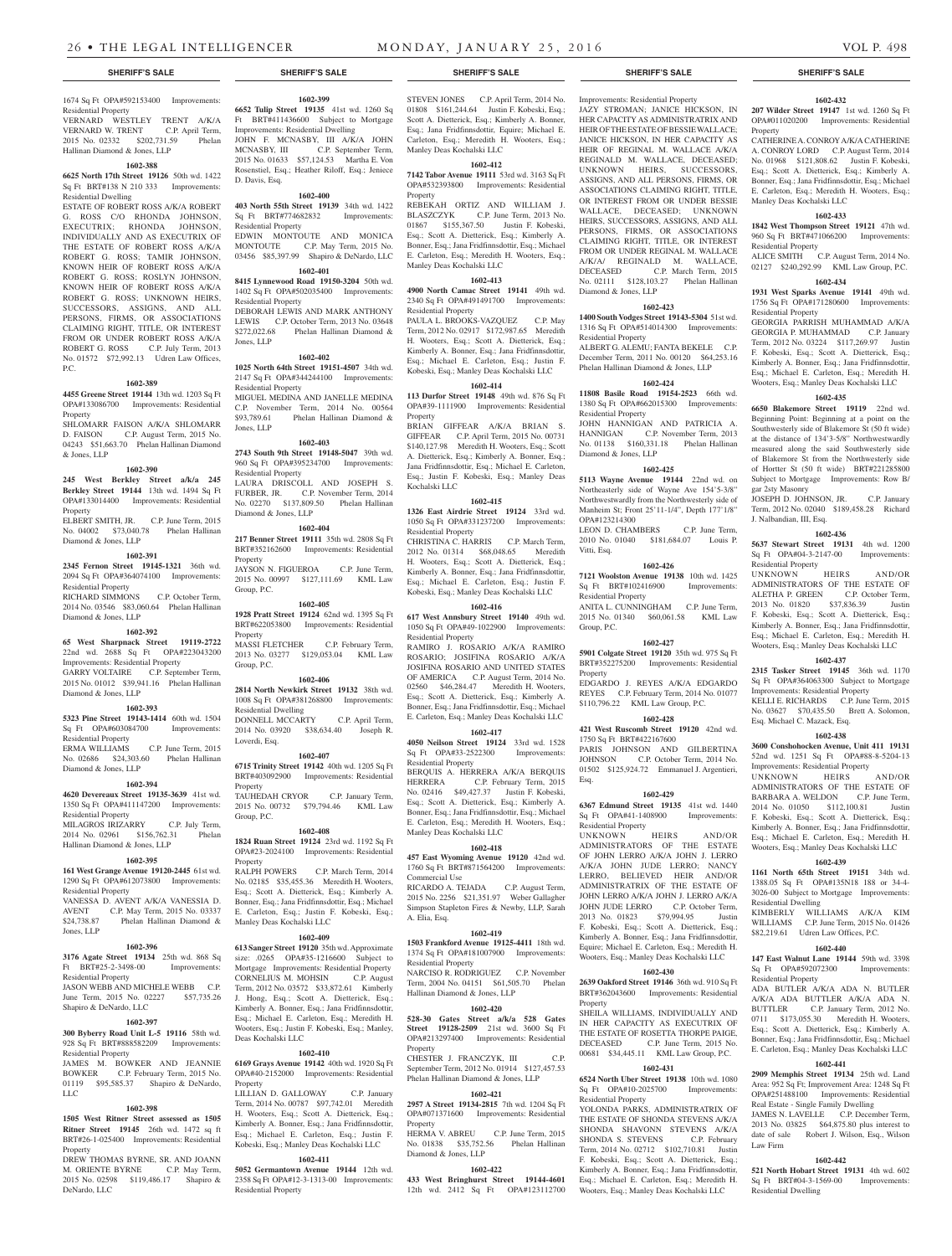# 1674 Sq Ft OPA#592153400 Improvements:

Residential Property VERNARD WESTLEY TRENT A/K/A VERNARD W. TRENT C.P. April Term, 2015 No. 02332 \$202,731.59 Phelan Hallinan Diamond & Jones, LLP

#### **1602-388**

**6625 North 17th Street 19126** 50th wd. 1422 Sq Ft BRT#138 N 210 333 Improvements: Residential Dwelling

ESTATE OF ROBERT ROSS A/K/A ROBERT G. ROSS C/O RHONDA JOHNSON, EXECUTRIX; RHONDA JOHNSON, INDIVIDUALLY AND AS EXECUTRIX OF THE ESTATE OF ROBERT ROSS A/K/A ROBERT G. ROSS; TAMIR JOHNSON, KNOWN HEIR OF ROBERT ROSS A/K/A ROBERT G. ROSS; ROSLYN JOHNSON, KNOWN HEIR OF ROBERT ROSS A/K/A ROBERT G. ROSS; UNKNOWN HEIRS, SUCCESSORS, ASSIGNS, AND ALL PERSONS, FIRMS, OR ASSOCIATIONS CLAIMING RIGHT, TITLE, OR INTEREST FROM OR UNDER ROBERT ROSS A/K/A ROBERT G. ROSS C.P. July Term, 2013 No. 01572 \$72,992.13 Udren Law Offices, P.C.

#### **1602-389**

**4455 Greene Street 19144** 13th wd. 1203 Sq Ft OPA#133086700 Improvements: Residential Property SHLOMARR FAISON A/K/A SHLOMARR D. FAISON C.P. August Term, 2015 No.

04243 \$51,663.70 Phelan Hallinan Diamond & Jones, LLP

## **1602-390**

**245 West Berkley Street a/k/a 245 Berkley Street 19144** 13th wd. 1494 Sq Ft OPA#133014400 Improvements: Residential Property

ELBERT SMITH, JR. C.P. June Term, 2015 No. 04002 \$73,040.78 Phelan Hallinan Diamond & Jones, LLP

#### **1602-391**

**2345 Fernon Street 19145-1321** 36th wd. 2094 Sq Ft OPA#364074100 Improvements: Residential Property

RICHARD SIMMONS C.P. October Term, 2014 No. 03546 \$83,060.64 Phelan Hallinan Diamond & Jones, LLP

### **1602-392**

**65 West Sharpnack Street 19119-2722**  22nd wd. 2688 Sq Ft OPA#223043200 Improvements: Residential Property GARRY VOLTAIRE C.P. September Term, 2015 No. 01012 \$39,941.16 Phelan Hallinan Diamond & Jones, LLP

### **1602-393**

**5323 Pine Street 19143-1414** 60th wd. 1504 Sq Ft OPA#603084700 Improvements: Residential Property ERMA WILLIAMS C.P. June Term, 2015 No. 02686 \$24,303.60 Phelan Hallinan Diamond & Jones, LLP

#### **1602-394**

**4620 Devereaux Street 19135-3639** 41st wd. 1350 Sq Ft OPA#411147200 Improvements: Residential Property MILAGROS IRIZARRY C.P. July Term,

2014 No. 02961 \$156,762.31 Phelan Hallinan Diamond & Jones, LLP

# **1602-395**

**161 West Grange Avenue 19120-2445** 61st wd. 1290 Sq Ft OPA#612073800 Improvements: Residential Property

VANESSA D. AVENT A/K/A VANESSIA D. AVENT C.P. May Term, 2015 No. 03337 \$24,738.87 Phelan Hallinan Diamond & Jones, LLP

#### **1602-396**

**3176 Agate Street 19134** 25th wd. 868 Sq Ft BRT#25-2-3498-00 Improvements:

Residential Property JASON WEBB AND MICHELE WEBB C.P. June Term, 2015 No. 02227 \$57,735.26 Shapiro & DeNardo, LLC

#### **1602-397**

**300 Byberry Road Unit L-5 19116** 58th wd. 928 Sq Ft BRT#888582209 Improvements: Residential Property

JAMES M. BOWKER AND JEANNIE BOWKER C.P. February Term, 2015 No. 01119 \$95,585.37 Shapiro & DeNardo, LLC

#### **1602-398**

**1505 West Ritner Street assessed as 1505 Ritner Street 19145** 26th wd. 1472 sq ft BRT#26-1-025400 Improvements: Residential Property

DREW THOMAS BYRNE, SR. AND JOANN M. ORIENTE BYRNE C.P. May Term, 2015 No. 02598 \$119,486.17 Shapiro & DeNardo, LLC

#### **1602-399 6652 Tulip Street 19135** 41st wd. 1260 Sq

Ft BRT#411436600 Subject to Mortgage Improvements: Residential Dwelling JOHN F. MCNASBY, III A/K/A JOHN MCNASBY, III C.P. September Term, 2015 No. 01633 \$57,124.53 Martha E. Von Rosenstiel, Esq.; Heather Riloff, Esq.; Jeniece D. Davis, Esq.

**1602-400 403 North 55th Street 19139** 34th wd. 1422 Sq Ft BRT#774682832 Improvements: Residential Property

EDWIN MONTOUTE AND MONICA C.P. May Term, 2015 No. 03456 \$85,397.99 Shapiro & DeNardo, LLC **1602-401**

#### **8415 Lynnewood Road 19150-3204** 50th wd.

1402 Sq Ft OPA#502035400 Improvements: Residential Property DEBORAH LEWIS AND MARK ANTHONY LEWIS C.P. October Term, 2013 No. 03648 \$272,022.68 Phelan Hallinan Diamond &

# **1602-402**

Jones, LLP

**1025 North 64th Street 19151-4507** 34th wd. 2147 Sq Ft OPA#344244100 Improvements: Residential Property MIGUEL MEDINA AND JANELLE MEDINA C.P. November Term, 2014 No. 00564<br>\$93.789.61 Phelan Hallinan Diamond & Phelan Hallinan Diamond & Jones, LLP

# **1602-403**

**2743 South 9th Street 19148-5047** 39th wd. 960 Sq Ft OPA#395234700 Improvements: Residential Property LAURA DRISCOLL AND JOSEPH S. FURBER, JR. C.P. November Term, 2014 No. 02270 \$137,809.50 Phelan Hallinan Diamond & Jones, LLP

#### **1602-404**

**217 Benner Street 19111** 35th wd. 2808 Sq Ft BRT#352162600 Improvements: Residential Property JAYSON N. FIGUEROA C.P. June Term, 2015 No. 00997 \$127,111.69 KML Law Group, P.C.

#### **1602-405**

**1928 Pratt Street 19124** 62nd wd. 1395 Sq Ft BRT#622053800 Improvements: Residential Property MASSI FLETCHER C.P. February Term,

2013 No. 03277 \$129,053.04 KML Law Group, P.C. **1602-406**

**2814 North Newkirk Street 19132** 38th wd. 1008 Sq Ft OPA#381268800 Improvements: Residential Dwelling DONNELL MCCARTY C.P. April Term, 2014 No. 03920 \$38,634.40 Joseph R.

#### **1602-407**

Loverdi, Esq.

**6715 Trinity Street 19142** 40th wd. 1205 Sq Ft BRT#403092900 Improvements: Residential Property

TAUHEDAH CRYOR C.P. January Term, 2015 No. 00732 \$79,794.46 KML Law Group, P.C.

#### **1602-408**

**1824 Ruan Street 19124** 23rd wd. 1192 Sq Ft OPA#23-2024100 Improvements: Residential Property

RALPH POWERS C.P. March Term, 2014 No. 02185 \$35,455.36 Meredith H. Wooters, Esq.; Scott A. Dietterick, Esq.; Kimberly A. Bonner, Esq.; Jana Fridfinnsdottir, Esq.; Michael E. Carleton, Esq.; Justin F. Kobeski, Esq.; Manley Deas Kochalski LLC

#### **1602-409**

**613 Sanger Street 19120** 35th wd. Approximate size: .0265 OPA#35-1216600 Subject to Mortgage Improvements: Residential Property CORNELIUS M. MOHSIN C.P. August Term, 2012 No. 03572 \$33,872.61 Kimberly J. Hong, Esq.; Scott A. Dietterick, Esq.; Kimberly A. Bonner, Esq.; Jana Fridfinnsdottir, Esq.; Michael E. Carleton, Esq.; Meredith H. Wooters, Esq.; Justin F. Kobeski, Esq.; Manley, Deas Kochalski LLC

#### **1602-410**

**6169 Grays Avenue 19142** 40th wd. 1920 Sq Ft OPA#40-2152000 Improvements: Residential Property

LILLIAN D. GALLOWAY C.P. January Term, 2014 No. 00787 \$97,742.01 Meredith H. Wooters, Esq.; Scott A. Dietterick, Esq.; Kimberly A. Bonner, Esq.; Jana Fridfinnsdottir, Esq.; Michael E. Carleton, Esq.; Justin F. Kobeski, Esq.; Manley Deas Kochalski LLC

#### **1602-411**

**5052 Germantown Avenue 19144** 12th wd. 2358 Sq Ft OPA#12-3-1313-00 Improvements: Residential Property

STEVEN JONES C.P. April Term, 2014 No. 01808 \$161,244.64 Justin F. Kobeski, Esq.; Scott A. Dietterick, Esq.; Kimberly A. Bonner, Esq.; Jana Fridfinnsdottir, Equire; Michael E. Carleton, Esq.; Meredith H. Wooters, Esq.; Manley Deas Kochalski LLC

# **1602-412**

**7142 Tabor Avenue 19111** 53rd wd. 3163 Sq Ft OPA#532393800 Improvements: Residential Property

REBEKAH ORTIZ AND WILLIAM J. BLASZCZYK C.P. June Term, 2013 No. 01867 \$155,367.50 Justin F. Kobeski, Esq.; Scott A. Dietterick, Esq.; Kimberly A. Bonner, Esq.; Jana Fridfinnsdottir, Esq.; Michael E. Carleton, Esq.; Meredith H. Wooters, Esq.; Manley Deas Kochalski LLC

#### **1602-413**

**4900 North Camac Street 19141** 49th wd. 2340 Sq Ft OPA#491491700 Improvements: Residential Property PAULA L. BROOKS-VAZQUEZ C.P. May

Term, 2012 No. 02917 \$172,987.65 Meredith H. Wooters, Esq.; Scott A. Dietterick, Esq.; Kimberly A. Bonner, Esq.; Jana Fridfinnsdottir, Esq.; Michael E. Carleton, Esq.; Justin F. Kobeski, Esq.; Manley Deas Kochalski LLC

#### **1602-414**

**113 Durfor Street 19148** 49th wd. 876 Sq Ft OPA#39-1111900 Improvements: Residential Property

BRIAN GIFFEAR A/K/A BRIAN S. GIFFEAR C.P. April Term, 2015 No. 00731 \$140,127.98 Meredith H. Wooters, Esq.; Scott A. Dietterick, Esq.; Kimberly A. Bonner, Esq.; Jana Fridfinnsdottir, Esq.; Michael E. Carleton, Esq.; Justin F. Kobeski, Esq.; Manley Deas Kochalski LLC

#### **1602-415**

**1326 East Airdrie Street 19124** 33rd wd. 1050 Sq Ft OPA#331237200 Improvements: Residential Property CHRISTINA C. HARRIS C.P. March Term, 2012 No. 01314 \$68,048.65 Meredith H. Wooters, Esq.; Scott A. Dietterick, Esq.; Kimberly A. Bonner, Esq.; Jana Fridfinnsdottir, Esq.; Michael E. Carleton, Esq.; Justin F. Kobeski, Esq.; Manley Deas Kochalski LLC

#### **1602-416**

**617 West Annsbury Street 19140** 49th wd. 1050 Sq Ft OPA#49-1022900 Improvements: Residential Property RAMIRO J. ROSARIO A/K/A RAMIRO

ROSARIO; JOSIFINA ROSARIO A/K/A JOSIFINA ROSARIO AND UNITED STATES OF AMERICA C.P. August Term, 2014 No. 02560 \$46,284.47 Meredith H. Wooters, Esq.; Scott A. Dietterick, Esq.; Kimberly A. Bonner, Esq.; Jana Fridfinnsdottir, Esq.; Michael E. Carleton, Esq.; Manley Deas Kochalski LLC

**1602-417 4050 Neilson Street 19124** 33rd wd. 1528 Sq Ft OPA#33-2522300 Improvements: Residential Property

BERQUIS A. HERRERA A/K/A BERQUIS<br>HERRERA C.P. February Term, 2015 C.P. February Term, 2015 No. 02416 \$49,427.37 Justin F. Kobeski, Esq.; Scott A. Dietterick, Esq.; Kimberly A. Bonner, Esq.; Jana Fridfinnsdottir, Esq.; Michael E. Carleton, Esq.; Meredith H. Wooters, Esq.; Manley Deas Kochalski LLC

#### **1602-418**

**457 East Wyoming Avenue 19120** 42nd wd. 1760 Sq Ft BRT#871564200 Improvements: Commercial Use

RICARDO A. TEJADA C.P. August Term, 2015 No. 2256 \$21,351.97 Weber Gallagher Simpson Stapleton Fires & Newby, LLP, Sarah A. Elia, Esq.

#### **1602-419**

**1503 Frankford Avenue 19125-4411** 18th wd. 1374 Sq Ft OPA#181007900 Improvements: Residential Property

NARCISO R. RODRIGUEZ C.P. November Term, 2004 No. 04151 \$61,505.70 Phelan Hallinan Diamond & Jones, LLP

#### **1602-420**

**528-30 Gates Street a/k/a 528 Gates Street 19128-2509** 21st wd. 3600 Sq Ft OPA#213297400 Improvements: Residential **Property** 

CHESTER I FRANCZYK III C.P. September Term, 2012 No. 01914 \$127,457.53 Phelan Hallinan Diamond & Jones, LLP

#### **1602-421 2957 A Street 19134-2815** 7th wd. 1204 Sq Ft

OPA#071371600 Improvements: Residential Property HERMA V. ABREU C.P. June Term, 2015 No. 01838 \$35,752.56 Phelan Hallinan

Diamond & Jones, LLP

# **1602-422**

**433 West Bringhurst Street 19144-4601**  12th wd. 2412 Sq Ft OPA#123112700

#### **SHERIFF'S SALE SHERIFF'S SALE SHERIFF'S SALE SHERIFF'S SALE SHERIFF'S SALE**

**1602-432 207 Wilder Street 19147** 1st wd. 1260 Sq Ft OPA#011020200 Improvements: Residential

CATHERINE A. CONROY A/K/A CATHERINE A. CONROY LORD C.P. August Term, 2014 No. 01968 \$121,808.62 Justin F. Kobeski, Esq.; Scott A. Dietterick, Esq.; Kimberly A. Bonner, Esq.; Jana Fridfinnsdottir, Esq.; Michael E. Carleton, Esq.; Meredith H. Wooters, Esq.;

**1602-433 1842 West Thompson Street 19121** 47th wd. 960 Sq Ft BRT#471066200 Improvements:

ALICE SMITH C.P. August Term, 2014 No. 02127 \$240,292.99 KML Law Group, P.C. **1602-434 1931 West Sparks Avenue 19141** 49th wd. 1756 Sq Ft OPA#171280600 Improvements:

GEORGIA PARRISH MUHAMMAD A/K/A GEORGIA P. MUHAMMAD C.P. January Term, 2012 No. 03224 \$117,269.97 Justin F. Kobeski, Esq.; Scott A. Dietterick, Esq.; Kimberly A. Bonner, Esq.; Jana Fridfinnsdottir, Esq.; Michael E. Carleton, Esq.; Meredith H. Wooters, Esq.; Manley Deas Kochalski LLC **1602-435 6650 Blakemore Street 19119** 22nd wd. Beginning Point: Beginning at a point on the Southwesterly side of Blakemore St (50 ft wide) at the distance of 134'3-5/8" Northwestwardly measured along the said Southwesterly side of Blakemore St from the Northwesterly side of Hortter St (50 ft wide) BRT#221285800 Subject to Mortgage Improvements: Row B/

JOSEPH D. JOHNSON, JR. C.P. January Term, 2012 No. 02040 \$189,458.28 Richard

**1602-436 5637 Stewart Street 19131** 4th wd. 1200 Sq Ft OPA#04-3-2147-00 Improvements:

UNKNOWN HEIRS AND/OR ADMINISTRATORS OF THE ESTATE OF ALETHA P. GREEN C.P. October Term, 2013 No. 01820 \$37,836.39 Justin F. Kobeski, Esq.; Scott A. Dietterick, Esq.; Kimberly A. Bonner, Esq.; Jana Fridfinnsdottir, Esq.; Michael E. Carleton, Esq.; Meredith H. Wooters, Esq.; Manley Deas Kochalski LLC **1602-437 2315 Tasker Street 19145** 36th wd. 1170 Sq Ft OPA#364063300 Subject to Mortgage Improvements: Residential Property

KELLI E. RICHARDS C.P. June Term, 2015 No. 03627 \$70,435.50 Brett A. Solomon,

**1602-438 3600 Conshohocken Avenue, Unit 411 19131**  52nd wd. 1251 Sq Ft OPA#88-8-5204-13 Improvements: Residential Property UNKNOWN HEIRS AND/OR ADMINISTRATORS OF THE ESTATE OF BARBARA A. WELDON C.P. June Term, 2014 No. 01050 \$112,100.81 Justin F. Kobeski, Esq.; Scott A. Dietterick, Esq.; Kimberly A. Bonner, Esq.; Jana Fridfinnsdottir, Esq.; Michael E. Carleton, Esq.; Meredith H. Wooters, Esq.; Manley Deas Kochalski LLC **1602-439 1161 North 65th Street 19151** 34th wd. 1388.05 Sq Ft OPA#135N18 188 or 34-4- 3026-00 Subject to Mortgage Improvements:

KIMBERLY WILLIAMS A/K/A KIM WILLIAMS C.P. June Term, 2015 No. 01426 \$82,219.61 Udren Law Offices, P.C. **1602-440 147 East Walnut Lane 19144** 59th wd. 3398 Sq Ft OPA#592072300 Improvements:

ADA BUTLER A/K/A ADA N. BUTLER A/K/A ADA BUTTLER A/K/A ADA N.<br>BUTTLER C.P. January Term. 2012 No.

0711 \$173,055.30 Meredith H. Wooters, Esq.; Scott A. Dietterick, Esq.; Kimberly A. Bonner, Esq.; Jana Fridfinnsdottir, Esq.; Michael E. Carleton, Esq.; Manley Deas Kochalski LLC **1602-441 2909 Memphis Street 19134** 25th wd. Land Area: 952 Sq Ft; Improvement Area: 1248 Sq Ft OPA#251488100 Improvements: Residential Real Estate - Single Family Dwelling JAMES N. LAVELLE C.P. December Term, 2013 No. 03825 \$64,875.80 plus interest to date of sale Robert J. Wilson, Esq., Wilson

**1602-442 521 North Hobart Street 19131** 4th wd. 602 Sq Ft BRT#04-3-1569-00 Improvements:

C.P. January Term, 2012 No.

Manley Deas Kochalski LLC

Residential Property

Residential Property

gar 2sty Masonry

J. Nalbandian, III, Esq.

Residential Property<br>
UNKNOWN
HEIRS

Esq. Michael C. Mazack, Esq.

Residential Dwelling

Residential Property

Law Firm

Residential Dwelling

Property

Improvements: Residential Property

JAZY STROMAN; JANICE HICKSON, IN HER CAPACITY AS ADMINISTRATRIX AND HEIR OF THE ESTATE OF BESSIE WALLACE; JANICE HICKSON, IN HER CAPACITY AS HEIR OF REGINAL M. WALLACE A/K/A REGINALD M. WALLACE, DECEASED; UNKNOWN HEIRS, SUCCESSORS, ASSIGNS, AND ALL PERSONS, FIRMS, OR ASSOCIATIONS CLAIMING RIGHT, TITLE, OR INTEREST FROM OR UNDER BESSIE WALLACE, DECEASED; UNKNOWN HEIRS, SUCCESSORS, ASSIGNS, AND ALL PERSONS, FIRMS, OR ASSOCIATIONS CLAIMING RIGHT, TITLE, OR INTEREST FROM OR UNDER REGINAL M. WALLACE A/K/A/ REGINALD M. WALLACE, DECEASED C.P. March Term, 2015 No. 02111 \$128,103.27 Phelan Hallinan Diamond & Jones, LLP

# **1602-423**

Residential Property

Residential Property

Diamond & Jones, LLP

OPA#123214300

Residential Property

Vitti, Esq.

Group, P.C.

Property

Esq.

Property

Residential Property

SHONDA S. STEVENS

**1400 South Vodges Street 19143-5304** 51st wd. 1316 Sq Ft OPA#514014300 Improvements:

ALBERT G. ALEMU; FANTA BEKELE C.P. December Term, 2011 No. 00120 \$64,253.16 Phelan Hallinan Diamond & Jones, LLP **1602-424 11808 Basile Road 19154-2523** 66th wd. 1380 Sq Ft OPA#662015300 Improvements:

JOHN HANNIGAN AND PATRICIA A.<br>HANNIGAN C.P. November Term, 2013

No. 01138 \$160,331.18 Phelan Hallinan

**1602-425 5113 Wayne Avenue 19144** 22nd wd. on Northeasterly side of Wayne Ave 154'5-3/8" Northwestwardly from the Northwesterly side of Manheim St; Front 25'11-1/4", Depth 177'1/8"

LEON D. CHAMBERS C.P. June Term, 2010 No. 01040 \$181,684.07 Louis P.

**1602-426 7121 Woolston Avenue 19138** 10th wd. 1425 Sq Ft BRT#102416900 Improvements:

ANITA L. CUNNINGHAM C.P. June Term, 2015 No. 01340 \$60,061.58 KML Law

**1602-427 5901 Colgate Street 19120** 35th wd. 975 Sq Ft BRT#352275200 Improvements: Residential

EDGARDO J. REYES A/K/A EDGARDO REYES C.P. February Term, 2014 No. 01077 \$110,796.22 KML Law Group, P.C. **1602-428 421 West Ruscomb Street 19120** 42nd wd.

PARIS JOHNSON AND GILBERTINA JOHNSON C.P. October Term, 2014 No. 01502 \$125,924.72 Emmanuel J. Argentieri,

**1602-429 6367 Edmund Street 19135** 41st wd. 1440 Sq Ft OPA#41-1408900 Improvements:

UNKNOWN HEIRS AND/OR ADMINISTRATORS OF THE ESTATE OF JOHN LERRO A/K/A JOHN J. LERRO A/K/A JOHN JUDE LERRO; NANCY LERRO, BELIEVED HEIR AND/OR ADMINISTRATRIX OF THE ESTATE OF JOHN LERRO A/K/A JOHN J. LERRO A/K/A JOHN JUDE LERRO C.P. October Term, 2013 No. 01823 \$79,994.95 Justin F. Kobeski, Esq.; Scott A. Dietterick, Esq.; Kimberly A. Bonner, Esq.; Jana Fridfinnsdottir, Equire; Michael E. Carleton, Esq.; Meredith H. Wooters, Esq.; Manley Deas Kochalski LLC **1602-430 2639 Oakford Street 19146** 36th wd. 910 Sq Ft BRT#362043600 Improvements: Residential

SHEILA WILLIAMS, INDIVIDUALLY AND IN HER CAPACITY AS EXECUTRIX OF THE ESTATE OF ROSETTA THORPE PAIGE, DECEASED C.P. June Term, 2015 No. 00681 \$34,445.11 KML Law Group, P.C. **1602-431 6524 North Uber Street 19138** 10th wd. 1080 Sq Ft OPA#10-2025700 Improvements:

YOLONDA PARKS, ADMINISTRATRIX OF THE ESTATE OF SHONDA STEVENS A/K/A SHONDA SHAVONN STEVENS A/K/A<br>SHONDA S. STEVENS C.P. February

Term, 2014 No. 02712 \$102,710.81 Justin F. Kobeski, Esq.; Scott A. Dietterick, Esq.; Kimberly A. Bonner, Esq.; Jana Fridfinnsdottir, Esq.; Michael E. Carleton, Esq.; Meredith H. Wooters, Esq.; Manley Deas Kochalski LLC

1750 Sq Ft BRT#422167600

Residential Property

C.P. November Term, 2013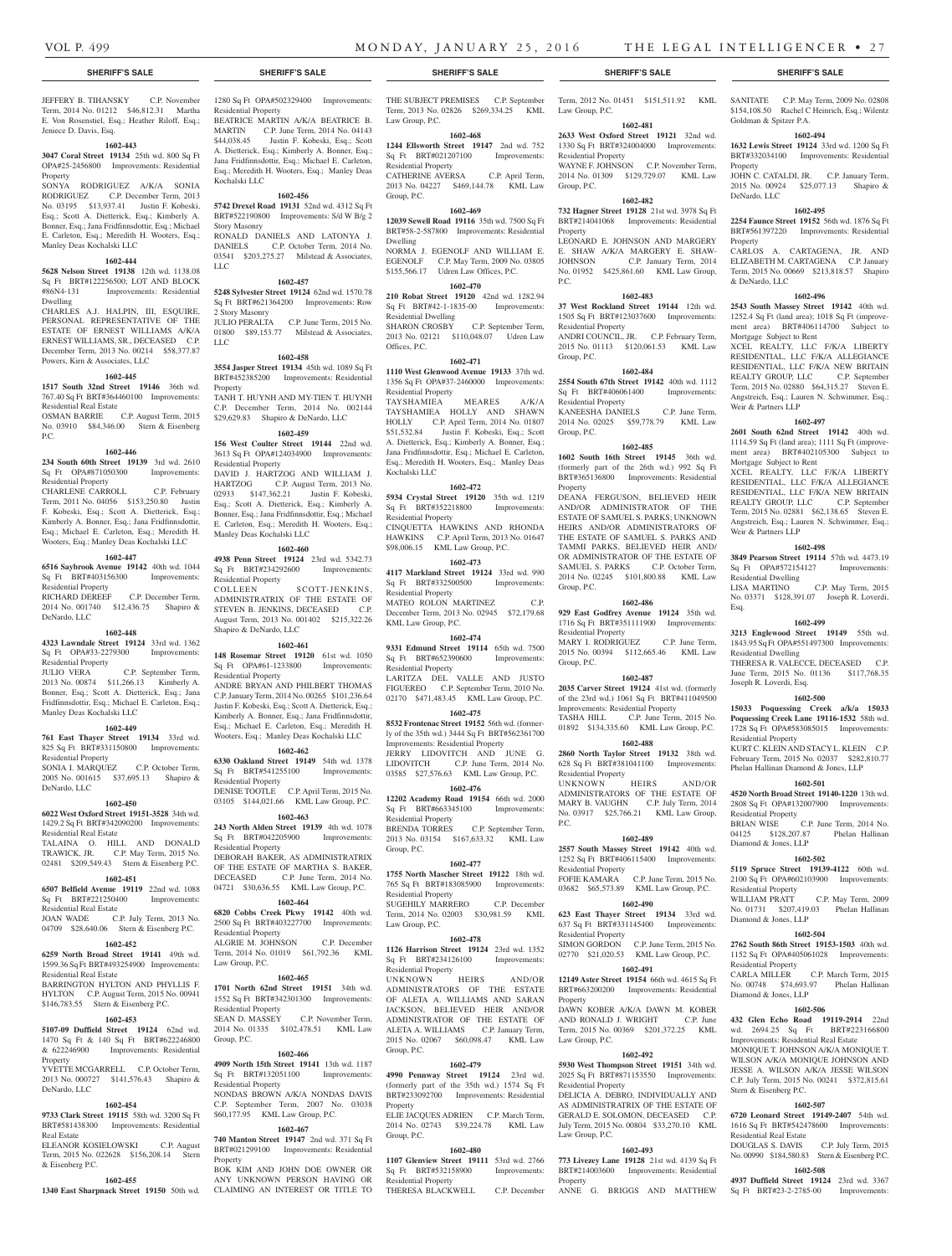Jeniece D. Davis, Esq.

Manley Deas Kochalski LLC

Powers, Kirn & Associates, LLC

Residential Real Estate

Residential Property

Residential Property

Residential Property

Residential Property

Residential Real Estate

Residential Real Estate

Residential Real Estate

Property

DeNardo, LLC

Real Estate

& Eisenberg P.C.

DeNardo, LLC

Manley Deas Kochalski LLC

DeNardo, LLC

Property

Dwelling

P.C.

**1602-443**

SONYA RODRIGUEZ A/K/A SONIA RODRIGUEZ C.P. December Term, 2013 No. 03195 \$13,937.41 Justin F. Kobeski, Esq.; Scott A. Dietterick, Esq.; Kimberly A. Bonner, Esq.; Jana Fridfinnsdottir, Esq.; Michael E. Carleton, Esq.; Meredith H. Wooters, Esq.;

**1602-444 5628 Nelson Street 19138** 12th wd. 1138.08 Sq Ft BRT#122256500; LOT AND BLOCK #86N4-131 Improvements: Residential

CHARLES A.J. HALPIN, III, ESQUIRE, PERSONAL REPRESENTATIVE OF THE ESTATE OF ERNEST WILLIAMS A/K/A ERNEST WILLIAMS, SR., DECEASED C.P. December Term, 2013 No. 00214 \$58,377.87

**1602-445 1517 South 32nd Street 19146** 36th wd. 767.40 Sq Ft BRT#364460100 Improvements:

OSMAN BARRIE C.P. August Term, 2015 No. 03910 \$84,346.00 Stern & Eisenberg

**1602-446 234 South 60th Street 19139** 3rd wd. 2610 Sq Ft OPA#871050300 Improvements:

CHARLENE CARROLL C.P. February Term, 2011 No. 04056 \$153,250.80 Justin F. Kobeski, Esq.; Scott A. Dietterick, Esq.; Kimberly A. Bonner, Esq.; Jana Fridfinnsdottir, Esq.; Michael E. Carleton, Esq.; Meredith H. Wooters, Esq.; Manley Deas Kochalski LLC **1602-447 6516 Saybrook Avenue 19142** 40th wd. 1044 Sq Ft BRT#403156300 Improvements:

RICHARD DEREEF C.P. December Term, 2014 No. 001740 \$12,436.75 Shapiro &

**1602-448 4323 Lawndale Street 19124** 33rd wd. 1362 Sq Ft OPA#33-2279300 Improvements:

JULIO VERA C.P. September Term, 2013 No. 00874 \$11,266.13 Kimberly A. Bonner, Esq.; Scott A. Dietterick, Esq.; Jana Fridfinnsdottir, Esq.; Michael E. Carleton, Esq.;

**1602-449 761 East Thayer Street 19134** 33rd wd. 825 Sq Ft BRT#331150800 Improvements:

SONIA I. MARQUEZ C.P. October Term, 2005 No. 001615 \$37,695.13 Shapiro &

**1602-450 6022 West Oxford Street 19151-3528** 34th wd. 1429.2 Sq Ft BRT#342090200 Improvements:

TALAINA O. HILL AND DONALD TRAWICK, JR. C.P. May Term, 2015 No. 02481 \$209,549.43 Stern & Eisenberg P.C. **1602-451 6507 Belfield Avenue 19119** 22nd wd. 1088 Sq Ft BRT#221250400 Improvements:

JOAN WADE C.P. July Term, 2013 No. 04709 \$28,640.06 Stern & Eisenberg P.C. **1602-452 6259 North Broad Street 19141** 49th wd. 1599.36 Sq Ft BRT#493254900 Improvements:

BARRINGTON HYLTON AND PHYLLIS F. HYLTON C.P. August Term, 2015 No. 00941 \$146,783.55 Stern & Eisenberg P.C. **1602-453 5107-09 Duffield Street 19124** 62nd wd. 1470 Sq Ft & 140 Sq Ft BRT#622246800 & 622246900 Improvements: Residential

YVETTE MCGARRELL C.P. October Term, 2013 No. 000727 \$141,576.43 Shapiro &

**1602-454 9733 Clark Street 19115** 58th wd. 3200 Sq Ft BRT#581438300 Improvements: Residential

ELEANOR KOSIELOWSKI C.P. August Term, 2015 No. 022628 \$156,208.14 Stern

**1602-455**

JEFFERY B. TIHANSKY C.P. November Term, 2014 No. 01212 \$46,812.31 Martha E. Von Rosenstiel, Esq.; Heather Riloff, Esq.; **3047 Coral Street 19134** 25th wd. 800 Sq Ft OPA#25-2456800 Improvements: Residential Residential Property BEATRICE MARTIN A/K/A BEATRICE B. MARTIN C.P. June Term, 2014 No. 04143 \$44,038.45 Justin F. Kobeski, Esq.; Scott A. Dietterick, Esq.; Kimberly A. Bonner, Esq.; Jana Fridfinnsdottir, Esq.; Michael E. Carleton,

Esq.; Meredith H. Wooters, Esq.; Manley Deas Kochalski LLC **1602-456 5742 Drexel Road 19131** 52nd wd. 4312 Sq Ft

BRT#522190800 Improvements: S/d W B/g 2 Story Masonry RONALD DANIELS AND LATONYA J.

DANIELS C.P. October Term, 2014 No. 03541 \$203,275.27 Milstead & Associates, LLC **1602-457**

**5248 Sylvester Street 19124** 62nd wd. 1570.78 Sq Ft BRT#621364200 Improvements: Row 2 Story Masonry JULIO PERALTA C.P. June Term, 2015 No. 01800 \$89,153.77 Milstead & Associates, LLC

#### **1602-458**

**3554 Jasper Street 19134** 45th wd. 1089 Sq Ft BRT#452385200 Improvements: Residential Property TANH T. HUYNH AND MY-TIEN T. HUYNH C.P. December Term, 2014 No. 002144

# \$29,629.83 Shapiro & DeNardo, LLC

**1602-459 156 West Coulter Street 19144** 22nd wd. 3613 Sq Ft OPA#124034900 Improvements: Residential Property DAVID J. HARTZOG AND WILLIAM J. HARTZOG C.P. August Term, 2013 No. 02933 \$147,362.21 Justin F. Kobeski, Esq.; Scott A. Dietterick, Esq.; Kimberly A. Bonner, Esq.; Jana Fridfinnsdottir, Esq.; Michael E. Carleton, Esq.; Meredith H. Wooters, Esq.; Manley Deas Kochalski LLC

# **1602-460**

**4938 Penn Street 19124** 23rd wd. 5342.73 Sq Ft BRT#234292600 Improvements: Residential Property COLLEEN SCOTT-JENKINS, ADMINISTRATRIX OF THE ESTATE OF STEVEN B. JENKINS, DECEASED C.P. August Term, 2013 No. 001402 \$215,322.26 Shapiro & DeNardo, LLC

# **1602-461**

**148 Rosemar Street 19120** 61st wd. 1050 Sq Ft OPA#61-1233800 Improvements: Residential Property ANDRE BRYAN AND PHILBERT THOMAS C.P. January Term, 2014 No. 00265 \$101,236.64 Justin F. Kobeski, Esq.; Scott A. Dietterick, Esq.; Kimberly A. Bonner, Esq.; Jana Fridfinnsdottir, Esq.; Michael E. Carleton, Esq.; Meredith H. Wooters, Esq.; Manley Deas Kochalski LLC

### **1602-462**

**6330 Oakland Street 19149** 54th wd. 1378 Sq Ft BRT#541255100 Improvements: Residential Property DENISE TOOTLE C.P. April Term, 2015 No. 03105 \$144,021.66 KML Law Group, P.C.

#### **1602-463**

**243 North Alden Street 19139** 4th wd. 1078 Sq Ft BRT#042205900 Improvements: Residential Property DEBORAH BAKER, AS ADMINISTRATRIX OF THE ESTATE OF MARTHA S. BAKER, DECEASED C.P. June Term, 2014 No. 04721 \$30,636.55 KML Law Group, P.C. **1602-464**

**6820 Cobbs Creek Pkwy 19142** 40th wd. 2500 Sq Ft BRT#403227700 Improvements: Residential Property ALGRIE M. JOHNSON C.P. December

Term, 2014 No. 01019 \$61,792.36 KML Law Group, P.C.

### **1602-465**

**1701 North 62nd Street 19151** 34th wd. 1552 Sq Ft BRT#342301300 Improvements: Residential Property<br>SEAN D. MASSEY C.P. November Term,

2014 No. 01335 \$102,478.51 KML Law Group, P.C.

## **1602-466**

**4909 North 15th Street 19141** 13th wd. 1187 Sq Ft BRT#132051100 Improvements: Residential Property NONDAS BROWN A/K/A NONDAS DAVIS C.P. September Term, 2007 No. 03038

# \$60,177.95 KML Law Group, P.C.

**1602-467 740 Manton Street 19147** 2nd wd. 371 Sq Ft BRT#021299100 Improvements: Residential **Property** 

**1340 East Sharpnack Street 19150** 50th wd. CLAIMING AN INTEREST OR TITLE TO BOK KIM AND JOHN DOE OWNER OR ANY UNKNOWN PERSON HAVING OR

1280 Sq Ft OPA#502329400 Improvements: THE SUBJECT PREMISES C.P. September Term, 2012 No. 01451 \$151,511.92 KML SANITATE C.P. May Term, 2009 No. 02808 Term, 2013 No. 02826 \$269,334.25 KML Law Group, P.C. Law Group, P.C.

#### **1602-468**

**1244 Ellsworth Street 19147** 2nd wd. 752 Sq Ft BRT#021207100 Improvements: Residential Property CATHERINE AVERSA C.P. April Term, 2013 No. 04227 \$469,144.78 KML Law Group, P.C.

#### **1602-469**

**12039 Sewell Road 19116** 35th wd. 7500 Sq Ft BRT#58-2-587800 Improvements: Residential Dwelling NORMA J. EGENOLF AND WILLIAM E. EGENOLF C.P. May Term, 2009 No. 03805

#### \$155,566.17 Udren Law Offices, P.C. **1602-470**

**210 Robat Street 19120** 42nd wd. 1282.94 Sq Ft BRT#42-1-1835-00 Improvements: Residential Dwelling SHARON CROSBY C.P. September Term, 2013 No. 02121 \$110,048.07 Udren Law Offices, P.C.

#### **1602-471**

**1110 West Glenwood Avenue 19133** 37th wd. 1356 Sq Ft OPA#37-2460000 Improvements: Residential Property TAYSHAMIEA MEARES A/K/A TAYSHAMIEA HOLLY AND SHAWN HOLLY C.P. April Term, 2014 No. 01807 \$51,532.84 Justin F. Kobeski, Esq.; Scott A. Dietterick, Esq.; Kimberly A. Bonner, Esq.; Jana Fridfinnsdottir, Esq.; Michael E. Carleton,

# Esq.; Meredith H. Wooters, Esq.; Manley Deas

Kochalski LLC

**1602-472 5934 Crystal Street 19120** 35th wd. 1219 Sq Ft BRT#352218800 Improvements: Residential Property CINQUETTA HAWKINS AND RHONDA

HAWKINS C.P. April Term, 2013 No. 01647 \$98,006.15 KML Law Group, P.C. **1602-473**

**4117 Markland Street 19124** 33rd wd. 990 Sq Ft BRT#332500500 Improvements:

Residential Property MATEO ROLON MARTINEZ C.P. December Term, 2013 No. 02945 \$72,179.68 KML Law Group, P.C.

#### **1602-474**

**9331 Edmund Street 19114** 65th wd. 7500 Sq Ft BRT#652390600 Improvements: Residential Property LARITZA DEL VALLE AND JUSTO

FIGUEREO C.P. September Term, 2010 No. 02170 \$471,483.45 KML Law Group, P.C. **1602-475**

**8532 Frontenac Street 19152** 56th wd. (formerly of the 35th wd.) 3444 Sq Ft BRT#562361700 Improvements: Residential Property JERRY LIDOVITCH AND JUNE G. LIDOVITCH C.P. June Term, 2014 No. 03585 \$27,576.63 KML Law Group, P.C.

#### **1602-476**

**12202 Academy Road 19154** 66th wd. 2000 Sq Ft BRT#663345100 Improvements: Residential Property BRENDA TORRES C.P. September Term, 2013 No. 03154 \$167,633.32 KML Law Group, P.C.

#### **1602-477**

**1755 North Mascher Street 19122** 18th wd. 765 Sq Ft BRT#183085900 Improvements: Residential Property SUGEHILY MARRERO C.P. December Term, 2014 No. 02003 \$30,981.59 KML Law Group, P.C.

# **1602-478**

**1126 Harrison Street 19124** 23rd wd. 1352 Sq Ft BRT#234126100 Improvements: Residential Property<br>
IINKNOWN
HEIRS

 $AND/OR$ ADMINISTRATORS OF THE ESTATE OF ALETA A. WILLIAMS AND SARAN JACKSON, BELIEVED HEIR AND/OR ADMINISTRATOR OF THE ESTATE OF ALETA A. WILLIAMS C.P. January Term, 2015 No. 02067 \$60,098.47 KML Law Group, P.C.

#### **1602-479**

**4990 Pennway Street 19124** 23rd wd. (formerly part of the 35th wd.) 1574 Sq Ft BRT#233092700 Improvements: Residential Property ELIE JACQUES ADRIEN C.P. March Term, 2014 No. 02743 \$39,224.78 KML Law

#### **1602-480**

Group, P.C.

**1107 Glenview Street 19111** 53rd wd. 2766 Sq Ft BRT#532158900 Improvements: Residential Property THERESA BLACKWELL C.P. December

#### **SHERIFF'S SALE SHERIFF'S SALE SHERIFF'S SALE SHERIFF'S SALE SHERIFF'S SALE**

**1602-481**

# **2633 West Oxford Street 19121** 32nd wd.

1330 Sq Ft BRT#324004000 Improvements: Residential Property WAYNE F. JOHNSON C.P. November Term, 2014 No. 01309 \$129,729.07 KML Law Group, P.C.

# **1602-482**

**732 Hagner Street 19128** 21st wd. 3978 Sq Ft BRT#214041068 Improvements: Residential Property LEONARD E. JOHNSON AND MARGERY E. SHAW A/K/A MARGERY E. SHAW-JOHNSON C.P. January Term, 2014

C.P. January Term, 2014 No. 01952 \$425,861.60 KML Law Group, P.C.

# **1602-483**

**37 West Rockland Street 19144** 12th wd. 1505 Sq Ft BRT#123037600 Improvements: Residential Property ANDRI COUNCIL, JR. C.P. February Term, 2015 No. 01113 \$120,061.53 KML Law Group, P.C.

#### **1602-484**

**2554 South 67th Street 19142** 40th wd. 1112 Sq Ft BRT#406061400 Improvements: Residential Property KANEESHA DANIELS C.P. June Term, 2014 No. 02025 \$59,778.79 KML Law

Group, P.C. **1602-485 1602 South 16th Street 19145** 36th wd.

#### (formerly part of the 26th wd.) 992 Sq Ft BRT#365136800 Improvements: Residential Property DEANA FERGUSON, BELIEVED HEIR AND/OR ADMINISTRATOR OF THE

ESTATE OF SAMUEL S. PARKS; UNKNOWN HEIRS AND/OR ADMINISTRATORS OF THE ESTATE OF SAMUEL S. PARKS AND TAMMI PARKS, BELIEVED HEIR AND/ OR ADMINISTRATOR OF THE ESTATE OF SAMUEL S. PARKS C.P. October Term, 2014 No. 02245 \$101,800.88 KML Law Group, P.C.

#### **1602-486**

**929 East Godfrey Avenue 19124** 35th wd. 1716 Sq Ft BRT#351111900 Improvements: Residential Property MARY I. RODRIGUEZ C.P. June Term, 2015 No. 00394 \$112,665.46 KML Law Group, P.C.

### **1602-487**

**2035 Carver Street 19124** 41st wd. (formerly of the 23rd wd.) 1061 Sq Ft BRT#411049500 Improvements: Residential Property TASHA HILL C.P. June Term, 2015 No. 01892 \$134,335.60 KML Law Group, P.C.

**1602-488 2860 North Taylor Street 19132** 38th wd. 628 Sq Ft BRT#381041100 Improvements: Residential Property<br>UNKNOWN HEIRS UNKNOWN HEIRS AND/OR

ADMINISTRATORS OF THE ESTATE OF MARY B. VAUGHN C.P. July Term, 2014 No. 03917 \$25,766.21 KML Law Group, P.C.

# **1602-489**

**2557 South Massey Street 19142** 40th wd. 1252 Sq Ft BRT#406115400 Improvements: Residential Property FOFIE KAMARA C.P. June Term, 2015 No. 03682 \$65,573.89 KML Law Group, P.C.

#### **1602-490**

**623 East Thayer Street 19134** 33rd wd. 637 Sq Ft BRT#331145400 Improvements: Residential Property

## SIMON GORDON C.P. June Term, 2015 No.

02770 \$21,020.53 KML Law Group, P.C. **1602-491 12149 Aster Street 19154** 66th wd. 4615 Sq Ft BRT#663200200 Improvements: Residential **Property** DAWN KOBER A/K/A DAWN M. KOBER

AND RONALD J. WRIGHT C.P. June Term, 2015 No. 00369 \$201,372.25 KML Law Group, P.C.

#### **1602-492**

**5930 West Thompson Street 19151** 34th wd. 2025 Sq Ft BRT#871153550 Improvements: Residential Property DELICIA A. DEBRO, INDIVIDUALLY AND AS ADMINISTRATRIX OF THE ESTATE OF GERALD E. SOLOMON, DECEASED C.P. July Term, 2015 No. 00804 \$33,270.10 KML Law Group, P.C.

#### **1602-493 773 Livezey Lane 19128** 21st wd. 4139 Sq Ft

BRT#214003600 Improvements: Residential Property ANNE G. BRIGGS AND MATTHEW \$154,108.50 Rachel C Heinrich, Esq.; Wilentz

# Goldman & Spitzer P.A. **1602-494**

**1632 Lewis Street 19124** 33rd wd. 1200 Sq Ft BRT#332034100 Improvements: Residential Property

JOHN C. CATALDI, JR. C.P. January Term, 2015 No. 00924 \$25,077.13 Shapiro & DeNardo, LLC

#### **1602-495**

Mortgage Subject to Rent

Weir & Partners LLP

Mortgage Subject to Rent

Weir & Partners LLP

Residential Dwelling

Residential Dwelling

Joseph R. Loverdi, Esq.

Residential Property

Residential Property

Diamond & Jones, LLP

Residential Property

Diamond & Jones, LLP

Residential Property<br>CARLA MILLER

Diamond & Jones, LLP

Stern & Eisenberg P.C.

Residential Real Estate

Esq.

**2254 Faunce Street 19152** 56th wd. 1876 Sq Ft BRT#561397220 Improvements: Residential Property

CARLOS A. CARTAGENA, JR. AND ELIZABETH M. CARTAGENA C.P. January Term, 2015 No. 00669 \$213,818.57 Shapiro & DeNardo, LLC

**1602-496 2543 South Massey Street 19142** 40th wd. 1252.4 Sq Ft (land area); 1018 Sq Ft (improvement area) BRT#406114700 Subject to

XCEL REALTY, LLC F/K/A LIBERTY RESIDENTIAL, LLC F/K/A ALLEGIANCE RESIDENTIAL, LLC F/K/A NEW BRITAIN REALTY GROUP, LLC C.P. September Term, 2015 No. 02880 \$64,315.27 Steven E. Angstreich, Esq.; Lauren N. Schwimmer, Esq.;

**1602-497 2601 South 62nd Street 19142** 40th wd. 1114.59 Sq Ft (land area); 1111 Sq Ft (improvement area) BRT#402105300 Subject to

XCEL REALTY, LLC F/K/A LIBERTY RESIDENTIAL, LLC F/K/A ALLEGIANCE RESIDENTIAL, LLC F/K/A NEW BRITAIN REALTY GROUP, LLC C.P. September Term, 2015 No. 02881 \$62,138.65 Steven E. Angstreich, Esq.; Lauren N. Schwimmer, Esq.;

**1602-498 3849 Pearson Street 19114** 57th wd. 4473.19 Sq Ft OPA#572154127 Improvements:

No. 03371 \$128,391.07 Joseph R. Loverdi,

**1602-499 3213 Englewood Street 19149** 55th wd. 1843.95 Sq Ft OPA#551497300 Improvements:

THERESA R. VALECCE, DECEASED C.P. June Term, 2015 No. 01136 \$117,768.35

**1602-500 15033 Poquessing Creek a/k/a 15033 Poquessing Creek Lane 19116-1532** 58th wd. 1728 Sq Ft OPA#583085015 Improvements:

KURT C. KLEIN AND STACY L. KLEIN C.P. February Term, 2015 No. 02037 \$282,810.77 Phelan Hallinan Diamond & Jones, LLP **1602-501 4520 North Broad Street 19140-1220** 13th wd. 2808 Sq Ft OPA#132007900 Improvements:

BRIAN WISE C.P. June Term, 2014 No. 04125 \$128,207.87 Phelan Hallinan

**1602-502 5119 Spruce Street 19139-4122** 60th wd. 2100 Sq Ft OPA#602103900 Improvements:

WILLIAM PRATT C.P. May Term, 2009 No. 01731 \$207,419.03 Phelan Hallinan

**1602-504 2762 South 86th Street 19153-1503** 40th wd. 1152 Sq Ft OPA#405061028 Improvements:

No. 00748 \$74,693.97 Phelan Hallinan

**1602-506 432 Glen Echo Road 19119-2914** 22nd wd. 2694.25 Sq Ft BRT#223166800 Improvements: Residential Real Estate MONIQUE T. JOHNSON A/K/A MONIQUE T. WILSON A/K/A MONIQUE JOHNSON AND JESSE A. WILSON A/K/A JESSE WILSON C.P. July Term, 2015 No. 00241 \$372,815.61

**1602-507 6720 Leonard Street 19149-2407** 54th wd. 1616 Sq Ft BRT#542478600 Improvements:

DOUGLAS S. DAVIS C.P. July Term, 2015 No. 00990 \$184,580.83 Stern & Eisenberg P.C. **1602-508 4937 Duffield Street 19124** 23rd wd. 3367 Sq Ft BRT#23-2-2785-00 Improvements:

C.P. March Term, 2015

C.P. May Term, 2015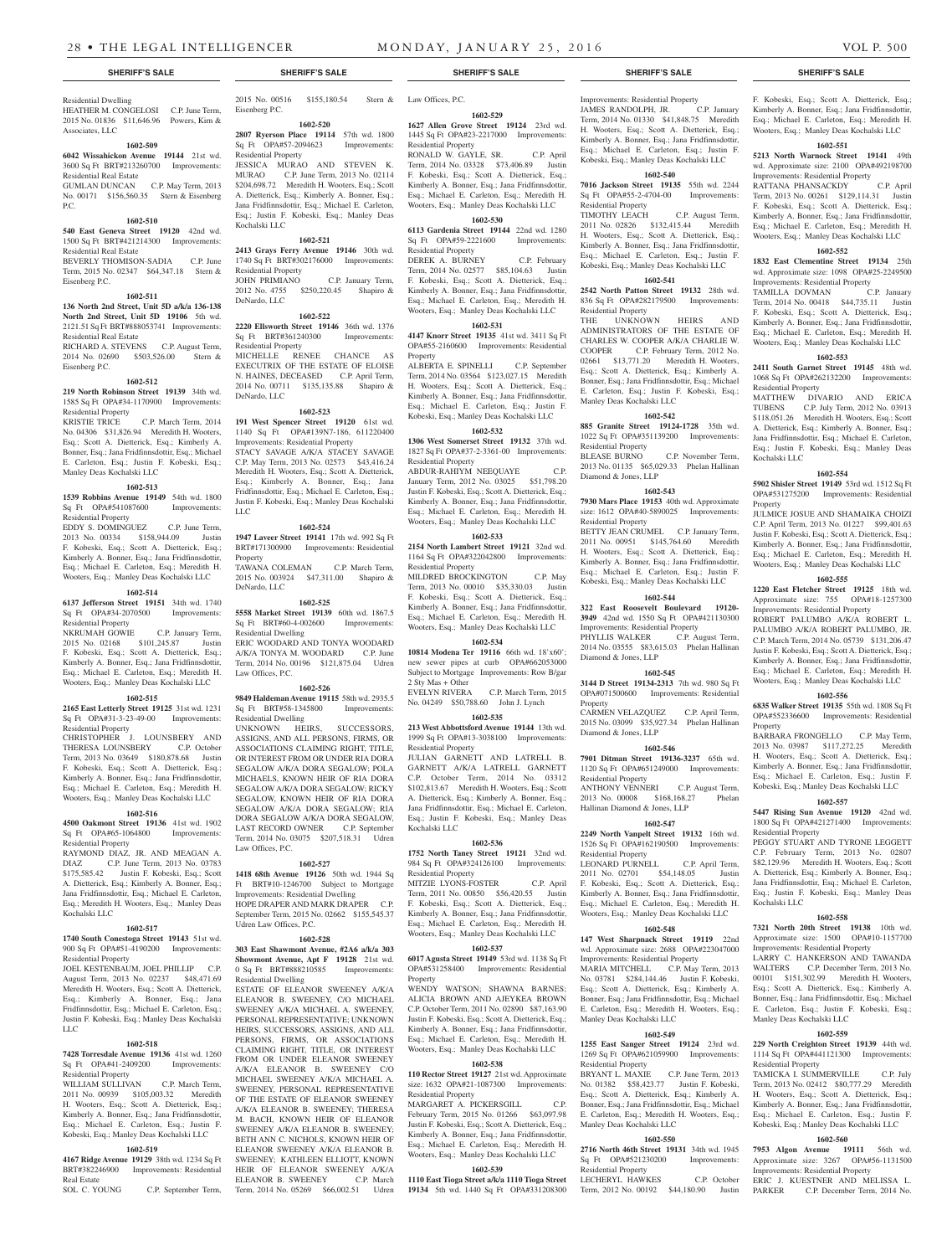Residential Dwelling HEATHER M. CONGELOSI C.P. June Term, 2015 No. 01836 \$11,646.96 Powers, Kirn & Associates, LLC

#### **1602-509**

#### **6042 Wissahickon Avenue 19144** 21st wd. 3600 Sq Ft BRT#213260700 Improvements:

Residential Real Estate GUMLAN DUNCAN C.P. May Term, 2013 No. 00171 \$156,560.35 Stern & Eisenberg P.C.

#### **1602-510**

**540 East Geneva Street 19120** 42nd wd. 1500 Sq Ft BRT#421214300 Improvements: Residential Real Estate BEVERLY THOMISON-SADIA C.P. June

Term, 2015 No. 02347 \$64,347.18 Stern & Eisenberg P.C.

# **1602-511**

**136 North 2nd Street, Unit 5D a/k/a 136-138 North 2nd Street, Unit 5D 19106** 5th wd. 2121.51 Sq Ft BRT#888053741 Improvements: Residential Real Estate

RICHARD A. STEVENS C.P. August Term, 2014 No. 02690 \$503,526.00 Stern & Eisenberg P.C.

#### **1602-512**

**219 North Robinson Street 19139** 34th wd. 1585 Sq Ft OPA#34-1170900 Improvements: Residential Property KRISTIE TRICE C.P. March Term, 2014 No. 04306 \$31,826.94 Meredith H. Wooters, Esq.; Scott A. Dietterick, Esq.; Kimberly A.

Bonner, Esq.; Jana Fridfinnsdottir, Esq.; Michael E. Carleton, Esq.; Justin F. Kobeski, Esq.; Manley Deas Kochalski LLC

#### **1602-513**

**1539 Robbins Avenue 19149** 54th wd. 1800 Sq Ft OPA#541087600 Improvements: Residential Property

EDDY S. DOMINGUEZ C.P. June Term, 2013 No. 00334 \$158,944.09 Justin F. Kobeski, Esq.; Scott A. Dietterick, Esq.; Kimberly A. Bonner, Esq.; Jana Fridfinnsdottir, Esq.; Michael E. Carleton, Esq.; Meredith H. Wooters, Esq.; Manley Deas Kochalski LLC

#### **1602-514**

**6137 Jefferson Street 19151** 34th wd. 1740 Sq Ft OPA#34-2070500 Improvements:

Residential Property<br>NKRUMAH GOWIE C.P. January Term, 2015 No. 02168 \$101,245.87 Justin F. Kobeski, Esq.; Scott A. Dietterick, Esq.; Kimberly A. Bonner, Esq.; Jana Fridfinnsdottir, Esq.; Michael E. Carleton, Esq.; Meredith H. Wooters, Esq.; Manley Deas Kochalski LLC

#### **1602-515**

**2165 East Letterly Street 19125** 31st wd. 1231 Sq Ft OPA#31-3-23-49-00 Improvements: Residential Property

CHRISTOPHER J. LOUNSBERY AND THERESA LOUNSBERY C.P. October Term, 2013 No. 03649 \$180,878.68 Justin F. Kobeski, Esq.; Scott A. Dietterick, Esq.; Kimberly A. Bonner, Esq.; Jana Fridfinnsdottir, Esq.; Michael E. Carleton, Esq.; Meredith H. Wooters, Esq.; Manley Deas Kochalski LLC

### **1602-516**

**4500 Oakmont Street 19136** 41st wd. 1902 Sq Ft OPA#65-1064800 Improvements: Residential Property

RAYMOND DIAZ, JR. AND MEAGAN A. DIAZ C.P. June Term, 2013 No. 03783 \$175,585.42 Justin F. Kobeski, Esq.; Scott A. Dietterick, Esq.; Kimberly A. Bonner, Esq.; Jana Fridfinnsdottir, Esq.; Michael E. Carleton, Esq.; Meredith H. Wooters, Esq.; Manley Deas Kochalski LLC

# **1602-517**

**1740 South Conestoga Street 19143** 51st wd. 900 Sq Ft OPA#51-4190200 Improvements: Residential Property

JOEL KESTENBAUM, JOEL PHILLIP C.P. August Term, 2013 No. 02237 \$48,471.69 Meredith H. Wooters, Esq.; Scott A. Dietterick, Esq.; Kimberly A. Bonner, Esq.; Jana Fridfinnsdottir, Esq.; Michael E. Carleton, Esq.; Justin F. Kobeski, Esq.; Manley Deas Kochalski LLC

#### **1602-518**

**7428 Torresdale Avenue 19136** 41st wd. 1260 Sq Ft OPA#41-2409200 Improvements: Residential Property

WILLIAM SULLIVAN C.P. March Term, 2011 No. 00939 \$105,003.32 Meredith H. Wooters, Esq.; Scott A. Dietterick, Esq.; Kimberly A. Bonner, Esq.; Jana Fridfinnsdottir, Esq.; Michael E. Carleton, Esq.; Justin F. Kobeski, Esq.; Manley Deas Kochalski LLC

# **1602-519**

**4167 Ridge Avenue 19129** 38th wd. 1234 Sq Ft BRT#382246900 Improvements: Residential Real Estate SOL C. YOUNG C.P. September Term,

2015 No. 00516 \$155,180.54 Eisenberg P.C.

#### **1602-520 2807 Ryerson Place 19114** 57th wd. 1800 Sq Ft OPA#57-2094623 Improvements:

Residential Property JESSICA MURAO AND STEVEN K.<br>MURAO C.P. June Term. 2013 No. 02114 C.P. June Term, 2013 No. 02114 \$204,698.72 Meredith H. Wooters, Esq.; Scott A. Dietterick, Esq.; Kimberly A. Bonner, Esq.; Jana Fridfinnsdottir, Esq.; Michael E. Carleton, Esq.; Justin F. Kobeski, Esq.; Manley Deas Kochalski LLC

# **1602-521**

**2413 Grays Ferry Avenue 19146** 30th wd. 1740 Sq Ft BRT#302176000 Improvements: Residential Property JOHN PRIMIANO C.P. January Term, 2012 No. 4755 \$250,220.45 Shapiro & DeNardo, LLC

#### **1602-522**

DeNardo, LLC

**2220 Ellsworth Street 19146** 36th wd. 1376 Sq Ft BRT#361240300 Improvements: Residential Property<br>MICHELLE REN RENEE CHANCE AS EXECUTRIX OF THE ESTATE OF ELOISE N. HAINES, DECEASED C.P. April Term,

# 2014 No. 00711 \$135,135.88 Shapiro &

**1602-523 191 West Spencer Street 19120** 61st wd. 1140 Sq Ft OPA#139N7-186, 611220400 Improvements: Residential Property STACY SAVAGE A/K/A STACEY SAVAGE C.P. May Term, 2013 No. 02573 \$43,416.24 Meredith H. Wooters, Esq.; Scott A. Dietterick, Esq.; Kimberly A. Bonner, Esq.; Jana Fridfinnsdottir, Esq.; Michael E. Carleton, Esq.; Justin F. Kobeski, Esq.; Manley Deas Kochalski  $LI$ 

#### **1602-524**

**1947 Laveer Street 19141** 17th wd. 992 Sq Ft BRT#171300900 Improvements: Residential Property TAWANA COLEMAN C.P. March Term, 2015 No. 003924 \$47,311.00 Shapiro & DeNardo, LLC

**1602-525**

**5558 Market Street 19139** 60th wd. 1867.5 Sq Ft BRT#60-4-002600 Improvements: Residential Dwelling ERIC WOODARD AND TONYA WOODARD A/K/A TONYA M. WOODARD C.P. June Term, 2014 No. 00196 \$121,875.04 Udren Law Offices, P.C.

#### **1602-526**

**9849 Haldeman Avenue 19115** 58th wd. 2935.5 Sq Ft BRT#58-1345800 Improvements: Residential Dwelling

UNKNOWN HEIRS, SUCCESSORS, ASSIGNS, AND ALL PERSONS, FIRMS, OR ASSOCIATIONS CLAIMING RIGHT, TITLE, OR INTEREST FROM OR UNDER RIA DORA SEGALOW A/K/A DORA SEGALOW; POLA MICHAELS, KNOWN HEIR OF RIA DORA SEGALOW A/K/A DORA SEGALOW; RICKY SEGALOW, KNOWN HEIR OF RIA DORA SEGALOW A/K/A DORA SEGALOW; RIA DORA SEGALOW A/K/A DORA SEGALOW, LAST RECORD OWNER C.P. September Term, 2014 No. 03075 \$207,518.31 Udren Law Offices, P.C.

#### **1602-527**

**1418 68th Avenue 19126** 50th wd. 1944 Sq Ft BRT#10-1246700 Subject to Mortgage Improvements: Residential Dwelling HOPE DRAPER AND MARK DRAPER C.P. September Term, 2015 No. 02662 \$155,545.37 Udren Law Offices, P.C.

#### **1602-528**

**303 East Shawmont Avenue, #2A6 a/k/a 303 Showmont Avenue, Apt F 19128** 21st wd. 0 Sq Ft BRT#888210585 Improvements: Residential Dwelling

ESTATE OF ELEANOR SWEENEY A/K/A ELEANOR B. SWEENEY, CO. MICHAEL SWEENEY A/K/A MICHAEL A. SWEENEY, PERSONAL REPRESENTATIVE; UNKNOWN HEIRS, SUCCESSORS, ASSIGNS, AND ALL PERSONS, FIRMS, OR ASSOCIATIONS CLAIMING RIGHT, TITLE, OR INTEREST FROM OR UNDER ELEANOR SWEENEY A/K/A ELEANOR B. SWEENEY C/O MICHAEL SWEENEY A/K/A MICHAEL A. SWEENEY, PERSONAL REPRESENTATIVE OF THE ESTATE OF ELEANOR SWEENEY A/K/A ELEANOR B. SWEENEY; THERESA M. BACH, KNOWN HEIR OF ELEANOR SWEENEY A/K/A ELEANOR B. SWEENEY; BETH ANN C. NICHOLS, KNOWN HEIR OF ELEANOR SWEENEY A/K/A ELEANOR B. SWEENEY; KATHLEEN ELLIOTT, KNOWN HEIR OF ELEANOR SWEENEY A/K/A<br>ELEANOR B. SWEENEY C.P. March ELEANOR B. SWEENEY Term, 2014 No. 05269 \$66,002.51 Udren

Stern & Law Offices, P.C.

#### **1602-529 1627 Allen Grove Street 19124** 23rd wd. 1445 Sq Ft OPA#23-2217000 Improvements: Residential Property

RONALD W. GAYLE, SR. C.P. April Term, 2014 No. 03328 \$73,406.89 Justin F. Kobeski, Esq.; Scott A. Dietterick, Esq.; Kimberly A. Bonner, Esq.; Jana Fridfinnsdottir, Esq.; Michael E. Carleton, Esq.; Meredith H. Wooters, Esq.; Manley Deas Kochalski LLC

# **1602-530**

**6113 Gardenia Street 19144** 22nd wd. 1280 Sq Ft OPA#59-2221600 Improvements: Residential Property

DEREK A. BURNEY C.P. February Term, 2014 No. 02577 \$85,104.63 Justin F. Kobeski, Esq.; Scott A. Dietterick, Esq.; Kimberly A. Bonner, Esq.; Jana Fridfinnsdottir, Esq.; Michael E. Carleton, Esq.; Meredith H. Wooters, Esq.; Manley Deas Kochalski LLC

#### **1602-531**

**4147 Knorr Street 19135** 41st wd. 3411 Sq Ft OPA#55-2160600 Improvements: Residential Property

ALBERTA E. SPINELLI C.P. September Term, 2014 No. 03564 \$123,027.15 Meredith H. Wooters, Esq.; Scott A. Dietterick, Esq.; Kimberly A. Bonner, Esq.; Jana Fridfinnsdottir, Esq.; Michael E. Carleton, Esq.; Justin F. Kobeski, Esq.; Manley Deas Kochalski LLC

#### **1602-532**

**1306 West Somerset Street 19132** 37th wd. 1827 Sq Ft OPA#37-2-3361-00 Improvements: Residential Property

ABDUR-RAHIYM NEEQUAYE C.P. January Term, 2012 No. 03025 \$51,798.20 Justin F. Kobeski, Esq.; Scott A. Dietterick, Esq.; Kimberly A. Bonner, Esq.; Jana Fridfinnsdottir, Esq.; Michael E. Carleton, Esq.; Meredith H. Wooters, Esq.; Manley Deas Kochalski LLC

#### **1602-533**

**2154 North Lambert Street 19121** 32nd wd. 1164 Sq Ft OPA#322042800 Improvements: Residential Property

MILDRED BROCKINGTON C.P. May Term, 2013 No. 00010 \$35,330.03 Justin F. Kobeski, Esq.; Scott A. Dietterick, Esq.; Kimberly A. Bonner, Esq.; Jana Fridfinnsdottir, Esq.; Michael E. Carleton, Esq.; Meredith H. Wooters, Esq.; Manley Deas Kochalski LLC

#### **1602-534**

**10814 Modena Ter 19116** 66th wd. 18'x60'; new sewer pipes at curb OPA#662053000 Subject to Mortgage Improvements: Row B/gar 2 Sty Mas + Other EVELYN RIVERA C.P. March Term, 2015 No. 04249 \$50,788.60 John J. Lynch

# **1602-535**

**213 West Abbottsford Avenue 19144** 13th wd. 1999 Sq Ft OPA#13-3038100 Improvements: Residential Property JULIAN GARNETT AND LATRELL B. GARNETT A/K/A LATRELL GARNETT C.P. October Term, 2014 No. 03312 \$102,813.67 Meredith H. Wooters, Esq.; Scott A. Dietterick, Esq.; Kimberly A. Bonner, Esq.; Jana Fridfinnsdottir, Esq.; Michael E. Carleton,

# Esq.; Justin F. Kobeski, Esq.; Manley Deas

Kochalski LLC

**1602-536 1752 North Taney Street 19121** 32nd wd. 984 Sq Ft OPA#324126100 Improvements: Residential Property

MITZIE LYONS-FOSTER C.P. April Term, 2011 No. 00850 \$56,420.55 Justin F. Kobeski, Esq.; Scott A. Dietterick, Esq.; Kimberly A. Bonner, Esq.; Jana Fridfinnsdottir, Esq.; Michael E. Carleton, Esq.; Meredith H. Wooters, Esq.; Manley Deas Kochalski LLC

## **1602-537**

**6017 Agusta Street 19149** 53rd wd. 1138 Sq Ft OPA#531258400 Improvements: Residential Property

WENDY WATSON: SHAWNA BARNES: ALICIA BROWN AND AJEYKEA BROWN C.P. October Term, 2011 No. 02890 \$87,163.90 Justin F. Kobeski, Esq.; Scott A. Dietterick, Esq.; Kimberly A. Bonner, Esq.; Jana Fridfinnsdottir, Esq.; Michael E. Carleton, Esq.; Meredith H. Wooters, Esq.; Manley Deas Kochalski LLC

#### **1602-538**

**110 Rector Street 19127** 21st wd. Approximate size: 1632 OPA#21-1087300 Improvements: Residential Property

MARGARET A. PICKERSGILL C.P. February Term, 2015 No. 01266 \$63,097.98 Justin F. Kobeski, Esq.; Scott A. Dietterick, Esq.; Kimberly A. Bonner, Esq.; Jana Fridfinnsdottir, Esq.; Michael E. Carleton, Esq.; Meredith H. Wooters, Esq.; Manley Deas Kochalski LLC

#### **1602-539**

**1110 East Tioga Street a/k/a 1110 Tioga Street 19134** 5th wd. 1440 Sq Ft OPA#331208300

#### **SHERIFF'S SALE SHERIFF'S SALE SHERIFF'S SALE SHERIFF'S SALE SHERIFF'S SALE**

Improvements: Residential Property<br>JAMES RANDOLPH, JR. C.P. January JAMES RANDOLPH, JR. Term, 2014 No. 01330 \$41,848.75 Meredith H. Wooters, Esq.; Scott A. Dietterick, Esq.; Kimberly A. Bonner, Esq.; Jana Fridfinnsdottir, Esq.; Michael E. Carleton, Esq.; Justin F. Kobeski, Esq.; Manley Deas Kochalski LLC

F. Kobeski, Esq.; Scott A. Dietterick, Esq.; Kimberly A. Bonner, Esq.; Jana Fridfinnsdottir, Esq.; Michael E. Carleton, Esq.; Meredith H. Wooters, Esq.; Manley Deas Kochalski LLC **1602-551 5213 North Warnock Street 19141** 49th wd. Approximate size: 2100 OPA#492198700 Improvements: Residential Property RATTANA PHANSACKDY C.P. April Term, 2013 No. 00261 \$129,114.31 Justin F. Kobeski, Esq.; Scott A. Dietterick, Esq.; Kimberly A. Bonner, Esq.; Jana Fridfinnsdottir, Esq.; Michael E. Carleton, Esq.; Meredith H. Wooters, Esq.; Manley Deas Kochalski LLC **1602-552 1832 East Clementine Street 19134** 25th wd. Approximate size: 1098 OPA#25-2249500 Improvements: Residential Property<br>TAMILLA DOVMAN C.P. January

TAMILLA DOVMAN

Residential Property

Kochalski LLC

Property

Property

Residential Property

Kochalski LLC

Term, 2014 No. 00418 \$44,735.11 Justin F. Kobeski, Esq.; Scott A. Dietterick, Esq.; Kimberly A. Bonner, Esq.; Jana Fridfinnsdottir, Esq.; Michael E. Carleton, Esq.; Meredith H. Wooters, Esq.; Manley Deas Kochalski LLC **1602-553 2411 South Garnet Street 19145** 48th wd. 1068 Sq Ft OPA#262132200 Improvements:

MATTHEW DIVARIO AND ERICA TUBENS C.P. July Term, 2012 No. 03913 \$118,051.26 Meredith H. Wooters, Esq.; Scott A. Dietterick, Esq.; Kimberly A. Bonner, Esq.; Jana Fridfinnsdottir, Esq.; Michael E. Carleton, Esq.; Justin F. Kobeski, Esq.; Manley Deas

**1602-554 5902 Shisler Street 19149** 53rd wd. 1512 Sq Ft OPA#531275200 Improvements: Residential

JULMICE JOSUE AND SHAMAIKA CHOIZI C.P. April Term, 2013 No. 01227 \$99,401.63 Justin F. Kobeski, Esq.; Scott A. Dietterick, Esq.; Kimberly A. Bonner, Esq.; Jana Fridfinnsdottir, Esq.; Michael E. Carleton, Esq.; Meredith H. Wooters, Esq.; Manley Deas Kochalski LLC **1602-555 1220 East Fletcher Street 19125** 18th wd. Approximate size: 755 OPA#18-1257300 Improvements: Residential Property ROBERT PALUMBO A/K/A ROBERT L. PALUMBO A/K/A ROBERT PALUMBO, JR. C.P. March Term, 2014 No. 05739 \$131,206.47 Justin F. Kobeski, Esq.; Scott A. Dietterick, Esq.; Kimberly A. Bonner, Esq.; Jana Fridfinnsdottir, Esq.; Michael E. Carleton, Esq.; Meredith H. Wooters, Esq.; Manley Deas Kochalski LLC **1602-556 6835 Walker Street 19135** 55th wd. 1808 Sq Ft OPA#552336600 Improvements: Residential

BARBARA FRONGELLO C.P. May Term, 2013 No. 03987 \$117,272.25 Meredith H. Wooters, Esq.; Scott A. Dietterick, Esq.; Kimberly A. Bonner, Esq.; Jana Fridfinnsdottir, Esq.; Michael E. Carleton, Esq.; Justin F. Kobeski, Esq.; Manley Deas Kochalski LLC **1602-557 5447 Rising Sun Avenue 19120** 42nd wd. 1800 Sq Ft OPA#421271400 Improvements:

PEGGY STUART AND TYRONE LEGGETT C.P. February Term, 2013 No. 02807 \$82,129.96 Meredith H. Wooters, Esq.; Scott A. Dietterick, Esq.; Kimberly A. Bonner, Esq.; Jana Fridfinnsdottir, Esq.; Michael E. Carleton, Esq.; Justin F. Kobeski, Esq.; Manley Deas

**1602-558 7321 North 20th Street 19138** 10th wd. Approximate size: 1500 OPA#10-1157700

**1602-559** 1114 Sq Ft OPA#441121300 Improvements:

TAMICKA I. SUMMERVILLE C.P. July Term, 2013 No. 02412 \$80,777.29 Meredith H. Wooters, Esq.; Scott A. Dietterick, Esq.; Kimberly A. Bonner, Esq.; Jana Fridfinnsdottir, Esq.; Michael E. Carleton, Esq.; Justin F. Kobeski, Esq.; Manley Deas Kochalski LLC **1602-560 7953 Algon Avenue 19111** 56th wd. Approximate size: 3267 OPA#56-1131500

Improvements: Residential Property ERIC J. KUESTNER AND MELISSA L. PARKER C.P. December Term, 2014 No.

Improvements: Residential Property LARRY C. HANKERSON AND TAWANDA WALTERS C.P. December Term, 2013 No. 00101 \$151,302.99 Meredith H. Wooters, Esq.; Scott A. Dietterick, Esq.; Kimberly A. Bonner, Esq.; Jana Fridfinnsdottir, Esq.; Michael E. Carleton, Esq.; Justin F. Kobeski, Esq.;

Manley Deas Kochalski LLC

Residential Property

#### **1602-540**

**7016 Jackson Street 19135** 55th wd. 2244 Sq Ft OPA#55-2-4704-00 Improvements: Residential Property

TIMOTHY LEACH C.P. August Term, 2011 No. 02826 \$132,415.44 Meredith H. Wooters, Esq.; Scott A. Dietterick, Esq.; Kimberly A. Bonner, Esq.; Jana Fridfinnsdottir, Esq.; Michael E. Carleton, Esq.; Justin F. Kobeski, Esq.; Manley Deas Kochalski LLC

### **1602-541**

**2542 North Patton Street 19132** 28th wd. 836 Sq Ft OPA#282179500 Improvements: Residential Property

THE UNKNOWN HEIRS AND ADMINISTRATORS OF THE ESTATE OF CHARLES W. COOPER A/K/A CHARLIE W. COOPER C.P. February Term, 2012 No. 02661 \$13,771.20 Meredith H. Wooters, Esq.; Scott A. Dietterick, Esq.; Kimberly A. Bonner, Esq.; Jana Fridfinnsdottir, Esq.; Michael E. Carleton, Esq.; Justin F. Kobeski, Esq.; Manley Deas Kochalski LLC

#### **1602-542 885 Granite Street 19124-1728** 35th wd.

1022 Sq Ft OPA#351139200 Improvements: Residential Property BLEASE BURNO C.P. November Term

2013 No. 01135 \$65,029.33 Phelan Hallinan Diamond & Jones, LLP

BETTY JEAN CRUMEL C.P. January Term, 2011 No. 00951 \$145,764.60 Meredith H. Wooters, Esq.; Scott A. Dietterick, Esq.; Kimberly A. Bonner, Esq.; Jana Fridfinnsdottir, Esq.; Michael E. Carleton, Esq.; Justin F. Kobeski, Esq.; Manley Deas Kochalski LLC **1602-544 322 East Roosevelt Boulevard 19120- 3949** 42nd wd. 1550 Sq Ft OPA#421130300 Improvements: Residential Property PHYLLIS WALKER C.P. August Term, 2014 No. 03555 \$83,615.03 Phelan Hallinan

**1602-545 3144 D Street 19134-2313** 7th wd. 980 Sq Ft OPA#071500600 Improvements: Residential

CARMEN VELAZQUEZ C.P. April Term, 2015 No. 03099 \$35,927.34 Phelan Hallinan

**1602-546 7901 Ditman Street 19136-3237** 65th wd. 1120 Sq Ft OPA#651249000 Improvements:

ANTHONY VENNERI C.P. August Term, 2013 No. 00008 \$168,168.27 Phelan

**1602-547 2249 North Vanpelt Street 19132** 16th wd. 1526 Sq Ft OPA#162190500 Improvements:

LEONARD PURNELL C.P. April Term, 2011 No. 02701 \$54,148.05 Justin F. Kobeski, Esq.; Scott A. Dietterick, Esq.; Kimberly A. Bonner, Esq.; Jana Fridfinnsdottir, Esq.; Michael E. Carleton, Esq.; Meredith H. Wooters, Esq.; Manley Deas Kochalski LLC **1602-548 147 West Sharpnack Street 19119** 22nd wd. Approximate size: 2688 OPA#223047000 Improvements: Residential Property MARIA MITCHELL C.P. May Term, 2013 No. 03781 \$284,144.46 Justin F. Kobeski, Esq.; Scott A. Dietterick, Esq.; Kimberly A. Bonner, Esq.; Jana Fridfinnsdottir, Esq.; Michael E. Carleton, Esq.; Meredith H. Wooters, Esq.;

#### **1602-543 7930 Mars Place 19153** 40th wd. Approximate size: 1612 OPA#40-5890025 Improvements:

Residential Property

Diamond & Jones, LLP

Diamond & Jones, LLP

Residential Property

Residential Property

Manley Deas Kochalski LLC

Manley Deas Kochalski LLC

Residential Property

Residential Property

**1602-549**

1269 Sq Ft OPA#621059900 Improvements:

BRYANT L. MAXIE C.P. June Term, 2013 No. 01382 \$58,423.77 Justin F. Kobeski, Esq.; Scott A. Dietterick, Esq.; Kimberly A. Bonner, Esq.; Jana Fridfinnsdottir, Esq.; Michael E. Carleton, Esq.; Meredith H. Wooters, Esq.;

**1602-550 2716 North 46th Street 19131** 34th wd. 1945 Sq Ft OPA#521230200 Improvements:

LECHERYL HAWKES C.P. October Term, 2012 No. 00192 \$44,180.90 Justin

**1255 East Sanger Street 19124** 23rd wd. **229 North Creighton Street 19139** 44th wd.

Hallinan Diamond & Jones, LLP

**Property**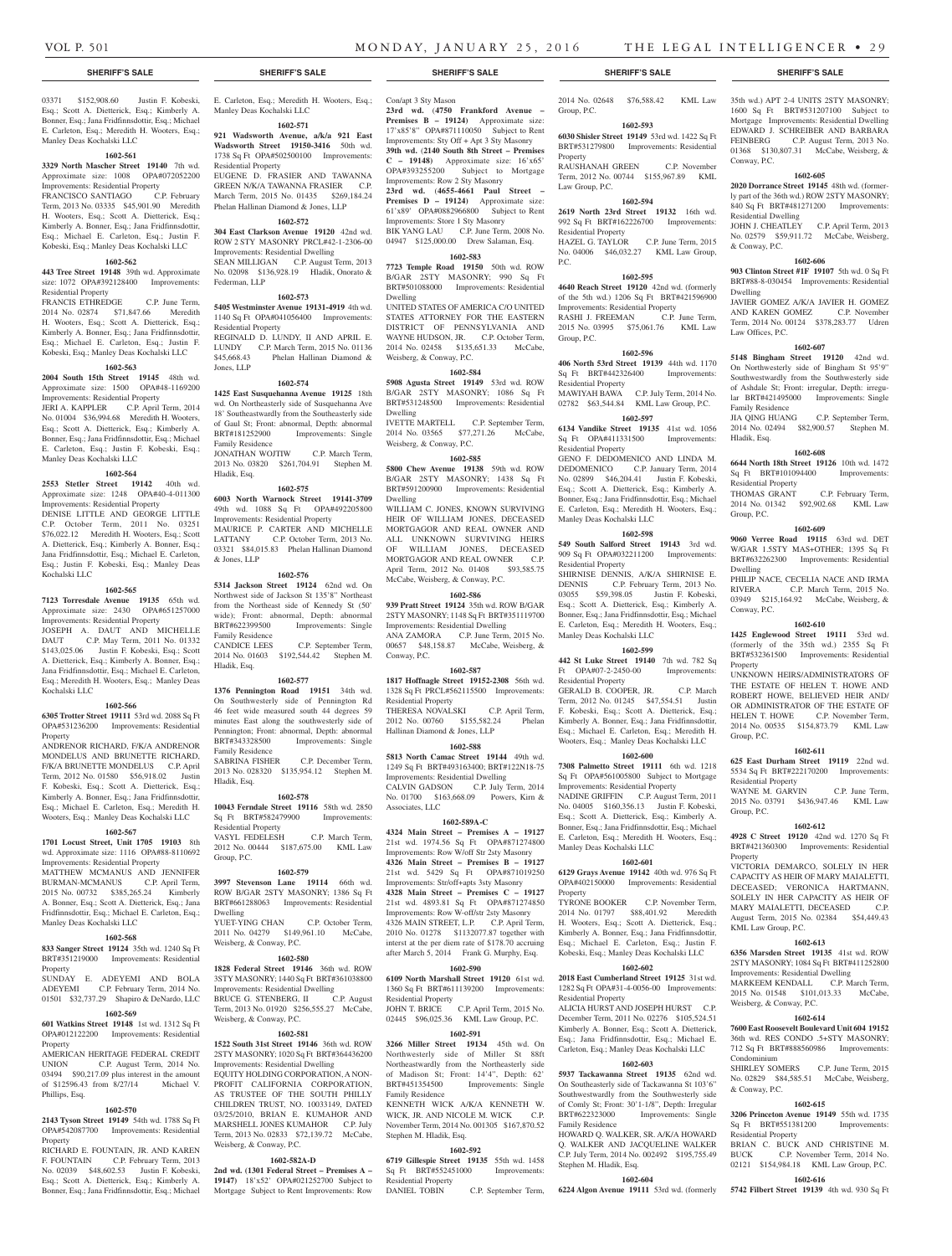03371 \$152,908.60 Justin F. Kobeski, Esq.; Scott A. Dietterick, Esq.; Kimberly A. Bonner, Esq.; Jana Fridfinnsdottir, Esq.; Michael E. Carleton, Esq.; Meredith H. Wooters, Esq.; Manley Deas Kochalski LLC

Manley Deas Kochalski LLC

Residential Property

Federman, LLP

Residential Property

Jones, LLP

Family Residence

Hladik, Esq.

& Jones, LLP

Family Residence

Hladik, Esq.

Family Residence

Residential Property

Weisberg, & Conway, P.C.

Weisberg, & Conway, P.C.

Weisberg, & Conway, P.C.

Hladik, Esq.

Group, P.C.

Dwelling

**1602-571 921 Wadsworth Avenue, a/k/a 921 East Wadsworth Street 19150-3416** 50th wd. 1738 Sq Ft OPA#502500100 Improvements:

EUGENE D. FRASIER AND TAWANNA GREEN N/K/A TAWANNA FRASIER C.P. March Term, 2015 No. 01435 \$269,184.24 Phelan Hallinan Diamond & Jones, LLP **1602-572 304 East Clarkson Avenue 19120** 42nd wd. ROW 2 STY MASONRY PRCL#42-1-2306-00 Improvements: Residential Dwelling SEAN MILLIGAN C.P. August Term, 2013 No. 02098 \$136,928.19 Hladik, Onorato &

**1602-573 5405 Westminster Avenue 19131-4919** 4th wd. 1140 Sq Ft OPA#041056400 Improvements:

REGINALD D. LUNDY, II AND APRIL E. LUNDY C.P. March Term, 2015 No. 01136<br>\$45,668.43 Phelan Hallinan Diamond &

**1602-574 1425 East Susquehanna Avenue 19125** 18th wd. On Northeasterly side of Susquehanna Ave 18' Southeastwardly from the Southeasterly side of Gaul St; Front: abnormal, Depth: abnormal<br>BRT#181252900 Improvements: Single

JONATHAN WOJTIW C.P. March Term, 2013 No. 03820 \$261,704.91 Stephen M.

**1602-575 6003 North Warnock Street 19141-3709**  49th wd. 1088 Sq Ft OPA#492205800 Improvements: Residential Property MAURICE P. CARTER AND MICHELLE LATTANY C.P. October Term, 2013 No. 03321 \$84,015.83 Phelan Hallinan Diamond

**1602-576 5314 Jackson Street 19124** 62nd wd. On Northwest side of Jackson St 135'8" Northeast from the Northeast side of Kennedy St (50' wide); Front: abnormal, Depth: abnormal<br>RRT#622399500 Improvements: Single

CANDICE LEES C.P. September Term, 2014 No. 01603 \$192,544.42 Stephen M.

**1602-577 1376 Pennington Road 19151** 34th wd. On Southwesterly side of Pennington Rd 46 feet wide measured south 44 degrees 59 minutes East along the southwesterly side of Pennington; Front: abnormal, Depth: abnormal BRT#343328500 Improvements: Single

2013 No. 028320 \$135,954.12 Stephen M.

**1602-578 10043 Ferndale Street 19116** 58th wd. 2850 Sq Ft BRT#582479900 Improvements:

2012 No. 00444 \$187,675.00 KML Law

**1602-579 3997 Stevenson Lane 19114** 66th wd. ROW B/GAR 2STY MASONRY; 1386 Sq Ft BRT#661288063 Improvements: Residential

YUET-YING CHAN C.P. October Term, 2011 No. 04279 \$149,961.10 McCabe,

**1602-580 1828 Federal Street 19146** 36th wd. ROW 3STY MASONRY; 1440 Sq Ft BRT#361038800 Improvements: Residential Dwelling BRUCE G. STENBERG, II C.P. August Term, 2013 No. 01920 \$256,555.27 McCabe,

**1602-581**

2STY MASONRY; 1020 Sq Ft BRT#364436200 Improvements: Residential Dwelling EQUITY HOLDING CORPORATION, A NON-PROFIT CALIFORNIA CORPORATION, AS TRUSTEE OF THE SOUTH PHILLY CHILDREN TRUST, NO. 10033149, DATED 03/25/2010, BRIAN E. KUMAHOR AND MARSHELL JONES KUMAHOR C.P. July Term, 2013 No. 02833 \$72,139.72 McCabe,

**1602-582A-D 2nd wd. (1301 Federal Street – Premises A – 19147)** 18'x52' OPA#021252700 Subject to Mortgage Subject to Rent Improvements: Row

Phelan Hallinan Diamond &

Improvements: Single

Improvements: Single

C.P. December Term,

C.P. March Term,

#### **1602-561**

**3329 North Mascher Street 19140** 7th wd. Approximate size: 1008 OPA#072052200 Improvements: Residential Property<br>FRANCISCO SANTIAGO C.P. February FRANCISCO SANTIAGO Term, 2013 No. 03335 \$45,901.90 Meredith H. Wooters, Esq.; Scott A. Dietterick, Esq.;

# Kimberly A. Bonner, Esq.; Jana Fridfinnsdottir, Esq.; Michael E. Carleton, Esq.; Justin F. Kobeski, Esq.; Manley Deas Kochalski LLC **1602-562**

**443 Tree Street 19148** 39th wd. Approximate size: 1072 OPA#392128400 Improvements: Residential Property

FRANCIS ETHREDGE C.P. June Term, 2014 No. 02874 \$71,847.66 Meredith H. Wooters, Esq.; Scott A. Dietterick, Esq.; Kimberly A. Bonner, Esq.; Jana Fridfinnsdottir, Esq.; Michael E. Carleton, Esq.; Justin F. Kobeski, Esq.; Manley Deas Kochalski LLC

# **1602-563**

**2004 South 15th Street 19145** 48th wd. Approximate size: 1500 OPA#48-1169200 Improvements: Residential Property JERI A. KAPPLER C.P. April Term, 2014 No. 01004 \$36,994.68 Meredith H. Wooters, Esq.; Scott A. Dietterick, Esq.; Kimberly A.

Bonner, Esq.; Jana Fridfinnsdottir, Esq.; Michael E. Carleton, Esq.; Justin F. Kobeski, Esq.; Manley Deas Kochalski LLC **1602-564**

**2553 Stetler Street 19142** 40th wd. Approximate size: 1248 OPA#40-4-011300 Improvements: Residential Property

DENISE LITTLE AND GEORGE LITTLE C.P. October Term, 2011 No. 03251 \$76,022.12 Meredith H. Wooters, Esq.; Scott A. Dietterick, Esq.; Kimberly A. Bonner, Esq.; Jana Fridfinnsdottir, Esq.; Michael E. Carleton, Esq.; Justin F. Kobeski, Esq.; Manley Deas Kochalski LLC

#### **1602-565**

**7123 Torresdale Avenue 19135** 65th wd. Approximate size: 2430 OPA#651257000 Improvements: Residential Property JOSEPH A. DAUT AND MICHELLE DAUT C.P. May Term, 2011 No. 01332 \$143,025.06 Justin F. Kobeski, Esq.; Scott A. Dietterick, Esq.; Kimberly A. Bonner, Esq.; Jana Fridfinnsdottir, Esq.; Michael E. Carleton, Esq.; Meredith H. Wooters, Esq.; Manley Deas Kochalski LLC

#### **1602-566**

**6305 Trotter Street 19111** 53rd wd. 2088 Sq Ft OPA#531236200 Improvements: Residential Property

ANDRENOR RICHARD, F/K/A ANDRENOR MONDELUS AND BRUNETTE RICHARD, F/K/A BRUNETTE MONDELUS C.P. April Term, 2012 No. 01580 \$56,918.02 Justin F. Kobeski, Esq.; Scott A. Dietterick, Esq.; Kimberly A. Bonner, Esq.; Jana Fridfinnsdottir, Esq.; Michael E. Carleton, Esq.; Meredith H. Wooters, Esq.; Manley Deas Kochalski LLC

#### **1602-567**

**1701 Locust Street, Unit 1705 19103** 8th wd. Approximate size: 1116 OPA#88-8110692

Improvements: Residential Property MATTHEW MCMANUS AND JENNIFER BURMAN-MCMANUS C.P. April Term, 2015 No. 00732 \$385,265.24 Kimberly A. Bonner, Esq.; Scott A. Dietterick, Esq.; Jana Fridfinnsdottir, Esq.; Michael E. Carleton, Esq.; Manley Deas Kochalski LLC

#### **1602-568**

**833 Sanger Street 19124** 35th wd. 1240 Sq Ft BRT#351219000 Improvements: Residential

Property SUNDAY E. ADEYEMI AND BOLA ADEYEMI C.P. February Term, 2014 No. 01501 \$32,737.29 Shapiro & DeNardo, LLC

#### **1602-569**

**601 Watkins Street 19148** 1st wd. 1312 Sq Ft OPA#012122200 Improvements: Residential Property

AMERICAN HERITAGE FEDERAL CREDIT UNION C.P. August Term, 2014 No. 03494 \$90,217.09 plus interest in the amount of \$12596.43 from 8/27/14 Michael V. Phillips, Esq.

#### **1602-570**

**2143 Tyson Street 19149** 54th wd. 1788 Sq Ft OPA#542087700 Improvements: Residential Property

RICHARD E. FOUNTAIN, JR. AND KAREN F. FOUNTAIN C.P. February Term, 2013 No. 02039 \$48,602.53 Justin F. Kobeski, Esq.; Scott A. Dietterick, Esq.; Kimberly A. Bonner, Esq.; Jana Fridfinnsdottir, Esq.; Michael

**SHERIFF'S SALE SHERIFF'S SALE SHERIFF'S SALE SHERIFF'S SALE SHERIFF'S SALE**

E. Carleton, Esq.; Meredith H. Wooters, Esq.; Con/apt 3 Sty Mason **23rd wd.** (**4750 Frankford Avenue – Premises B – 19124)** Approximate size: 17'x85'8" OPA#871110050 Subject to Rent Improvements: Sty Off + Apt 3 Sty Masonry **39th wd.** (**2140 South 8th Street – Premises C – 19148)** Approximate size: 16'x65' OPA#393255200 Subject to Mortgage Improvements: Row 2 Sty Masonry **23rd wd.** (**4655-4661 Paul Street – Premises D – 19124)** Approximate size: 61'x89' OPA#0882966800 Subject to Rent Improvements: Store 1 Sty Masonry BIK YANG LAU C.P. June Term, 2008 No. 04947 \$125,000.00 Drew Salaman, Esq.

#### **1602-583**

**7723 Temple Road 19150** 50th wd. ROW B/GAR 2STY MASONRY; 990 Sq Ft BRT#501088000 Improvements: Residential Dwelling

UNITED STATES OF AMERICA C/O UNITED STATES ATTORNEY FOR THE EASTERN DISTRICT OF PENNSYLVANIA AND WAYNE HUDSON, JR. C.P. October Term, 2014 No. 02458 \$135,651.33 McCabe, Weisberg, & Conway, P.C.

#### **1602-584**

**5908 Agusta Street 19149** 53rd wd. ROW B/GAR 2STY MASONRY; 1086 Sq Ft BRT#531248500 Improvements: Residential Dwelling

IVETTE MARTELL C.P. September Term, 2014 No. 03565 \$77,271.26 McCabe, Weisberg, & Conway, P.C.

#### **1602-585**

**5800 Chew Avenue 19138** 59th wd. ROW B/GAR 2STY MASONRY; 1438 Sq Ft BRT#591200900 Improvements: Residential Dwelling

WILLIAM C. JONES, KNOWN SURVIVING HEIR OF WILLIAM JONES, DECEASED MORTGAGOR AND REAL OWNER AND ALL UNKNOWN SURVIVING HEIRS OF WILLIAM JONES, DECEASED MORTGAGOR AND REAL OWNER C.P. April Term, 2012 No. 01408 \$93,585.75 McCabe, Weisberg, & Conway, P.C.

#### **1602-586**

**939 Pratt Street 19124** 35th wd. ROW B/GAR 2STY MASONRY; 1148 Sq Ft BRT#351119700 Improvements: Residential Dwelling ANA ZAMORA C.P. June Term, 2015 No. 00657 \$48,158.87 McCabe, Weisberg, & Conway, P.C.

#### **1602-587**

**1817 Hoffnagle Street 19152-2308** 56th wd. 1328 Sq Ft PRCL#562115500 Improvements: Residential Property THERESA NOVALSKI C.P. April Term,<br>2012 No. 00760 \$155,582.24 Phelan

2012 No. 00760 \$155,582.24 Hallinan Diamond & Jones, LLP **1602-588**

#### **5813 North Camac Street 19144** 49th wd. 1249 Sq Ft BRT#493163400; BRT#122N18-75 Improvements: Residential Dwelling CALVIN GADSON C.P. July Term, 2014 No. 01700 \$163,668.09 Powers, Kirn & Associates, LLC

**1602-589A-C**

**4324 Main Street – Premises A – 19127**  21st wd. 1974.56 Sq Ft OPA#871274800 Improvements: Row W/off Str 2sty Masonry **4326 Main Street – Premises B – 19127**  21st wd. 5429 Sq Ft OPA#871019250 Improvements: Str/off+apts 3sty Masonry **4328 Main Street – Premises C – 19127**  21st wd. 4893.81 Sq Ft OPA#871274850 Improvements: Row W-off/str 2sty Masonry 4326 MAIN STREET, L.P. C.P. April Term, 2010 No. 01278 \$1132077.87 together with interst at the per diem rate of \$178.70 accruing after March 5, 2014 Frank G. Murphy, Esq.

#### **1602-590**

**6109 North Marshall Street 19120** 61st wd. 1360 Sq Ft BRT#611139200 Improvements: Residential Property JOHN T. BRICE C.P. April Term, 2015 No. 02445 \$96,025.36 KML Law Group, P.C.

**1522 South 31st Street 19146** 36th wd. ROW **3266 Miller Street 19134** 45th wd. On **1602-591**

Northwesterly side of Miller St 88ft Northeastwardly from the Northeasterly side of Madison St; Front: 14'4", Depth: 62' BRT#451354500 Improvements: Single Family Residence

KENNETH WICK A/K/A KENNETH W. WICK, JR. AND NICOLE M. WICK C.P. November Term, 2014 No. 001305 \$167,870.52 Stephen M. Hladik, Esq.

#### **1602-592**

**6719 Gillespie Street 19135** 55th wd. 1458 Sq Ft BRT#552451000 Improvements: Residential Property

DANIEL TOBIN C.P. September Term,

Group, P.C. **1602-593 6030 Shisler Street 19149** 53rd wd. 1422 Sq Ft

BRT#531279800 Improvements: Residential Property RAUSHANAH GREEN C.P. November

Term, 2012 No. 00744 \$155,967.89 KML Law Group, P.C. **1602-594**

#### **2619 North 23rd Street 19132** 16th wd.

992 Sq Ft BRT#162226700 Improvements: Residential Property HAZEL G. TAYLOR C.P. June Term, 2015 No. 04006 \$46,032.27 KML Law Group, P.C.

#### **1602-595**

**4640 Reach Street 19120** 42nd wd. (formerly of the 5th wd.) 1206 Sq Ft BRT#421596900 Improvements: Residential Property RASHI J. FREEMAN C.P. June Term, 2015 No. 03995 \$75,061.76 KML Law Group, P.C.

#### **1602-596**

**406 North 53rd Street 19139** 44th wd. 1170 Sq Ft BRT#442326400 Improvements: Residential Property

MAWIYAH BAWA C.P. July Term, 2014 No. 02782 \$63,544.84 KML Law Group, P.C. **1602-597**

**6134 Vandike Street 19135** 41st wd. 1056

Sq Ft OPA#411331500 Improvements: Residential Property GENO F. DEDOMENICO AND LINDA M. DEDOMENICO C.P. January Term, 2014 No. 02899 \$46,204.41 Justin F. Kobeski, Esq.; Scott A. Dietterick, Esq.; Kimberly A. Bonner, Esq.; Jana Fridfinnsdottir, Esq.; Michael E. Carleton, Esq.; Meredith H. Wooters, Esq.; Manley Deas Kochalski LLC

#### **1602-598**

**549 South Salford Street 19143** 3rd wd. 909 Sq Ft OPA#032211200 Improvements: Residential Property SHIRNISE DENNIS, A/K/A SHIRNISE E.

DENNIS C.P. February Term, 2013 No. 03055 \$59,398.05 Justin F. Kobeski, Esq.; Scott A. Dietterick, Esq.; Kimberly A. Bonner, Esq.; Jana Fridfinnsdottir, Esq.; Michael E. Carleton, Esq.; Meredith H. Wooters, Esq.; Manley Deas Kochalski LLC

### **1602-599**

**442 St Luke Street 19140** 7th wd. 782 Sq Ft OPA#07-2-2450-00 Improvements: Residential Property

GERALD B. COOPER, JR. C.P. March Term, 2012 No. 01245 \$47,554.51 Justin F. Kobeski, Esq.; Scott A. Dietterick, Esq.; Kimberly A. Bonner, Esq.; Jana Fridfinnsdottir, Esq.; Michael E. Carleton, Esq.; Meredith H. Wooters, Esq.; Manley Deas Kochalski LLC

# **1602-600**

**7308 Palmetto Street 19111** 6th wd. 1218 Sq Ft OPA#561005800 Subject to Mortgage Improvements: Residential Property NADINE GRIFFIN C.P. August Term, 2011 No. 04005 \$160,356.13 Justin F. Kobeski, Esq.; Scott A. Dietterick, Esq.; Kimberly A. Bonner, Esq.; Jana Fridfinnsdottir, Esq.; Michael E. Carleton, Esq.; Meredith H. Wooters, Esq.; Manley Deas Kochalski LLC

# **1602-601**

**6129 Grays Avenue 19142** 40th wd. 976 Sq Ft OPA#402150000 Improvements: Residential Property

TYRONE BOOKER C.P. November Term, 2014 No. 01797 \$88,401.92 Meredith H. Wooters, Esq.; Scott A. Dietterick, Esq.; Kimberly A. Bonner, Esq.; Jana Fridfinnsdottir, Esq.; Michael E. Carleton, Esq.; Justin F. Kobeski, Esq.; Manley Deas Kochalski LLC

#### **1602-602 2018 East Cumberland Street 19125** 31st wd.

1282 Sq Ft OPA#31-4-0056-00 Improvements: Residential Property ALICIA HURST AND JOSEPH HURST C.P. December Term, 2011 No. 02276 \$105,524.51 Kimberly A. Bonner, Esq.; Scott A. Dietterick, Esq.; Jana Fridfinnsdottir, Esq.; Michael E. Carleton, Esq.; Manley Deas Kochalski LLC

### **1602-603**

**5937 Tackawanna Street 19135** 62nd wd. On Southeasterly side of Tackawanna St 103'6" Southwestwardly from the Southwesterly side of Comly St; Front: 30'1-1/8", Depth: Irregular BRT#622323000 Improvements: Single Family Residence

HOWARD Q. WALKER, SR. A/K/A HOWARD Q. WALKER AND JACQUELINE WALKER C.P. July Term, 2014 No. 002492 \$195,755.49 Stephen M. Hladik, Esq.

**1602-604**

**6224 Algon Avenue 19111** 53rd wd. (formerly

# 2014 No. 02648 \$76,588.42 KML Law 35th wd.) APT 2-4 UNITS 2STY MASONRY; 1600 Sq Ft BRT#531207100 Subject to

Mortgage Improvements: Residential Dwelling EDWARD J. SCHREIBER AND BARBARA FEINBERG C.P. August Term, 2013 No. 01368 \$130,807.31 McCabe, Weisberg, & Conway, P.C.

# **1602-605**

**2020 Dorrance Street 19145** 48th wd. (formerly part of the 36th wd.) ROW 2STY MASONRY; 840 Sq Ft BRT#481271200 Improvements: Residential Dwelling

JOHN J. CHEATLEY C.P. April Term, 2013 No. 02579 \$59,911.72 McCabe, Weisberg, & Conway, P.C.

#### **1602-606**

**903 Clinton Street #1F 19107** 5th wd. 0 Sq Ft BRT#88-8-030454 Improvements: Residential Dwelling

JAVIER GOMEZ A/K/A JAVIER H. GOMEZ AND KAREN GOMEZ C.P. November Term, 2014 No. 00124 \$378,283.77 Udren Law Offices, P.C.

**1602-607 5148 Bingham Street 19120** 42nd wd. On Northwesterly side of Bingham St 95'9" Southwestwardly from the Southwesterly side of Ashdale St; Front: irregular, Depth: irregular BRT#421495000 Improvements: Single

JIA QING HUANG C.P. September Term, 2014 No. 02494 \$82,900.57 Stephen M.

**1602-608 6644 North 18th Street 19126** 10th wd. 1472 Sq Ft BRT#101094400 Improvements:

THOMAS GRANT C.P. February Term, 2014 No. 01342 \$92,902.68 KML Law

**1602-609 9060 Verree Road 19115** 63rd wd. DET W/GAR 1.5STY MAS+OTHER; 1395 Sq Ft BRT#632262300 Improvements: Residential

PHILIP NACE, CECELIA NACE AND IRMA RIVERA C.P. March Term, 2015 No. 03949 \$215,164.92 McCabe, Weisberg, &

**1602-610 1425 Englewood Street 19111** 53rd wd. (formerly of the 35th wd.) 2355 Sq Ft BRT#532361500 Improvements: Residential

UNKNOWN HEIRS/ADMINISTRATORS OF THE ESTATE OF HELEN T. HOWE AND ROBERT HOWE, BELIEVED HEIR AND/ OR ADMINISTRATOR OF THE ESTATE OF HELEN T. HOWE C.P. November Term, 2014 No. 00535 \$154,873.79 KML Law

**1602-611 625 East Durham Street 19119** 22nd wd. 5534 Sq Ft BRT#222170200 Improvements:

WAYNE M. GARVIN C.P. June Term, 2015 No. 03791 \$436,947.46 KML Law

**1602-612 4928 C Street 19120** 42nd wd. 1270 Sq Ft BRT#421360300 Improvements: Residential

VICTORIA DEMARCO, SOLELY IN HER CAPACITY AS HEIR OF MARY MAIALETTI, DECEASED; VERONICA HARTMANN, SOLELY IN HER CAPACITY AS HEIR OF MARY MAIALETTI, DECEASED C.P. August Term, 2015 No. 02384 \$54,449.43

**1602-613 6356 Marsden Street 19135** 41st wd. ROW 2STY MASONRY; 1084 Sq Ft BRT#411252800 Improvements: Residential Dwelling MARKEEM KENDALL C.P. March Term, 2015 No. 01548 \$101,013.33 McCabe,

**1602-614 7600 East Roosevelt Boulevard Unit 604 19152**  36th wd. RES CONDO .5+STY MASONRY; 712 Sq Ft BRT#888560986 Impr

No. 02829 \$84,585.51 McCabe, Weisberg,

**1602-615 3206 Princeton Avenue 19149** 55th wd. 1735 Sq Ft BRT#551381200 Improvements:

BRIAN C. BUCK AND CHRISTINE M. BUCK C.P. November Term, 2014 No. 02121 \$154,984.18 KML Law Group, P.C. **1602-616 5742 Filbert Street 19139** 4th wd. 930 Sq Ft

C.P. June Term, 2015

Family Residence

Residential Property

Hladik, Esq.

Group, P.C.

Dwelling

Conway, P.C.

Property

Group, P.C.

Group, P.C.

Property

Residential Property

KML Law Group, P.C.

Weisberg, & Conway, P.C.

Condominium<br>SHIRLEY SOMERS

& Conway, P.C.

Residential Property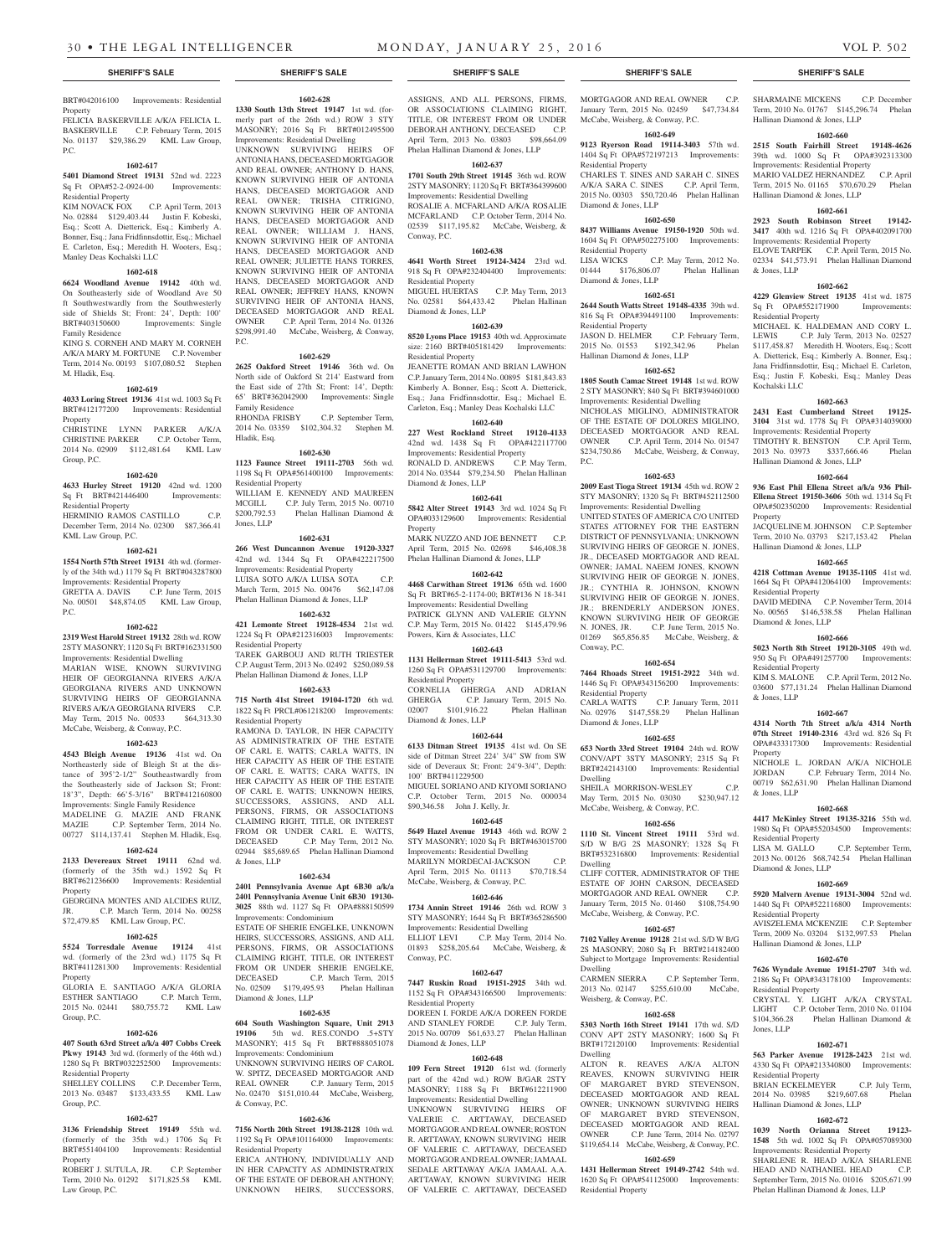#### BRT#042016100 Improvements: Residential Property

FELICIA BASKERVILLE A/K/A FELICIA L. BASKERVILLE C.P. February Term, 2015 No. 01137 \$29,386.29 KML Law Group, P.C.

#### **1602-617**

**5401 Diamond Street 19131** 52nd wd. 2223 Sq Ft OPA#52-2-0924-00 Improvements: Residential Property<br>KIM NOVACK FOX

C.P. April Term, 2013 No. 02884 \$129,403.44 Justin F. Kobeski, Esq.; Scott A. Dietterick, Esq.; Kimberly A. Bonner, Esq.; Jana Fridfinnsdottir, Esq.; Michael E. Carleton, Esq.; Meredith H. Wooters, Esq.; Manley Deas Kochalski LLC

#### **1602-618**

**6624 Woodland Avenue 19142** 40th wd. On Southeasterly side of Woodland Ave 50 ft Southwestwardly from the Southwesterly side of Shields St; Front: 24', Depth: 100' BRT#403150600 Improvements: Single Family Residence

KING S. CORNEH AND MARY M. CORNEH A/K/A MARY M. FORTUNE C.P. November Term, 2014 No. 00193 \$107,080.52 Stephen M. Hladik, Esq.

#### **1602-619**

**4033 Loring Street 19136** 41st wd. 1003 Sq Ft BRT#412177200 Improvements: Residential Property CHRISTINE LYNN PARKER A/K/A

CHRISTINE PARKER C.P. October Term, 2014 No. 02909 \$112,481.64 KML Law Group, P.C.

#### **1602-620**

**4633 Hurley Street 19120** 42nd wd. 1200 Sq Ft BRT#421446400 Improvements: Residential Property

HERMINIO RAMOS CASTILLO C.P. December Term, 2014 No. 02300 \$87,366.41 KML Law Group, P.C. **1602-621**

**1554 North 57th Street 19131** 4th wd. (formerly of the 34th wd.) 1179 Sq Ft BRT#043287800 Improvements: Residential Property

GRETTA A. DAVIS C.P. June Term, 2015 No. 00501 \$48,874.05 KML Law Group, P.C.

#### **1602-622**

**2319 West Harold Street 19132** 28th wd. ROW 2STY MASONRY; 1120 Sq Ft BRT#162331500 Improvements: Residential Dwelling MARIAN WISE, KNOWN SURVIVING HEIR OF GEORGIANNA RIVERS A/K/A GEORGIANA RIVERS AND UNKNOWN SURVIVING HEIRS OF GEORGIANNA RIVERS A/K/A GEORGIANA RIVERS C.P. May Term, 2015 No. 00533 \$64,313.30 McCabe, Weisberg, & Conway, P.C.

#### **1602-623**

**4543 Bleigh Avenue 19136** 41st wd. On Northeasterly side of Bleigh St at the distance of 395'2-1/2" Southeastwardly from the Southeasterly side of Jackson St; Front: 18'3", Depth: 66'5-3/16" BRT#412160800 Improvements: Single Family Residence MADELINE G. MAZIE AND FRANK

MAZIE C.P. September Term, 2014 No. 00727 \$114,137.41 Stephen M. Hladik, Esq.

# **1602-624**

**2133 Devereaux Street 19111** 62nd wd. (formerly of the 35th wd.) 1592 Sq Ft BRT#621236600 Improvements: Residential Property

GEORGINA MONTES AND ALCIDES RUIZ, JR. C.P. March Term, 2014 No. 00258 \$72,479.85 KML Law Group, P.C.

#### **1602-625**

**5524 Torresdale Avenue 19124** 41st wd. (formerly of the 23rd wd.) 1175 Sq Ft BRT#411281300 Improvements: Residential Property

GLORIA E. SANTIAGO A/K/A GLORIA ESTHER SANTIAGO C.P. March Term, 2015 No. 02441 \$80,755.72 KML Law Group, P.C.

#### **1602-626**

**407 South 63rd Street a/k/a 407 Cobbs Creek Pkwy 19143** 3rd wd. (formerly of the 46th wd.) 1280 Sq Ft BRT#032252500 Improvements: Residential Property

SHELLEY COLLINS C.P. December Term, 2013 No. 03487 \$133,433.55 KML Law Group, P.C.

#### **1602-627**

**3136 Friendship Street 19149** 55th wd. (formerly of the 35th wd.) 1706 Sq Ft BRT#551404100 Improvements: Residential Property

ROBERT J. SUTULA, JR. C.P. September Term, 2010 No. 01292 \$171,825.58 KML Law Group, P.C.

#### **1602-628 1330 South 13th Street 19147** 1st wd. (for-

merly part of the 26th wd.) ROW 3 STY MASONRY; 2016 Sq Ft BRT#012495500 Improvements: Residential Dwelling

UNKNOWN SURVIVING HEIRS OF ANTONIA HANS, DECEASED MORTGAGOR AND REAL OWNER; ANTHONY D. HANS, KNOWN SURVIVING HEIR OF ANTONIA HANS, DECEASED MORTGAGOR AND REAL OWNER; TRISHA CITRIGNO, KNOWN SURVIVING HEIR OF ANTONIA HANS, DECEASED MORTGAGOR AND REAL OWNER; WILLIAM J. HANS, KNOWN SURVIVING HEIR OF ANTONIA HANS, DECEASED MORTGAGOR AND REAL OWNER; JULIETTE HANS TORRES, KNOWN SURVIVING HEIR OF ANTONIA HANS, DECEASED MORTGAGOR AND REAL OWNER; JEFFREY HANS, KNOWN SURVIVING HEIR OF ANTONIA HANS, DECEASED MORTGAGOR AND REAL OWNER C.P. April Term, 2014 No. 01326 \$298,991.40 McCabe, Weisberg, & Conway, P.C.

#### **1602-629**

**2625 Oakford Street 19146** 36th wd. On North side of Oakford St 214' Eastward from the East side of 27th St; Front: 14', Depth: 65' BRT#362042900 Improvements: Single Family Residence RHONDA FRISBY C.P. September Term, 2014 No. 03359 \$102,304.32 Stephen M. Hladik, Esq.

#### **1602-630**

**1123 Faunce Street 19111-2703** 56th wd. 1198 Sq Ft OPA#561400100 Improvements: Residential Property WILLIAM E. KENNEDY AND MAUREEN MCGILL C.P. July Term, 2015 No. 00710<br>\$200,792.53 Phelan Hallinan Diamond & Phelan Hallinan Diamond & Jones, LLP

#### **1602-631**

**266 West Duncannon Avenue 19120-3327**  42nd wd. 1344 Sq Ft OPA#422217500 Improvements: Residential Property LUISA SOTO A/K/A LUISA SOTA C.P. March Term, 2015 No. 00476 \$62,147.08 Phelan Hallinan Diamond & Jones, LLP

#### **1602-632**

**421 Lemonte Street 19128-4534** 21st wd. 1224 Sq Ft OPA#212316003 Improvements: Residential Property TAREK GARBOUJ AND RUTH TRIESTER C.P. August Term, 2013 No. 02492 \$250,089.58 Phelan Hallinan Diamond & Jones, LLP

#### **1602-633**

**715 North 41st Street 19104-1720** 6th wd. 1822 Sq Ft PRCL#061218200 Improvements: Residential Property

RAMONA D. TAYLOR, IN HER CAPACITY AS ADMINISTRATRIX OF THE ESTATE OF CARL E. WATTS; CARLA WATTS, IN HER CAPACITY AS HEIR OF THE ESTATE OF CARL E. WATTS; CARA WATTS, IN HER CAPACITY AS HEIR OF THE ESTATE OF CARL E. WATTS; UNKNOWN HEIRS, SUCCESSORS, ASSIGNS, AND ALL PERSONS, FIRMS, OR ASSOCIATIONS CLAIMING RIGHT, TITLE, OR INTEREST FROM OR UNDER CARL E. WATTS,<br>DECEASED C.P. May Term. 2012 No. C.P. May Term, 2012 No. 02944 \$85,689.65 Phelan Hallinan Diamond & Jones, LLP

#### **1602-634**

**2401 Pennsylvania Avenue Apt 6B30 a/k/a 2401 Pennsylvania Avenue Unit 6B30 19130- 3025** 88th wd. 1127 Sq Ft OPA#888150599

Improvements: Condominium ESTATE OF SHERIE ENGELKE, UNKNOWN HEIRS, SUCCESSORS, ASSIGNS, AND ALL PERSONS, FIRMS, OR ASSOCIATIONS CLAIMING RIGHT, TITLE, OR INTEREST FROM OR UNDER SHERIE ENGELKE,<br>DECEASED C.P. March Term, 2015 C.P. March Term, 2015 No. 02509 \$179,495.93 Phelan Hallinan Diamond & Jones, LLP

#### **1602-635**

**604 South Washington Square, Unit 2913 19106** 5th wd. RES.CONDO .5+STY MASONRY; 415 Sq Ft BRT#888051078 Improvements: Condominium

UNKNOWN SURVIVING HEIRS OF CAROL W. SPITZ, DECEASED MORTGAGOR AND REAL OWNER C.P. January Term, 2015 No. 02470 \$151,010.44 McCabe, Weisberg,  $& Convav$ , P.C.

### **1602-636**

**7156 North 20th Street 19138-2128** 10th wd. 1192 Sq Ft OPA#101164000 Improvements: Residential Property ERICA ANTHONY, INDIVIDUALLY AND

IN HER CAPACITY AS ADMINISTRATRIX OF THE ESTATE OF DEBORAH ANTHONY; UNKNOWN HEIRS, SUCCESSORS,

### **SHERIFF'S SALE SHERIFF'S SALE SHERIFF'S SALE SHERIFF'S SALE SHERIFF'S SALE**

ASSIGNS, AND ALL PERSONS, FIRMS, OR ASSOCIATIONS CLAIMING RIGHT, TITLE, OR INTEREST FROM OR UNDER DEBORAH ANTHONY, DECEASED C.P. April Term, 2013 No. 03803 \$98,664.09 Phelan Hallinan Diamond & Jones, LLP

#### **1602-637**

**1701 South 29th Street 19145** 36th wd. ROW 2STY MASONRY; 1120 Sq Ft BRT#364399600 Improvements: Residential Dwelling ROSALIE A. MCFARLAND A/K/A ROSALIE MCFARLAND C.P. October Term, 2014 No. 02539 \$117,195.82 McCabe, Weisberg, & Conway, P.C.

#### **1602-638**

**4641 Worth Street 19124-3424** 23rd wd. 918 Sq Ft OPA#232404400 Improvements: Residential Property MIGUEL HUERTAS C.P. May Term, 2013 No. 02581 \$64,433.42 Phelan Hallinan

Diamond & Jones, LLP **1602-639**

#### **8520 Lyons Place 19153** 40th wd. Approximate

size: 2160 BRT#405181429 Improvements: Residential Property

JEANETTE ROMAN AND BRIAN LAWHON C.P. January Term, 2014 No. 00895 \$181,843.83 Kimberly A. Bonner, Esq.; Scott A. Dietterick, Esq.; Jana Fridfinnsdottir, Esq.; Michael E. Carleton, Esq.; Manley Deas Kochalski LLC

#### **1602-640**

**227 West Rockland Street 19120-4133**  42nd wd. 1438 Sq Ft OPA#422117700 Improvements: Residential Property RONALD D. ANDREWS C.P. May Term, 2014 No. 03544 \$79,234.50 Phelan Hallinan Diamond & Jones, LLP

#### **1602-641**

**5842 Alter Street 19143** 3rd wd. 1024 Sq Ft OPA#033129600 Improvements: Residential Property MARK NUZZO AND JOE BENNETT C.P.

April Term, 2015 No. 02698 \$46,408.38 Phelan Hallinan Diamond & Jones, LLP

# **1602-642**

**4468 Carwithan Street 19136** 65th wd. 1600 Sq Ft BRT#65-2-1174-00; BRT#136 N 18-341 Improvements: Residential Dwelling PATRICK GLYNN AND VALERIE GLYNN C.P. May Term, 2015 No. 01422 \$145,479.96 Powers, Kirn & Associates, LLC

# **1602-643**

**1131 Hellerman Street 19111-5413** 53rd wd. 1260 Sq Ft OPA#531129700 Improvements: Residential Property CORNELIA GHERGA AND ADRIAN GHERGA C.P. January Term, 2015 No. C.P. January Term, 2015 No. 02007 \$101,916.22 Phelan Hallinan Diamond & Jones, LLP

#### **1602-644**

**6133 Ditman Street 19135** 41st wd. On SE side of Ditman Street 224' 3/4" SW from SW side of Deveraux St; Front: 24'9-3/4", Depth: 100' BRT#411229500 MIGUEL SORIANO AND KIYOMI SORIANO C.P. October Term, 2015 No. 000034 \$90,346.58 John J. Kelly, Jr.

#### **1602-645**

**5649 Hazel Avenue 19143** 46th wd. ROW 2 STY MASONRY; 1020 Sq Ft BRT#463015700 Improvements: Residential Dwelling

MARILYN MORDECAI-JACKSON C.P. April Term, 2015 No. 01113 \$70,718.54 McCabe, Weisberg, & Conway, P.C.

# **1602-646**

**1734 Annin Street 19146** 26th wd. ROW 3 STY MASONRY; 1644 Sq Ft BRT#365286500 Improvements: Residential Dwelling ELLIOT LEVI C.P. May Term, 2014 No. 01893 \$258,205.64 McCabe, Weisberg, & Conway, P.C.

#### **1602-647**

**7447 Ruskin Road 19151-2925** 34th wd. 1152 Sq Ft OPA#343166500 Improvements: Residential Property DOREEN I. FORDE A/K/A DOREEN FORDE AND STANLEY FORDE C.P. July Term, 2015 No. 00709 \$61,633.27 Phelan Hallinan Diamond & Jones, LLP

#### **1602-648**

**109 Fern Street 19120** 61st wd. (formerly part of the 42nd wd.) ROW B/GAR 2STY MASONRY; 1188 Sq Ft BRT#612211900 Improvements: Residential Dwelling

UNKNOWN SURVIVING HEIRS OF VALERIE C. ARTTAWAY, DECEASED MORTGAGOR AND REAL OWNER: ROSTON R. ARTTAWAY, KNOWN SURVIVING HEIR OF VALERIE C. ARTTAWAY, DECEASED MORTGAGOR AND REAL OWNER; JAMAAL SEDALE ARTTAWAY A/K/A JAMAAL A.A. ARTTAWAY, KNOWN SURVIVING HEIR OF VALERIE C. ARTTAWAY, DECEASED

MORTGAGOR AND REAL OWNER C.P. January Term, 2015 No. 02459 \$47,734.84 McCabe, Weisberg, & Conway, P.C.

SHARMAINE MICKENS C.P. December Term, 2010 No. 01767 \$145,296.74 Phelan

**1602-660 2515 South Fairhill Street 19148-4626**  39th wd. 1000 Sq Ft OPA#392313300 Improvements: Residential Property MARIO VALDEZ HERNANDEZ C.P. April Term, 2015 No. 01165 \$70,670.29 Phelan

**1602-661 2923 South Robinson Street 19142- 3417** 40th wd. 1216 Sq Ft OPA#402091700 Improvements: Residential Property ELOVE TARPEK C.P. April Term, 2015 No. 02334 \$41,573.91 Phelan Hallinan Diamond

**1602-662 4229 Glenview Street 19135** 41st wd. 1875

MICHAEL K. HALDEMAN AND CORY L. LEWIS C.P. July Term, 2013 No. 02527 \$117,458.87 Meredith H. Wooters, Esq.; Scott A. Dietterick, Esq.; Kimberly A. Bonner, Esq.; Jana Fridfinnsdottir, Esq.; Michael E. Carleton, Esq.; Justin F. Kobeski, Esq.; Manley Deas

**1602-663 2431 East Cumberland Street 19125- 3104** 31st wd. 1778 Sq Ft OPA#314039000 Improvements: Residential Property TIMOTHY R. BENSTON C.P. April Term, 2013 No. 03973 \$337,666.46 Phelan

**1602-664 936 East Phil Ellena Street a/k/a 936 Phil-Ellena Street 19150-3606** 50th wd. 1314 Sq Ft OPA#502350200 Improvements: Residential

JACQUELINE M. JOHNSON C.P. September Term, 2010 No. 03793 \$217,153.42 Phelan

**1602-665 4218 Cottman Avenue 19135-1105** 41st wd. 1664 Sq Ft OPA#412064100 Improvements:

DAVID MEDINA C.P. November Term, 2014 No. 00565 \$146,538.58 Phelan Hallinan

**1602-666 5023 North 8th Street 19120-3105** 49th wd. 950 Sq Ft OPA#491257700 Improvements:

KIM S. MALONE C.P. April Term, 2012 No. 03600 \$77,131.24 Phelan Hallinan Diamond

**1602-667 4314 North 7th Street a/k/a 4314 North 07th Street 19140-2316** 43rd wd. 826 Sq Ft OPA#433317300 Improvements: Residential

NICHOLE L. JORDAN A/K/A NICHOLE JORDAN C.P. February Term, 2014 No. 00719 \$62,631.90 Phelan Hallinan Diamond

**1602-668 4417 McKinley Street 19135-3216** 55th wd. 1980 Sq Ft OPA#552034500 Improvements:

2013 No. 00126 \$68,742.54 Phelan Hallinan

**1602-669 5920 Malvern Avenue 19131-3004** 52nd wd. 1440 Sq Ft OPA#522116800 Improvements:

AVISZELEMA MCKENZIE C.P. September Term, 2009 No. 03204 \$132,997.53 Phelan

**1602-670 7626 Wyndale Avenue 19151-2707** 34th wd. 2186 Sq Ft OPA#343178100 Improvements:

CRYSTAL Y. LIGHT A/K/A CRYSTAL LIGHT C.P. October Term, 2010 No. 01104<br>\$104 366 28 Phelan Hallinan Diamond &

**1602-671 563 Parker Avenue 19128-2423** 21st wd. 4330 Sq Ft OPA#213340800 Improvements:

BRIAN ECKELMEYER C.P. July Term, 2014 No. 03985 \$219,607.68 Phelan

**1602-672 1039 North Orianna Street 19123- 1548** 5th wd. 1002 Sq Ft OPA#057089300 Improvements: Residential Property SHARLENE R. HEAD A/K/A SHARLENE HEAD AND NATHANIEL HEAD C.P. September Term, 2015 No. 01016 \$205,671.99 Phelan Hallinan Diamond & Jones, LLP

Phelan Hallinan Diamond &

C.P. September Term,

Hallinan Diamond & Jones, LLP

Hallinan Diamond & Jones, LLP

Residential Property

Diamond & Jones, LLP

Residential Property

& Jones, LLP

Property

& Jones, LLP

Residential Property<br>LISA M. GALLO

Residential Property

Residential Property

Residential Property

Hallinan Diamond & Jones, LLP

Jones, LLP

Hallinan Diamond & Jones, LLP

Diamond & Jones, LLP

Hallinan Diamond & Jones, LLP

Hallinan Diamond & Jones, LLP

& Jones, LLP

Kochalski LLC

Property

Sq Ft OPA#552171900 Residential Property

#### **1602-649**

**9123 Ryerson Road 19114-3403** 57th wd. 1404 Sq Ft OPA#572197213 Improvements: Residential Property CHARLES T. SINES AND SARAH C. SINES

A/K/A SARA C. SINES C.P. April Term, 2015 No. 00303 \$50,720.46 Phelan Hallinan Diamond & Jones, LLP **1602-650**

**8437 Williams Avenue 19150-1920** 50th wd.<br>1604 Sq Ft OPA#502275100 Improvements: 1604 Sq Ft OPA#502275100 Improvements: Residential Property LISA WICKS C.P. May Term, 2012 No. 01444 \$176,806.07 Phelan Hallinan

Diamond & Jones, LLP **1602-651**

**2644 South Watts Street 19148-4335** 39th wd. 816 Sq Ft OPA#394491100 Improvements: Residential Property<br>JASON D. HELMER C.P. February Term,

2015 No. 01553 \$192,342.96 Phelan Hallinan Diamond & Jones, LLP **1602-652**

**1805 South Camac Street 19148** 1st wd. ROW 2 STY MASONRY; 840 Sq Ft BRT#394601000 Improvements: Residential Dwelling NICHOLAS MIGLINO, ADMINISTRATOR OF THE ESTATE OF DOLORES MIGLINO, DECEASED MORTGAGOR AND REAL OWNER C.P. April Term, 2014 No. 01547 \$234,750.86 McCabe, Weisberg, & Conway,

**1602-653 2009 East Tioga Street 19134** 45th wd. ROW 2 STY MASONRY; 1320 Sq Ft BRT#452112500 Improvements: Residential Dwelling UNITED STATES OF AMERICA C/O UNITED STATES ATTORNEY FOR THE EASTERN DISTRICT OF PENNSYLVANIA; UNKNOWN SURVIVING HEIRS OF GEORGE N. JONES, JR., DECEASED MORTGAGOR AND REAL OWNER; JAMAL NAEEM JONES, KNOWN SURVIVING HEIR OF GEORGE N. JONES, JR.; CYNTHIA R. JOHNSON, KNOWN SURVIVING HEIR OF GEORGE N. JONES, JR.; BRENDERLY ANDERSON JONES, KNOWN SURVIVING HEIR OF GEORGE N. JONES, JR. C.P. June Term, 2015 No. 01269 \$65,856.85 McCabe, Weisberg, &

**1602-654 7464 Rhoads Street 19151-2922** 34th wd. 1446 Sq Ft OPA#343156200 Improvements:

CARLA WATTS C.P. January Term, 2011 No. 02976 \$147,558.29 Phelan Hallinan

**1602-655 653 North 33rd Street 19104** 24th wd. ROW CONV/APT 3STY MASONRY; 2315 Sq Ft BRT#242143100 Improvements: Residential

SHEILA MORRISON-WESLEY C.P. May Term, 2015 No. 03030 \$230,947.12 McCabe, Weisberg, & Conway, P.C. **1602-656 1110 St. Vincent Street 19111** 53rd wd. S/D W B/G 2S MASONRY; 1328 Sq Ft BRT#532316800 Improvements: Residential

CLIFF COTTER, ADMINISTRATOR OF THE ESTATE OF JOHN CARSON, DECEASED MORTGAGOR AND REAL OWNER C.P. January Term, 2015 No. 01460 \$108,754.90 McCabe, Weisberg, & Conway, P.C. **1602-657 7102 Valley Avenue 19128** 21st wd. S/D W B/G 2S MASONRY; 2080 Sq Ft BRT#214182400 Subject to Mortgage Improvements: Residential

CARMEN SIERRA C.P. September Term, 2013 No. 02147 \$255,610.00 McCabe,

**1602-658 5303 North 16th Street 19141** 17th wd. S/D CONV APT 2STY MASONRY; 1600 Sq Ft BRT#172120100 Improvements: Residential

ALTON R. REAVES A/K/A ALTON REAVES, KNOWN SURVIVING HEIR OF MARGARET BYRD STEVENSON, DECEASED MORTGAGOR AND REAL OWNER; UNKNOWN SURVIVING HEIRS OF MARGARET BYRD STEVENSON, DECEASED MORTGAGOR AND REAL OWNER C.P. June Term, 2014 No. 02797 \$119,654.14 McCabe, Weisberg, & Conway, P.C. **1602-659 1431 Hellerman Street 19149-2742** 54th wd. 1620 Sq Ft OPA#541125000 Improvements:

P.C.

Conway, P.C.

Dwelling

Dwelling

Dwelling

Dwelling

Residential Property

Weisberg, & Conway, P.C.

Residential Property

Diamond & Jones, LLP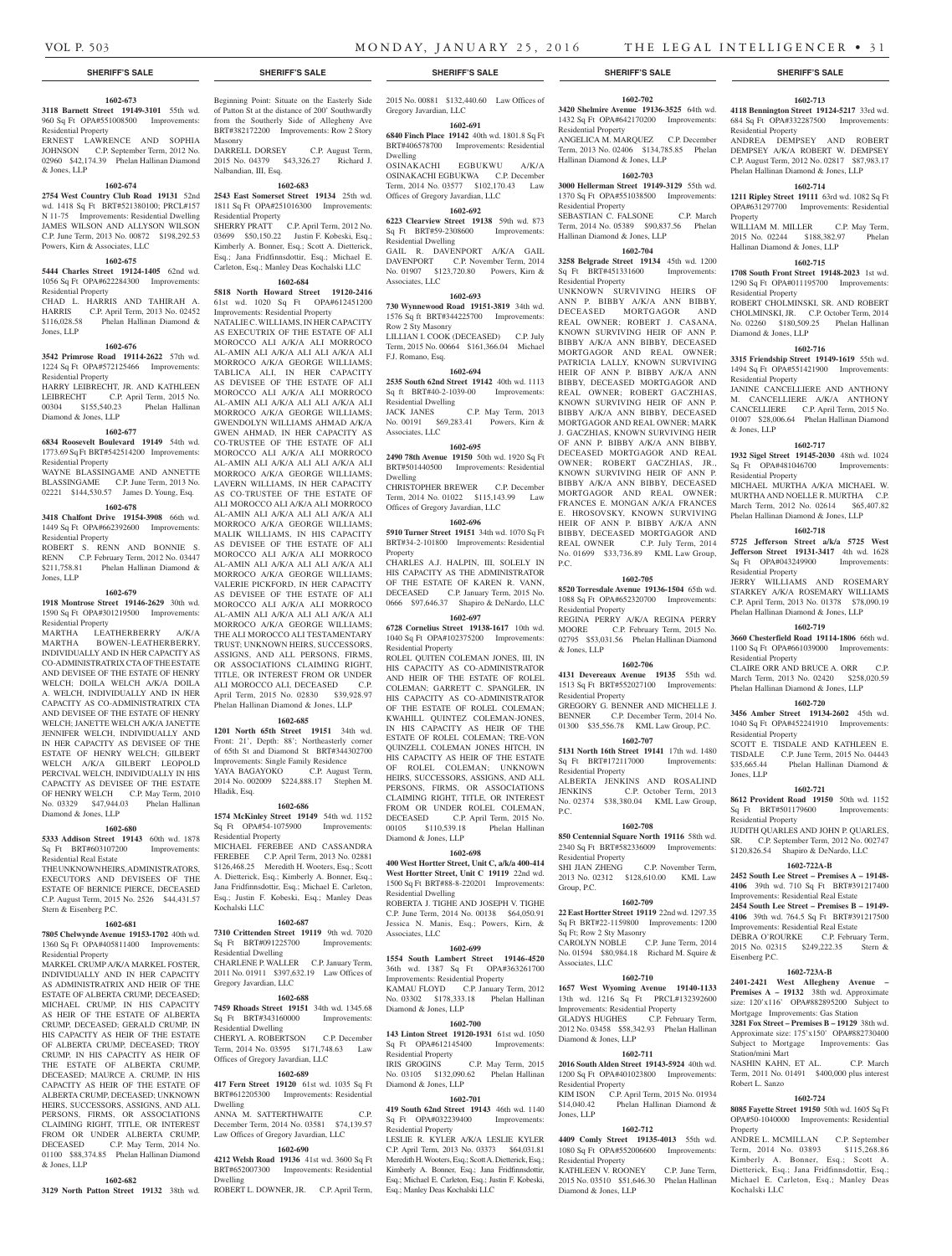#### **1602-673**

**3118 Barnett Street 19149-3101** 55th wd. 960 Sq Ft OPA#551008500 Improvements: Residential Property

ERNEST LAWRENCE AND SOPHIA JOHNSON C.P. September Term, 2012 No. 02960 \$42,174.39 Phelan Hallinan Diamond & Jones, LLP

#### **1602-674**

**2754 West Country Club Road 19131** 52nd wd. 1418 Sq Ft BRT#521380100; PRCL#157 N 11-75 Improvements: Residential Dwelling JAMES WILSON AND ALLYSON WILSON C.P. June Term, 2013 No. 00872 \$198,292.53 Powers, Kirn & Associates, LLC

#### **1602-675**

**5444 Charles Street 19124-1405** 62nd wd. 1056 Sq Ft OPA#622284300 Improvements: Residential Property

CHAD L. HARRIS AND TAHIRAH A. HARRIS C.P. April Term, 2013 No. 02452<br>\$116,028.58 Phelan Hallinan Diamond & Phelan Hallinan Diamond & Jones, LLP

#### **1602-676**

**3542 Primrose Road 19114-2622** 57th wd. 1224 Sq Ft OPA#572125466 Improvements: Residential Property

HARRY LEIBRECHT, JR. AND KATHLEEN LEIBRECHT C.P. April Term, 2015 No. 00304 \$155,540.23 Phelan Hallinan Diamond & Jones, LLP

#### **1602-677**

**6834 Roosevelt Boulevard 19149** 54th wd. 1773.69 Sq Ft BRT#542514200 Improvements: Residential Property

WAYNE BLASSINGAME AND ANNETTE BLASSINGAME C.P. June Term, 2013 No. 02221 \$144,530.57 James D. Young, Esq.

# **1602-678**

**3418 Chalfont Drive 19154-3908** 66th wd. 1449 Sq Ft OPA#662392600 Improvements: Residential Property

ROBERT S. RENN AND BONNIE S. RENN C.P. February Term, 2012 No. 03447 \$211,758.81 Phelan Hallinan Diamond & Jones, LLP

#### **1602-679**

**1918 Montrose Street 19146-2629** 30th wd. 1590 Sq Ft OPA#301219500 Improvements: Residential Property

MARTHA LEATHERBERRY A/K/A MARTHA BOWEN-LEATHERBERRY, INDIVIDUALLY AND IN HER CAPACITY AS CO-ADMINISTRATRIX CTA OF THE ESTATE AND DEVISEE OF THE ESTATE OF HENRY WELCH; DOILA WELCH A/K/A DOILA A. WELCH, INDIVIDUALLY AND IN HER CAPACITY AS CO-ADMINISTRATRIX CTA AND DEVISEE OF THE ESTATE OF HENRY WELCH; JANETTE WELCH A/K/A JANETTE JENNIFER WELCH, INDIVIDUALLY AND IN HER CAPACITY AS DEVISEE OF THE ESTATE OF HENRY WELCH; GILBERT WELCH A/K/A GILBERT LEOPOLD PERCIVAL WELCH, INDIVIDUALLY IN HIS CAPACITY AS DEVISEE OF THE ESTATE OF HENRY WELCH C.P. May Term, 2010 No. 03329 \$47,944.03 Phelan Hallinan Diamond & Jones, LLP

#### **1602-680**

**5333 Addison Street 19143** 60th wd. 1878 Sq Ft BRT#603107200 Improvements: Residential Real Estate

THE UNKNOWN HEIRS, ADMINISTRATORS, EXECUTORS AND DEVISEES OF THE ESTATE OF BERNICE PIERCE, DECEASED C.P. August Term, 2015 No. 2526 \$44,431.57 Stern & Eisenberg P.C.

#### **1602-681**

**7805 Chelwynde Avenue 19153-1702** 40th wd. 1360 Sq Ft OPA#405811400 Improvements: Residential Property

MARKEL CRUMP A/K/A MARKEL FOSTER, INDIVIDUALLY AND IN HER CAPACITY AS ADMINISTRATRIX AND HEIR OF THE ESTATE OF ALBERTA CRUMP, DECEASED; MICHAEL CRUMP, IN HIS CAPACITY AS HEIR OF THE ESTATE OF ALBERTA CRUMP, DECEASED; GERALD CRUMP, IN HIS CAPACITY AS HEIR OF THE ESTATE OF ALBERTA CRUMP, DECEASED; TROY CRUMP, IN HIS CAPACITY AS HEIR OF THE ESTATE OF ALBERTA CRUMP, DECEASED; MAURCE A. CRUMP, IN HIS CAPACITY AS HEIR OF THE ESTATE OF ALBERTA CRUMP, DECEASED; UNKNOWN HEIRS, SUCCESSORS, ASSIGNS, AND ALL PERSONS, FIRMS, OR ASSOCIATIONS CLAIMING RIGHT, TITLE, OR INTEREST FROM OR UNDER ALBERTA CRUMP, DECEASED C.P. May Term, 2014 No. 01100 \$88,374.85 Phelan Hallinan Diamond & Jones, LLP

# **1602-682**

**3129 North Patton Street 19132** 38th wd.

Beginning Point: Situate on the Easterly Side of Patton St at the distance of 200' Southwardly from the Southerly Side of Allegheny Ave BRT#382172200 Improvements: Row 2 Story Masonry<br>DARRELL DORSEY

C.P. August Term, 2015 No. 04379 \$43,326.27 Richard J. Nalbandian, III, Esq.

#### **1602-683**

**2543 East Somerset Street 19134** 25th wd. 1811 Sq Ft OPA#251016300 Improvements: Residential Property SHERRY PRATT C.P. April Term, 2012 No. 03699 \$50,150.22 Justin F. Kobeski, Esq.; Kimberly A. Bonner, Esq.; Scott A. Dietterick, Esq.; Jana Fridfinnsdottir, Esq.; Michael E.

# Carleton, Esq.; Manley Deas Kochalski LLC **1602-684**

**5818 North Howard Street 19120-2416**  61st wd. 1020 Sq Ft OPA#612451200 Improvements: Residential Property

NATALIE C. WILLIAMS, IN HER CAPACITY AS EXECUTRIX OF THE ESTATE OF ALI MOROCCO ALI A/K/A ALI MORROCO AL-AMIN ALI A/K/A ALI ALI A/K/A ALI MORROCO A/K/A GEORGE WILLIAMS; TABLICA ALI, IN HER CAPACITY AS DEVISEE OF THE ESTATE OF ALI MOROCCO ALI A/K/A ALI MORROCO AL-AMIN ALI A/K/A ALI ALI A/K/A ALI MORROCO A/K/A GEORGE WILLIAMS; GWENDOLYN WILLIAMS AHMAD A/K/A GWEN AHMAD, IN HER CAPACITY AS CO-TRUSTEE OF THE ESTATE OF ALI MOROCCO ALI A/K/A ALI MORROCO AL-AMIN ALI A/K/A ALI ALI A/K/A ALI MORROCO A/K/A GEORGE WILLIAMS: LAVERN WILLIAMS, IN HER CAPACITY AS CO-TRUSTEE OF THE ESTATE OF ALI MOROCCO ALI A/K/A ALI MORROCO AL-AMIN ALI A/K/A ALI ALI A/K/A ALI MORROCO A/K/A GEORGE WILLIAMS; MALIK WILLIAMS, IN HIS CAPACITY AS DEVISEE OF THE ESTATE OF ALI MOROCCO ALI A/K/A ALI MORROCO AL-AMIN ALI A/K/A ALI ALI A/K/A ALI MORROCO A/K/A GEORGE WILLIAMS; VALERIE PICKFORD, IN HER CAPACITY AS DEVISEE OF THE ESTATE OF ALI MOROCCO ALI A/K/A ALI MORROCO AL-AMIN ALI A/K/A ALI ALI A/K/A ALI MORROCO A/K/A GEORGE WILLIAMS; THE ALI MOROCCO ALI TESTAMENTARY TRUST; UNKNOWN HEIRS, SUCCESSORS, ASSIGNS, AND ALL PERSONS, FIRMS, OR ASSOCIATIONS CLAIMING RIGHT TITLE, OR INTEREST FROM OR UNDER ALI MOROCCO ALI, DECEASED C.P. April Term, 2015 No. 02830 \$39,928.97 Phelan Hallinan Diamond & Jones, LLP

#### **1602-685**

**1201 North 65th Street 19151** 34th wd. Front: 21', Depth: 88'; Northeasterly corner of 65th St and Diamond St BRT#344302700 Improvements: Single Family Residence YAYA BAGAYOKO C.P. August Term 2014 No. 002009 \$224,888.17 Stephen M. Hladik, Esq.

# **1602-686**

**1574 McKinley Street 19149** 54th wd. 1152 Sq Ft OPA#54-1075900 Improvements: Residential Property MICHAEL FEREBEE AND CASSANDRA FEREBEE C.P. April Term, 2013 No. 02881 \$126,468.25 Meredith H. Wooters, Esq.; Scott

A. Dietterick, Esq.; Kimberly A. Bonner, Esq.; Jana Fridfinnsdottir, Esq.; Michael E. Carleton, Esq.; Justin F. Kobeski, Esq.; Manley Deas Kochalski LLC **1602-687**

**7310 Crittenden Street 19119** 9th wd. 7020 Sq Ft BRT#091225700 Improvements: Residential Dwelling CHARLENE P. WALLER C.P. January Term, 2011 No. 01911 \$397,632.19 Law Offices of Gregory Javardian, LLC

# **1602-688**

**7459 Rhoads Street 19151** 34th wd. 1345.68 Sq Ft BRT#343160000 Improvements: Residential Dwelling

CHERYL A. ROBERTSON C.P. December Term, 2014 No. 03595 \$171,748.63

# **1602-689**

Offices of Gregory Javardian, LLC

**417 Fern Street 19120** 61st wd. 1035 Sq Ft BRT#612205300 Improvements: Residential Dwelling

ANNA M. SATTERTHWAITE December Term, 2014 No. 03581 \$74,139.57 Law Offices of Gregory Javardian, LLC **1602-690**

**4212 Welsh Road 19136** 41st wd. 3600 Sq Ft BRT#652007300 Improvements: Residential Dwelling ROBERT L. DOWNER, JR. C.P. April Term,

2015 No. 00881 \$132,440.60 Law Offices of

# Gregory Javardian, LLC

#### **1602-691**

**6840 Finch Place 19142** 40th wd. 1801.8 Sq Ft BRT#406578700 Improvements: Residential Dwelling OSINAKACHI EGBUKWU A/K/A

OSINAKACHI EGBUKWA C.P. December Term, 2014 No. 03577 \$102,170.43 Law Offices of Gregory Javardian, LLC

# **1602-692**

**6223 Clearview Street 19138** 59th wd. 873 Sq Ft BRT#59-2308600 Residential Dwelling GAIL R. DAVENPORT A/K/A GAIL DAVENPORT C.P. November Term, 2014 No. 01907 \$123,720.80 Powers, Kirn &

# **1602-693**

Associates, LLC

Associates, LLC

**730 Wynnewood Road 19151-3819** 34th wd. 1576 Sq ft BRT#344225700 Improvements: Row 2 Sty Masonry LILLIAN I. COOK (DECEASED) C.P. July

Term, 2015 No. 00664 \$161,366.04 Michael F.J. Romano, Esq.

#### **1602-694**

**2535 South 62nd Street 19142** 40th wd. 1113 Sq ft BRT#40-2-1039-00 Improvements: Residential Dwelling JACK JANES C.P. May Term, 2013 No. 00191 \$69,283.41 Powers, Kirn &

# **1602-695**

**2490 78th Avenue 19150** 50th wd. 1920 Sq Ft BRT#501440500 Improvements: Residential Dwelling

CHRISTOPHER BREWER C.P. December Term, 2014 No. 01022 \$115,143.99 Law Offices of Gregory Javardian, LLC

### **1602-696**

**5910 Turner Street 19151** 34th wd. 1070 Sq Ft BRT#34-2-101800 Improvements: Residential Property

CHARLES A.J. HALPIN, III, SOLELY IN HIS CAPACITY AS THE ADMINISTRATOR OF THE ESTATE OF KAREN R. VANN, DECEASED C.P. January Term, 2015 No. 0666 \$97,646.37 Shapiro & DeNardo, LLC

#### **1602-697**

**6728 Cornelius Street 19138-1617** 10th wd. 1040 Sq Ft OPA#102375200 Improvements: Residential Property

ROLEL QUITEN COLEMAN JONES, III, IN HIS CAPACITY AS CO-ADMINISTRATOR AND HEIR OF THE ESTATE OF ROLEL COLEMAN; GARRETT C. SPANGLER, IN HIS CAPACITY AS CO-ADMINISTRATOR OF THE ESTATE OF ROLEL COLEMAN; KWAHILL QUINTEZ COLEMAN-JONES, IN HIS CAPACITY AS HEIR OF THE ESTATE OF ROLEL COLEMAN; TRE-VON QUINZELL COLEMAN JONES HITCH, IN HIS CAPACITY AS HEIR OF THE ESTATE OF ROLEL COLEMAN; UNKNOWN HEIRS, SUCCESSORS, ASSIGNS, AND ALL PERSONS, FIRMS, OR ASSOCIATIONS CLAIMING RIGHT, TITLE, OR INTEREST FROM OR UNDER ROLEL COLEMAN, DECEASED C.P. April Term, 2015 No. 00105 \$110,539.18 Phelan Hallinan Diamond & Jones, LLP

#### **1602-698**

**400 West Hortter Street, Unit C, a/k/a 400-414 West Hortter Street, Unit C 19119** 22nd wd. 1500 Sq Ft BRT#88-8-220201 Improvements: Residential Dwelling

ROBERTA J. TIGHE AND JOSEPH V. TIGHE C.P. June Term, 2014 No. 00138 \$64,050.91 Jessica N. Manis, Esq.; Powers, Kirn, & Associates, LLC

#### **1602-699**

**1554 South Lambert Street 19146-4520**  36th wd. 1387 Sq Ft OPA#363261700 Improvements: Residential Property KAMAU FLOYD C.P. January Term, 2012 No. 03302 \$178,333.18 Phelan Hallinan Diamond & Jones, LLP

#### **1602-700**

**143 Linton Street 19120-1931** 61st wd. 1050 Sq Ft OPA#612145400 Improvements: Residential Property<br>IRIS GROGINS C.P. May Term, 2015 No. 03105 \$132,090.62 Phelan Hallinan

### **1602-701**

Diamond & Jones, LLP

**419 South 62nd Street 19143** 46th wd. 1140 Sq Ft OPA#032239400 Improvements: Residential Property

LESLIE R. KYLER A/K/A LESLIE KYLER C.P. April Term, 2013 No. 03373 \$64,031.81 Meredith H. Wooters, Esq.; Scott A. Dietterick, Esq.; Kimberly A. Bonner, Esq.; Jana Fridfinnsdottir, Esq.; Michael E. Carleton, Esq.; Justin F. Kobeski, Esq.; Manley Deas Kochalski LLC

#### **1602-702**

**3420 Shelmire Avenue 19136-3525** 64th wd. 1432 Sq Ft OPA#642170200 Improvements: Residential Property ANGELICA M. MARQUEZ C.P. December Term, 2013 No. 02406 \$134,785.85 Phelan Hallinan Diamond & Jones, LLP

**1602-713 4118 Bennington Street 19124-5217** 33rd wd. 684 Sq Ft OPA#332287500 Improvements:

ANDREA DEMPSEY AND ROBERT DEMPSEY A/K/A ROBERT W. DEMPSEY C.P. August Term, 2012 No. 02817 \$87,983.17 Phelan Hallinan Diamond & Jones, LLP **1602-714 1211 Ripley Street 19111** 63rd wd. 1082 Sq Ft OPA#631297700 Improvements: Residential

WILLIAM M. MILLER C.P. May Term, 2015 No. 02244 \$188,382.97 Phelan

**1602-715 1708 South Front Street 19148-2023** 1st wd. 1290 Sq Ft OPA#011195700 Improvements:

ROBERT CHOLMINSKI, SR. AND ROBERT CHOLMINSKI, JR. C.P. October Term, 2014 No. 02260 \$180,509.25 Phelan Hallinan

**1602-716 3315 Friendship Street 19149-1619** 55th wd. 1494 Sq Ft OPA#551421900 Improvements:

JANINE CANCELLIERE AND ANTHONY M. CANCELLIERE A/K/A ANTHONY CANCELLIERE C.P. April Term, 2015 No. 01007 \$28,006.64 Phelan Hallinan Diamond

**1602-717 1932 Sigel Street 19145-2030** 48th wd. 1024 Sq Ft OPA#481046700 Improvements:

MICHAEL MURTHA A/K/A MICHAEL W. MURTHA AND NOELLE R. MURTHA C.P. March Term, 2012 No. 02614 \$65,407.82 Phelan Hallinan Diamond & Jones, LLP **1602-718 5725 Jefferson Street a/k/a 5725 West Jefferson Street 19131-3417** 4th wd. 1628 -<br>Sq Ft OPA#043249900 Improvements:

JERRY WILLIAMS AND ROSEMARY STARKEY A/K/A ROSEMARY WILLIAMS C.P. April Term, 2013 No. 01378 \$78,090.19 Phelan Hallinan Diamond & Jones, LLP **1602-719 3660 Chesterfield Road 19114-1806** 66th wd. 1100 Sq Ft OPA#661039000 Improvements:

CLAIRE ORR AND BRUCE A. ORR C.P. March Term, 2013 No. 02420 \$258,020.59 Phelan Hallinan Diamond & Jones, LLP **1602-720 3456 Amber Street 19134-2602** 45th wd. 1040 Sq Ft OPA#452241910 Improvements:

SCOTT E. TISDALE AND KATHLEEN E. TISDALE C.P. June Term, 2015 No. 04443 \$35,665.44 Phelan Hallinan Diamond &

**1602-721 8612 Provident Road 19150** 50th wd. 1152 Sq Ft BRT#501179600 Improvements:

JUDITH QUARLES AND JOHN P. QUARLES, SR. C.P. September Term, 2012 No. 002747 \$120,826.54 Shapiro & DeNardo, LLC **1602-722A-B 2452 South Lee Street – Premises A – 19148- 4106** 39th wd. 710 Sq Ft BRT#391217400 Improvements: Residential Real Estate **2454 South Lee Street – Premises B – 19149- 4106** 39th wd. 764.5 Sq Ft BRT#391217500 Improvements: Residential Real Estate DEBRA O'ROURKE C.P. February Term 2015 No. 02315 \$249,222.35 Stern &

**1602-723A-B 2401-2421 West Allegheny Avenue – Premises A – 19132** 38th wd. Approximate size: 120'x116' OPA#882895200 Subject to Mortgage Improvements: Gas Station **3281 Fox Street – Premises B – 19129** 38th wd. Approximate size: 175'x150' OPA#882730400 Subject to Mortgage Improvements: Gas

NASHIN KAHN, ET AL. C.P. March Term, 2011 No. 01491 \$400,000 plus interest

**1602-724 8085 Fayette Street 19150** 50th wd. 1605 Sq Ft OPA#50-1040000 Improvements: Residential

ANDRE L. MCMILLAN C.P. September Term, 2014 No. 03893 \$115,268.86 Kimberly A. Bonner, Esq.; Scott A. Dietterick, Esq.; Jana Fridfinnsdottir, Esq.; Michael E. Carleton, Esq.; Manley Deas

Hallinan Diamond & Jones, LLP

Residential Property

Diamond & Jones, LLP

Residential Property

Residential Property

Residential Property

Residential Property

Residential Property

Residential Property

Eisenberg P.C.

Station/mini Mart

Robert L. Sanzo

Kochalski LLC

Property

Jones, LLP

& Jones, LLP

Residential Property

Property

#### **1602-703**

**3000 Hellerman Street 19149-3129** 55th wd. 1370 Sq Ft OPA#551038500 Improvements: Residential Property SEBASTIAN C. FALSONE C.P. March Term, 2014 No. 05389 \$90,837.56 Phelan Hallinan Diamond & Jones, LLP

### **1602-704**

**3258 Belgrade Street 19134** 45th wd. 1200 Sq Ft BRT#451331600 Improvements: Residential Property

UNKNOWN SURVIVING HEIRS OF ANN P. BIBBY A/K/A ANN BIBBY, DECEASED MORTGAGOR AND REAL OWNER; ROBERT J. CASANA, KNOWN SURVIVING HEIR OF ANN P. BIBBY A/K/A ANN BIBBY, DECEASED MORTGAGOR AND REAL OWNER; PATRICIA LALLY, KNOWN SURVIVING HEIR OF ANN P. BIBBY A/K/A ANN BIBBY, DECEASED MORTGAGOR AND REAL OWNER; ROBERT GACZHIAS, KNOWN SURVIVING HEIR OF ANN P. BIBBY A/K/A ANN BIBBY, DECEASED MORTGAGOR AND REAL OWNER; MARK J. GACZHIAS, KNOWN SURVIVING HEIR OF ANN P. BIBBY A/K/A ANN BIBBY, DECEASED MORTGAGOR AND REAL OWNER; ROBERT GACZHIAS, JR., KNOWN SURVIVING HEIR OF ANN P. BIBBY A/K/A ANN BIBBY, DECEASED MORTGAGOR AND REAL OWNER; FRANCES E. MONGAN A/K/A FRANCES E. HROSOVSKY, KNOWN SURVIVING HEIR OF ANN P. BIBBY A/K/A ANN BIBBY, DECEASED MORTGAGOR AND REAL OWNER C.P. July Term, 2014 No. 01699 \$33,736.89 KML Law Group, P.C.

#### **1602-705**

**8520 Torresdale Avenue 19136-1504** 65th wd. 1088 Sq Ft OPA#652320700 Improvements: Residential Property

REGINA PERRY A/K/A REGINA PERRY MOORE C.P. February Term, 2015 No. 02795 \$53,031.56 Phelan Hallinan Diamond & Jones, LLP

#### **1602-706**

**4131 Devereaux Avenue 19135** 55th wd. 1513 Sq Ft BRT#552027100 Improvements: Residential Property GREGORY G. BENNER AND MICHELLE J.<br>BENNER C.P. December Term. 2014 No.

C.P. December Term, 2014 No. 01300 \$35,556.78 KML Law Group, P.C. **1602-707**

# **5131 North 16th Street 19141** 17th wd. 1480

Sq Ft BRT#172117000 Improvements: Residential Property ALBERTA JENKINS AND ROSALIND JENKINS C.P. October Term, 2013 No. 02374 \$38,380.04 KML Law Group, P.C.

**1602-708 850 Centennial Square North 19116** 58th wd. 2340 Sq Ft BRT#582336009 Improvements:

SHI JIAN ZHENG C.P. November Term, 2013 No. 02312 \$128,610.00 KML Law

**1602-709 22 East Hortter Street 19119** 22nd wd. 1297.35 Sq Ft BRT#22-1159800 Improvements: 1200

CAROLYN NOBLE C.P. June Term, 2014 No. 01594 \$80,984.18 Richard M. Squire &

**1602-710 1657 West Wyoming Avenue 19140-1133**  13th wd. 1216 Sq Ft PRCL#132392600 Improvements: Residential Property GLADYS HUGHES C.P. February Term, 2012 No. 03458 \$58,342.93 Phelan Hallinan

**1602-711 2016 South Alden Street 19143-5924** 40th wd. 1200 Sq Ft OPA#401023800 Improvements:

KIM ISON C.P. April Term, 2015 No. 01934 \$14,040.42 Phelan Hallinan Diamond &

**1602-712 4409 Comly Street 19135-4013** 55th wd. 1080 Sq Ft OPA#552006600 Improvements:

KATHLEEN V. ROONEY C.P. June Term, 2015 No. 03510 \$51,646.30 Phelan Hallinan

Residential Property

Sq Ft; Row 2 Sty Masonry

Associates, LLC

Diamond & Jones, LLP

Residential Property

Residential Property

Diamond & Jones, LLP

Jones, LLP

Group, P.C.